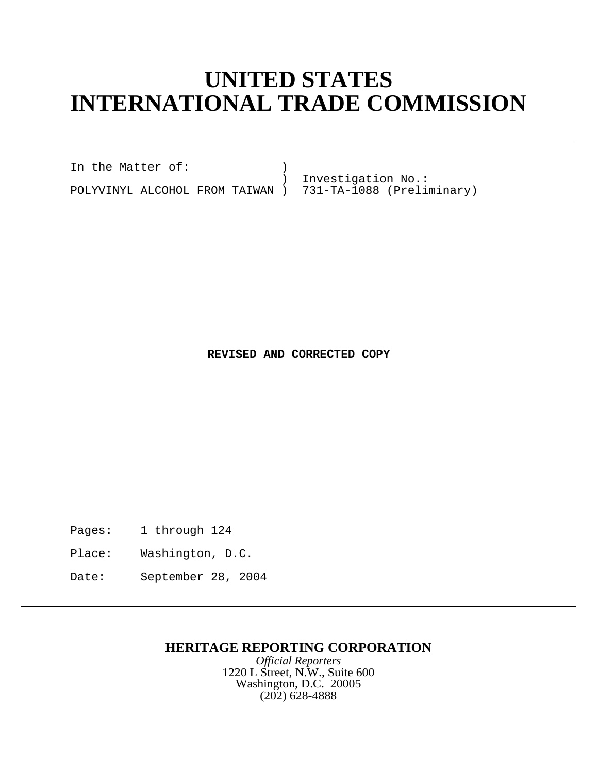## **UNITED STATES INTERNATIONAL TRADE COMMISSION**

In the Matter of: )

POLYVINYL ALCOHOL FROM TAIWAN )

Investigation No.:<br>731-TA-1088 (Preliminary)

**REVISED AND CORRECTED COPY**

Pages: 1 through 124

Place: Washington, D.C.

Date: September 28, 2004

## **HERITAGE REPORTING CORPORATION**

*Official Reporters* 1220 L Street, N.W., Suite 600 Washington, D.C. 20005 (202) 628-4888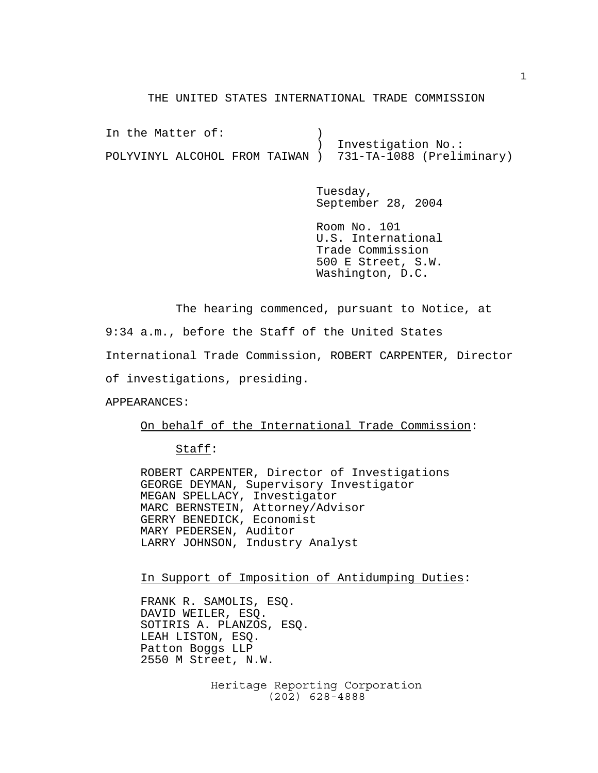## THE UNITED STATES INTERNATIONAL TRADE COMMISSION

In the Matter of: (1) ) Investigation No.: POLYVINYL ALCOHOL FROM TAIWAN ) 731-TA-1088 (Preliminary)

> Tuesday, September 28, 2004

> Room No. 101 U.S. International Trade Commission 500 E Street, S.W. Washington, D.C.

The hearing commenced, pursuant to Notice, at

9:34 a.m., before the Staff of the United States International Trade Commission, ROBERT CARPENTER, Director of investigations, presiding.

APPEARANCES:

On behalf of the International Trade Commission:

Staff:

ROBERT CARPENTER, Director of Investigations GEORGE DEYMAN, Supervisory Investigator MEGAN SPELLACY, Investigator MARC BERNSTEIN, Attorney/Advisor GERRY BENEDICK, Economist MARY PEDERSEN, Auditor LARRY JOHNSON, Industry Analyst

In Support of Imposition of Antidumping Duties:

FRANK R. SAMOLIS, ESQ. DAVID WEILER, ESQ. SOTIRIS A. PLANZOS, ESQ. LEAH LISTON, ESQ. Patton Boggs LLP 2550 M Street, N.W.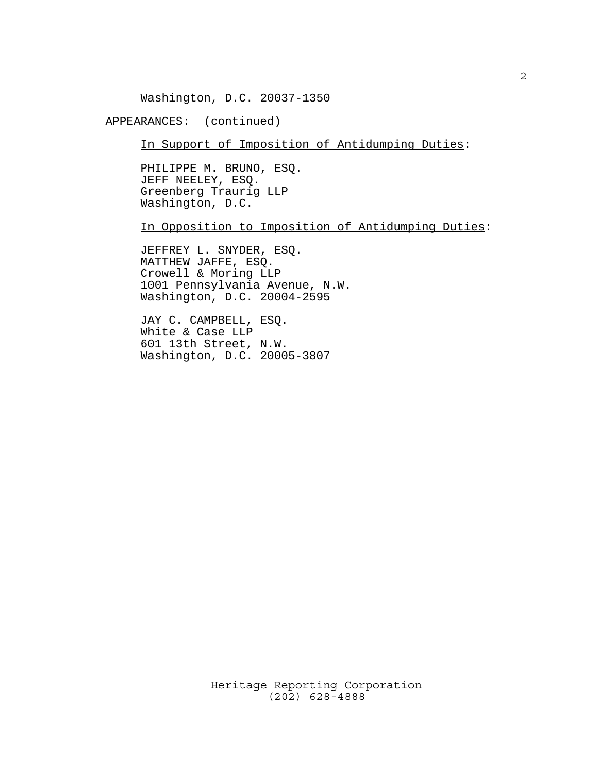Washington, D.C. 20037-1350

APPEARANCES: (continued)

In Support of Imposition of Antidumping Duties:

PHILIPPE M. BRUNO, ESQ. JEFF NEELEY, ESQ. Greenberg Traurig LLP Washington, D.C.

In Opposition to Imposition of Antidumping Duties:

JEFFREY L. SNYDER, ESQ. MATTHEW JAFFE, ESQ. Crowell & Moring LLP 1001 Pennsylvania Avenue, N.W. Washington, D.C. 20004-2595

JAY C. CAMPBELL, ESQ. White & Case LLP 601 13th Street, N.W. Washington, D.C. 20005-3807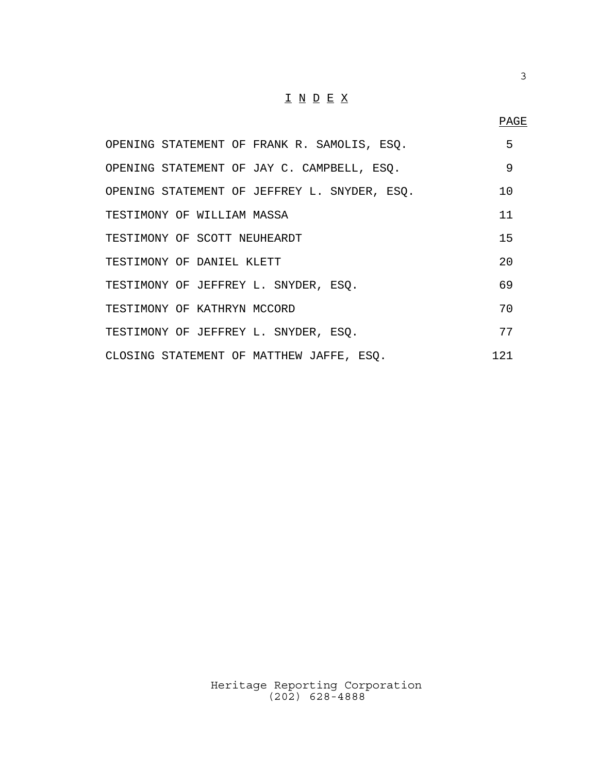## $\underline{\texttt{I}} \underline{\texttt{N}} \underline{\texttt{D}} \underline{\texttt{E}} \underline{\texttt{X}}$

| OPENING STATEMENT OF FRANK R. SAMOLIS, ESO.  | 5               |
|----------------------------------------------|-----------------|
| OPENING STATEMENT OF JAY C. CAMPBELL, ESO.   | 9               |
| OPENING STATEMENT OF JEFFREY L. SNYDER, ESQ. | 10 <sup>°</sup> |
| TESTIMONY OF WILLIAM MASSA                   | 11              |
| TESTIMONY OF SCOTT NEUHEARDT                 | 15              |
| TESTIMONY OF DANIEL KLETT                    | 20              |
| TESTIMONY OF JEFFREY L. SNYDER, ESQ.         | 69              |
| TESTIMONY OF KATHRYN MCCORD                  | 70              |
| TESTIMONY OF JEFFREY L. SNYDER, ESO.         | 77              |
| CLOSING STATEMENT OF MATTHEW JAFFE, ESO.     | 1 2 1           |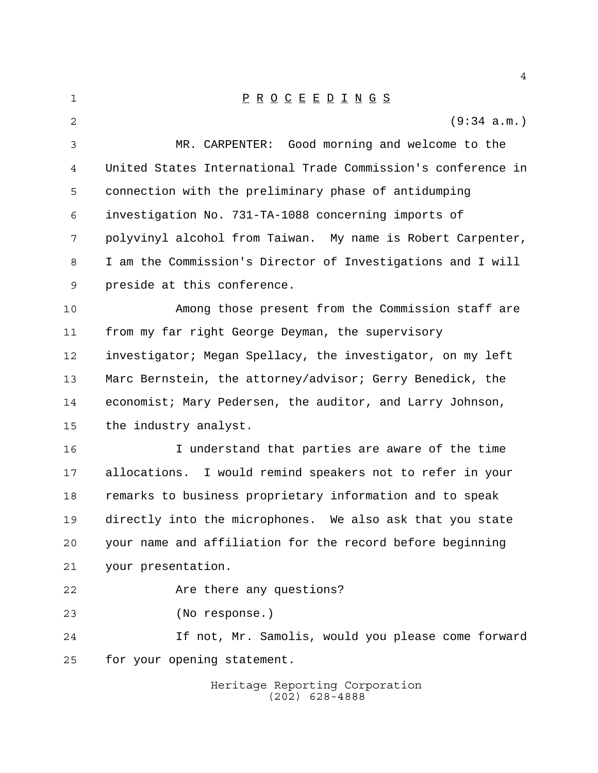| 1              | $\underline{P} \underline{R} \underline{O} \underline{C} \underline{E} \underline{E} \underline{D} \underline{I} \underline{N} \underline{G} \underline{S}$ |
|----------------|-------------------------------------------------------------------------------------------------------------------------------------------------------------|
| $\overline{2}$ | (9:34 a.m.)                                                                                                                                                 |
| 3              | MR. CARPENTER: Good morning and welcome to the                                                                                                              |
| 4              | United States International Trade Commission's conference in                                                                                                |
| 5              | connection with the preliminary phase of antidumping                                                                                                        |
| 6              | investigation No. 731-TA-1088 concerning imports of                                                                                                         |
| 7              | polyvinyl alcohol from Taiwan. My name is Robert Carpenter,                                                                                                 |
| 8              | I am the Commission's Director of Investigations and I will                                                                                                 |
| 9              | preside at this conference.                                                                                                                                 |
| 10             | Among those present from the Commission staff are                                                                                                           |
| 11             | from my far right George Deyman, the supervisory                                                                                                            |
| 12             | investigator; Megan Spellacy, the investigator, on my left                                                                                                  |
| 13             | Marc Bernstein, the attorney/advisor; Gerry Benedick, the                                                                                                   |
| 14             | economist; Mary Pedersen, the auditor, and Larry Johnson,                                                                                                   |
| 15             | the industry analyst.                                                                                                                                       |
| 16             | I understand that parties are aware of the time                                                                                                             |
| 17             | allocations. I would remind speakers not to refer in your                                                                                                   |
| 18             | remarks to business proprietary information and to speak                                                                                                    |
| 19             | directly into the microphones. We also ask that you state                                                                                                   |
| 20             | your name and affiliation for the record before beginning                                                                                                   |
| 21             | your presentation.                                                                                                                                          |
| 22             | Are there any questions?                                                                                                                                    |
| 23             | (No response.)                                                                                                                                              |
| 24             | If not, Mr. Samolis, would you please come forward                                                                                                          |
| 25             | for your opening statement.                                                                                                                                 |
|                | Heritage Reporting Corporation<br>$(202)$ 628-4888                                                                                                          |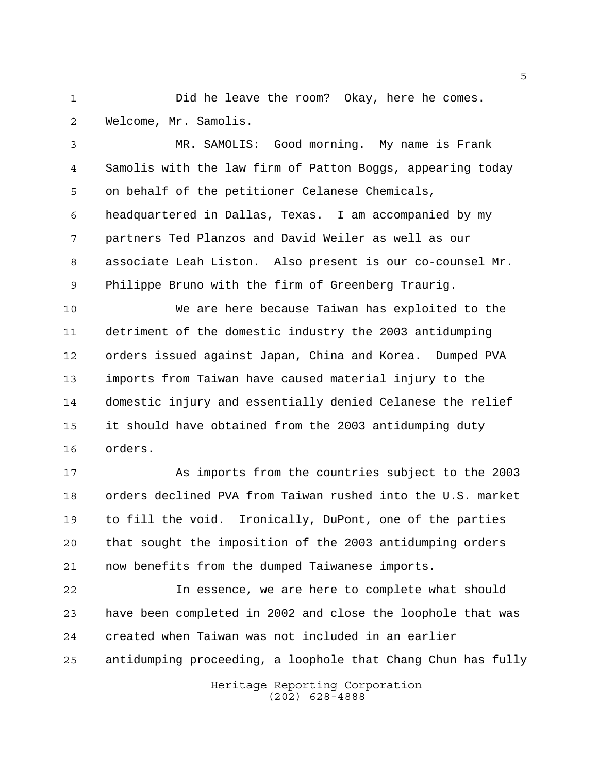1 Did he leave the room? Okay, here he comes. Welcome, Mr. Samolis.

 MR. SAMOLIS: Good morning. My name is Frank Samolis with the law firm of Patton Boggs, appearing today on behalf of the petitioner Celanese Chemicals, headquartered in Dallas, Texas. I am accompanied by my partners Ted Planzos and David Weiler as well as our associate Leah Liston. Also present is our co-counsel Mr. Philippe Bruno with the firm of Greenberg Traurig.

 We are here because Taiwan has exploited to the detriment of the domestic industry the 2003 antidumping orders issued against Japan, China and Korea. Dumped PVA imports from Taiwan have caused material injury to the domestic injury and essentially denied Celanese the relief it should have obtained from the 2003 antidumping duty orders.

 As imports from the countries subject to the 2003 orders declined PVA from Taiwan rushed into the U.S. market to fill the void. Ironically, DuPont, one of the parties that sought the imposition of the 2003 antidumping orders now benefits from the dumped Taiwanese imports.

 In essence, we are here to complete what should have been completed in 2002 and close the loophole that was created when Taiwan was not included in an earlier antidumping proceeding, a loophole that Chang Chun has fully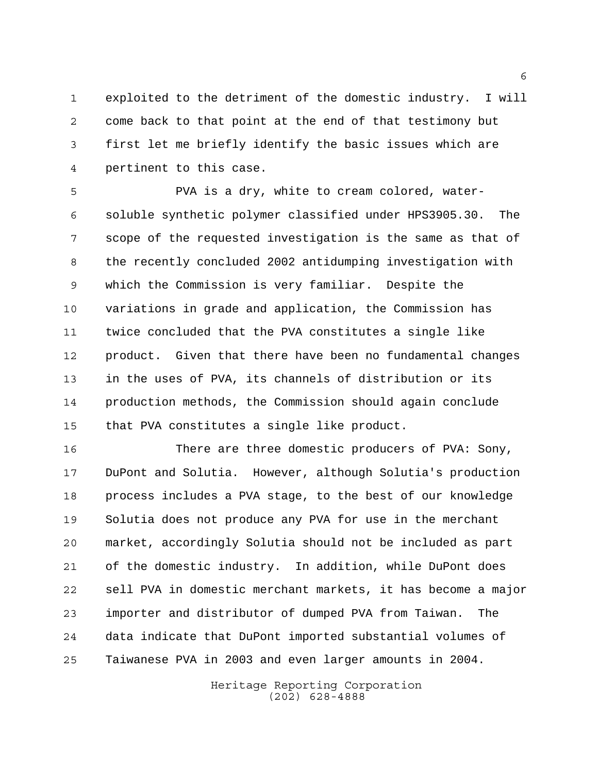exploited to the detriment of the domestic industry. I will come back to that point at the end of that testimony but first let me briefly identify the basic issues which are pertinent to this case.

 PVA is a dry, white to cream colored, water- soluble synthetic polymer classified under HPS3905.30. The scope of the requested investigation is the same as that of the recently concluded 2002 antidumping investigation with which the Commission is very familiar. Despite the variations in grade and application, the Commission has twice concluded that the PVA constitutes a single like product. Given that there have been no fundamental changes in the uses of PVA, its channels of distribution or its production methods, the Commission should again conclude that PVA constitutes a single like product.

 There are three domestic producers of PVA: Sony, DuPont and Solutia. However, although Solutia's production process includes a PVA stage, to the best of our knowledge Solutia does not produce any PVA for use in the merchant market, accordingly Solutia should not be included as part of the domestic industry. In addition, while DuPont does sell PVA in domestic merchant markets, it has become a major importer and distributor of dumped PVA from Taiwan. The data indicate that DuPont imported substantial volumes of Taiwanese PVA in 2003 and even larger amounts in 2004.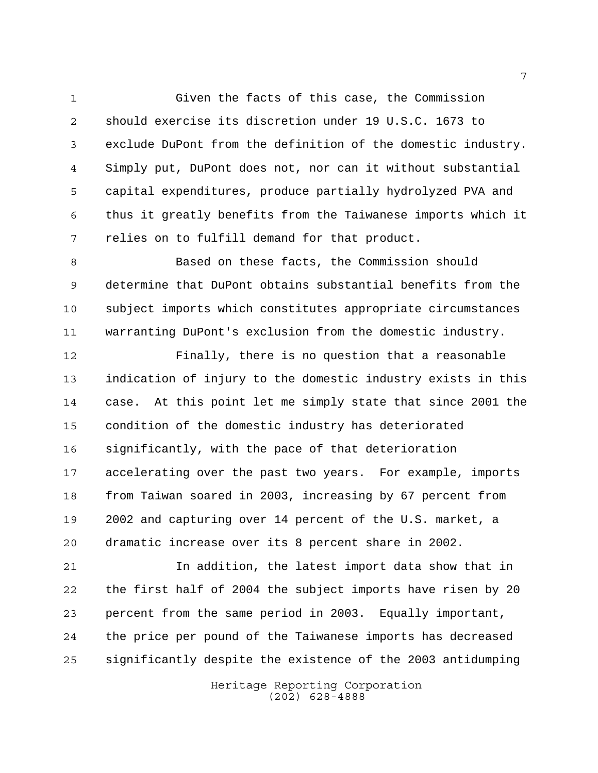Given the facts of this case, the Commission should exercise its discretion under 19 U.S.C. 1673 to exclude DuPont from the definition of the domestic industry. Simply put, DuPont does not, nor can it without substantial capital expenditures, produce partially hydrolyzed PVA and thus it greatly benefits from the Taiwanese imports which it relies on to fulfill demand for that product.

 Based on these facts, the Commission should determine that DuPont obtains substantial benefits from the subject imports which constitutes appropriate circumstances warranting DuPont's exclusion from the domestic industry.

 Finally, there is no question that a reasonable indication of injury to the domestic industry exists in this case. At this point let me simply state that since 2001 the condition of the domestic industry has deteriorated significantly, with the pace of that deterioration accelerating over the past two years. For example, imports from Taiwan soared in 2003, increasing by 67 percent from 2002 and capturing over 14 percent of the U.S. market, a dramatic increase over its 8 percent share in 2002.

 In addition, the latest import data show that in the first half of 2004 the subject imports have risen by 20 percent from the same period in 2003. Equally important, the price per pound of the Taiwanese imports has decreased significantly despite the existence of the 2003 antidumping

> Heritage Reporting Corporation (202) 628-4888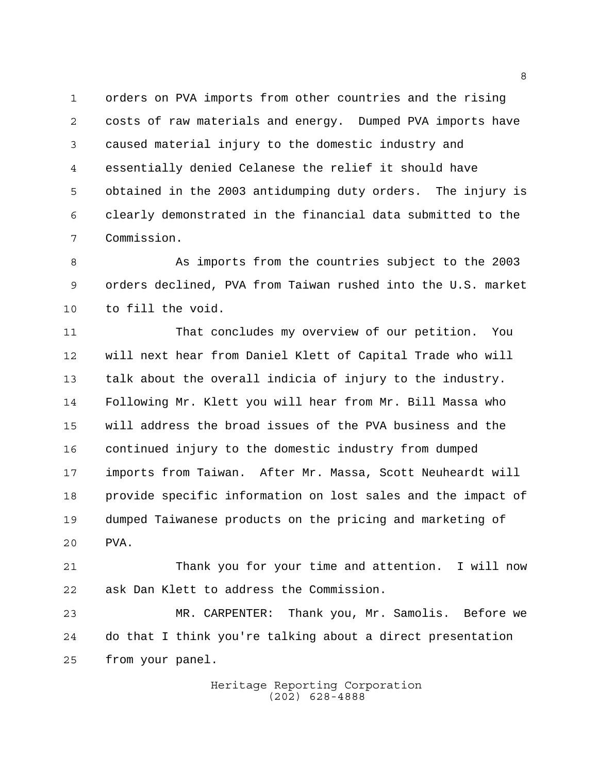orders on PVA imports from other countries and the rising costs of raw materials and energy. Dumped PVA imports have caused material injury to the domestic industry and essentially denied Celanese the relief it should have obtained in the 2003 antidumping duty orders. The injury is clearly demonstrated in the financial data submitted to the Commission.

8 As imports from the countries subject to the 2003 orders declined, PVA from Taiwan rushed into the U.S. market to fill the void.

 That concludes my overview of our petition. You will next hear from Daniel Klett of Capital Trade who will talk about the overall indicia of injury to the industry. Following Mr. Klett you will hear from Mr. Bill Massa who will address the broad issues of the PVA business and the continued injury to the domestic industry from dumped imports from Taiwan. After Mr. Massa, Scott Neuheardt will provide specific information on lost sales and the impact of dumped Taiwanese products on the pricing and marketing of PVA.

 Thank you for your time and attention. I will now ask Dan Klett to address the Commission.

 MR. CARPENTER: Thank you, Mr. Samolis. Before we do that I think you're talking about a direct presentation from your panel.

> Heritage Reporting Corporation (202) 628-4888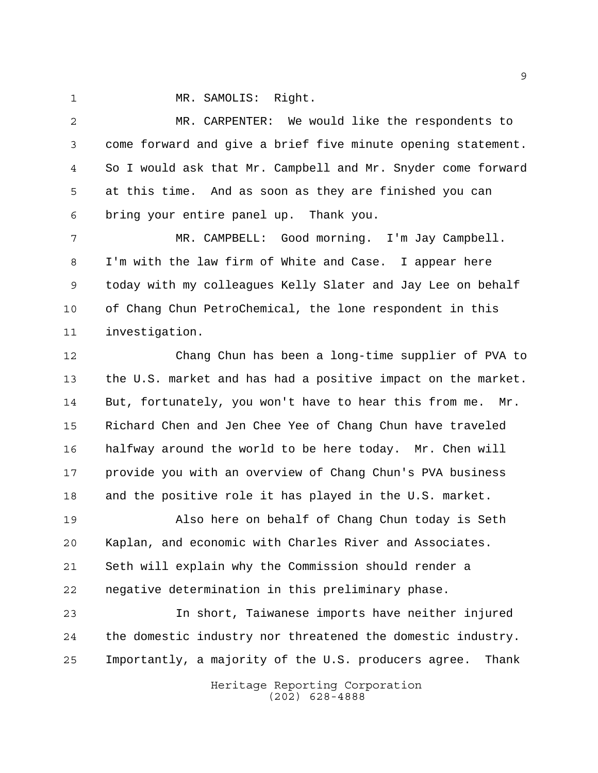MR. SAMOLIS: Right.

 MR. CARPENTER: We would like the respondents to come forward and give a brief five minute opening statement. So I would ask that Mr. Campbell and Mr. Snyder come forward at this time. And as soon as they are finished you can bring your entire panel up. Thank you.

 MR. CAMPBELL: Good morning. I'm Jay Campbell. I'm with the law firm of White and Case. I appear here today with my colleagues Kelly Slater and Jay Lee on behalf of Chang Chun PetroChemical, the lone respondent in this investigation.

 Chang Chun has been a long-time supplier of PVA to the U.S. market and has had a positive impact on the market. But, fortunately, you won't have to hear this from me. Mr. Richard Chen and Jen Chee Yee of Chang Chun have traveled halfway around the world to be here today. Mr. Chen will provide you with an overview of Chang Chun's PVA business and the positive role it has played in the U.S. market.

 Also here on behalf of Chang Chun today is Seth Kaplan, and economic with Charles River and Associates. Seth will explain why the Commission should render a negative determination in this preliminary phase.

 In short, Taiwanese imports have neither injured the domestic industry nor threatened the domestic industry. Importantly, a majority of the U.S. producers agree. Thank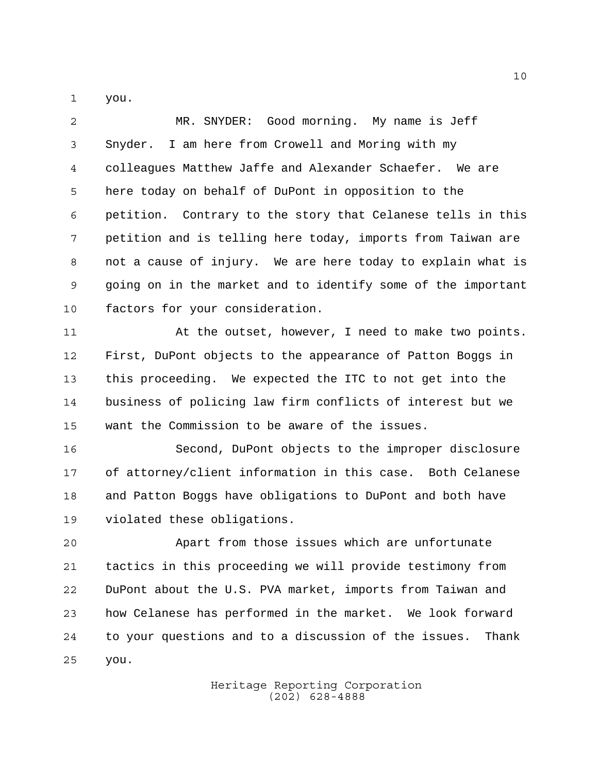you.

 MR. SNYDER: Good morning. My name is Jeff Snyder. I am here from Crowell and Moring with my colleagues Matthew Jaffe and Alexander Schaefer. We are here today on behalf of DuPont in opposition to the petition. Contrary to the story that Celanese tells in this petition and is telling here today, imports from Taiwan are not a cause of injury. We are here today to explain what is going on in the market and to identify some of the important factors for your consideration.

11 At the outset, however, I need to make two points. First, DuPont objects to the appearance of Patton Boggs in this proceeding. We expected the ITC to not get into the business of policing law firm conflicts of interest but we want the Commission to be aware of the issues.

 Second, DuPont objects to the improper disclosure of attorney/client information in this case. Both Celanese and Patton Boggs have obligations to DuPont and both have violated these obligations.

 Apart from those issues which are unfortunate tactics in this proceeding we will provide testimony from DuPont about the U.S. PVA market, imports from Taiwan and how Celanese has performed in the market. We look forward to your questions and to a discussion of the issues. Thank you.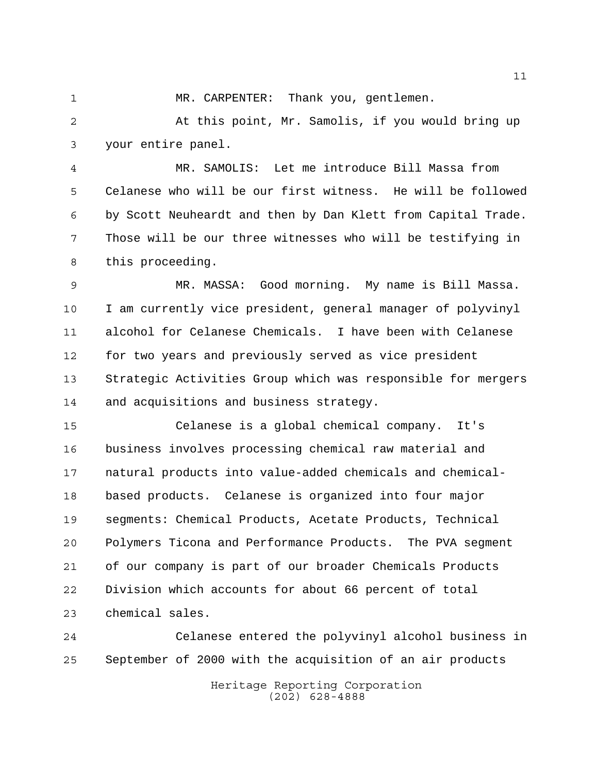1 MR. CARPENTER: Thank you, gentlemen.

 At this point, Mr. Samolis, if you would bring up your entire panel.

 MR. SAMOLIS: Let me introduce Bill Massa from Celanese who will be our first witness. He will be followed by Scott Neuheardt and then by Dan Klett from Capital Trade. Those will be our three witnesses who will be testifying in this proceeding.

 MR. MASSA: Good morning. My name is Bill Massa. I am currently vice president, general manager of polyvinyl alcohol for Celanese Chemicals. I have been with Celanese for two years and previously served as vice president Strategic Activities Group which was responsible for mergers and acquisitions and business strategy.

 Celanese is a global chemical company. It's business involves processing chemical raw material and natural products into value-added chemicals and chemical- based products. Celanese is organized into four major segments: Chemical Products, Acetate Products, Technical Polymers Ticona and Performance Products. The PVA segment of our company is part of our broader Chemicals Products Division which accounts for about 66 percent of total chemical sales.

 Celanese entered the polyvinyl alcohol business in September of 2000 with the acquisition of an air products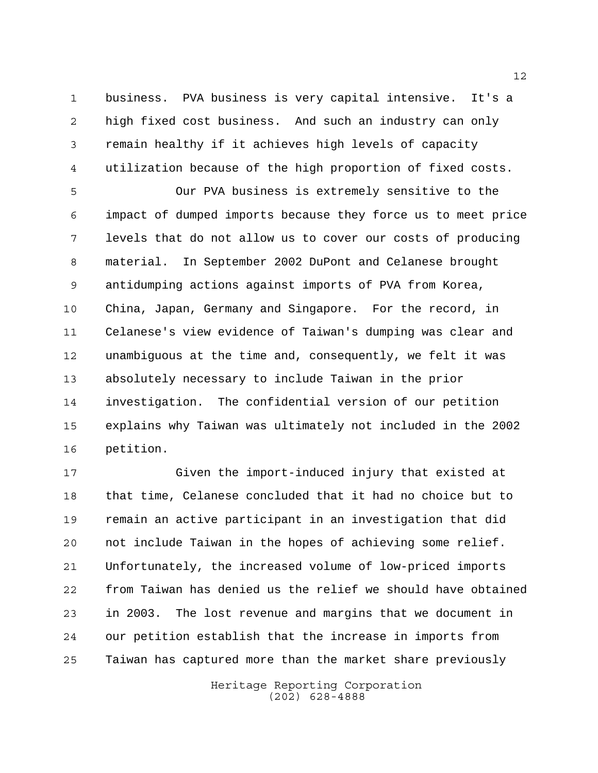business. PVA business is very capital intensive. It's a high fixed cost business. And such an industry can only remain healthy if it achieves high levels of capacity utilization because of the high proportion of fixed costs.

 Our PVA business is extremely sensitive to the impact of dumped imports because they force us to meet price levels that do not allow us to cover our costs of producing material. In September 2002 DuPont and Celanese brought antidumping actions against imports of PVA from Korea, China, Japan, Germany and Singapore. For the record, in Celanese's view evidence of Taiwan's dumping was clear and unambiguous at the time and, consequently, we felt it was absolutely necessary to include Taiwan in the prior investigation. The confidential version of our petition explains why Taiwan was ultimately not included in the 2002 petition.

 Given the import-induced injury that existed at that time, Celanese concluded that it had no choice but to remain an active participant in an investigation that did not include Taiwan in the hopes of achieving some relief. Unfortunately, the increased volume of low-priced imports from Taiwan has denied us the relief we should have obtained in 2003. The lost revenue and margins that we document in our petition establish that the increase in imports from Taiwan has captured more than the market share previously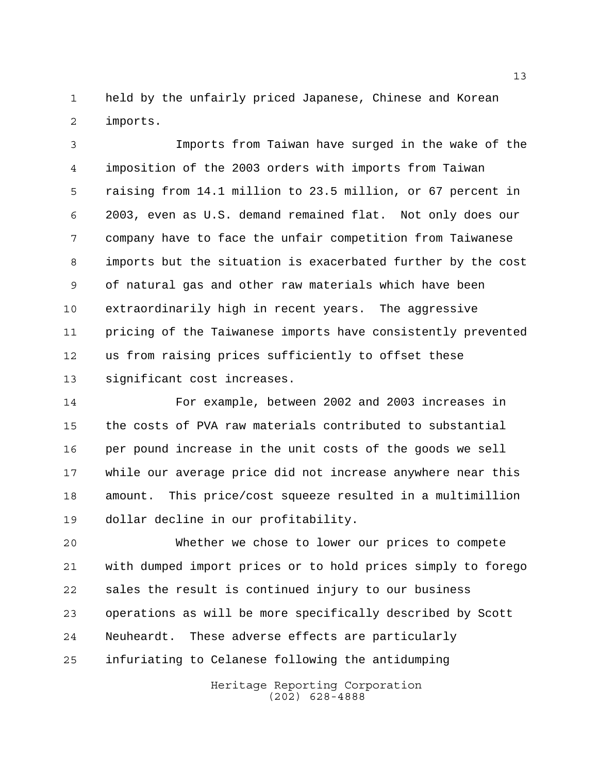held by the unfairly priced Japanese, Chinese and Korean imports.

 Imports from Taiwan have surged in the wake of the imposition of the 2003 orders with imports from Taiwan raising from 14.1 million to 23.5 million, or 67 percent in 2003, even as U.S. demand remained flat. Not only does our company have to face the unfair competition from Taiwanese imports but the situation is exacerbated further by the cost of natural gas and other raw materials which have been extraordinarily high in recent years. The aggressive pricing of the Taiwanese imports have consistently prevented us from raising prices sufficiently to offset these significant cost increases.

 For example, between 2002 and 2003 increases in the costs of PVA raw materials contributed to substantial per pound increase in the unit costs of the goods we sell while our average price did not increase anywhere near this amount. This price/cost squeeze resulted in a multimillion dollar decline in our profitability.

 Whether we chose to lower our prices to compete with dumped import prices or to hold prices simply to forego sales the result is continued injury to our business operations as will be more specifically described by Scott Neuheardt. These adverse effects are particularly infuriating to Celanese following the antidumping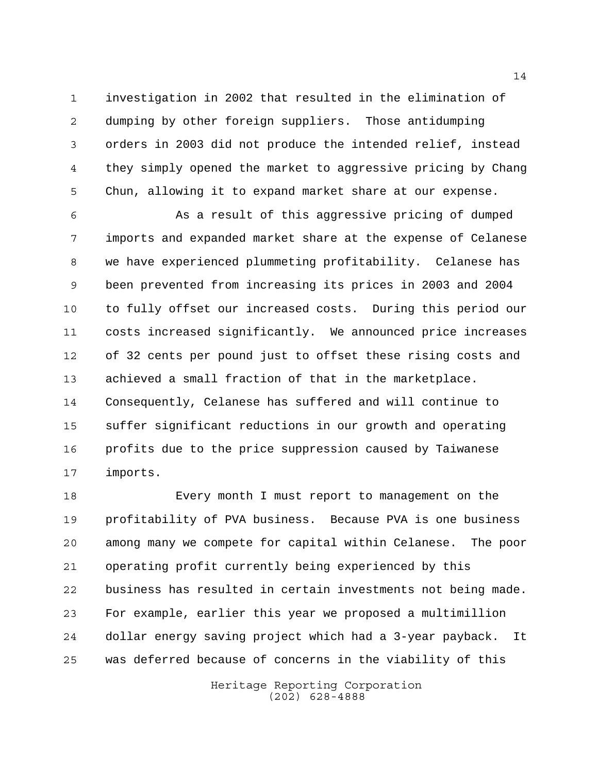investigation in 2002 that resulted in the elimination of dumping by other foreign suppliers. Those antidumping orders in 2003 did not produce the intended relief, instead they simply opened the market to aggressive pricing by Chang Chun, allowing it to expand market share at our expense.

 As a result of this aggressive pricing of dumped imports and expanded market share at the expense of Celanese we have experienced plummeting profitability. Celanese has been prevented from increasing its prices in 2003 and 2004 to fully offset our increased costs. During this period our costs increased significantly. We announced price increases of 32 cents per pound just to offset these rising costs and achieved a small fraction of that in the marketplace. Consequently, Celanese has suffered and will continue to suffer significant reductions in our growth and operating profits due to the price suppression caused by Taiwanese imports.

 Every month I must report to management on the profitability of PVA business. Because PVA is one business among many we compete for capital within Celanese. The poor operating profit currently being experienced by this business has resulted in certain investments not being made. For example, earlier this year we proposed a multimillion dollar energy saving project which had a 3-year payback. It was deferred because of concerns in the viability of this

> Heritage Reporting Corporation (202) 628-4888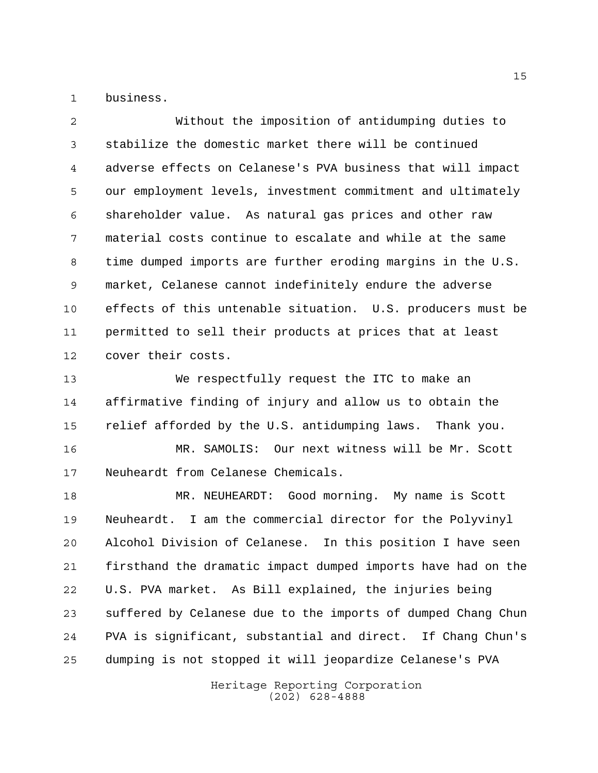business.

 Without the imposition of antidumping duties to stabilize the domestic market there will be continued adverse effects on Celanese's PVA business that will impact our employment levels, investment commitment and ultimately shareholder value. As natural gas prices and other raw material costs continue to escalate and while at the same time dumped imports are further eroding margins in the U.S. market, Celanese cannot indefinitely endure the adverse effects of this untenable situation. U.S. producers must be permitted to sell their products at prices that at least cover their costs.

 We respectfully request the ITC to make an affirmative finding of injury and allow us to obtain the relief afforded by the U.S. antidumping laws. Thank you.

 MR. SAMOLIS: Our next witness will be Mr. Scott Neuheardt from Celanese Chemicals.

 MR. NEUHEARDT: Good morning. My name is Scott Neuheardt. I am the commercial director for the Polyvinyl Alcohol Division of Celanese. In this position I have seen firsthand the dramatic impact dumped imports have had on the U.S. PVA market. As Bill explained, the injuries being suffered by Celanese due to the imports of dumped Chang Chun PVA is significant, substantial and direct. If Chang Chun's dumping is not stopped it will jeopardize Celanese's PVA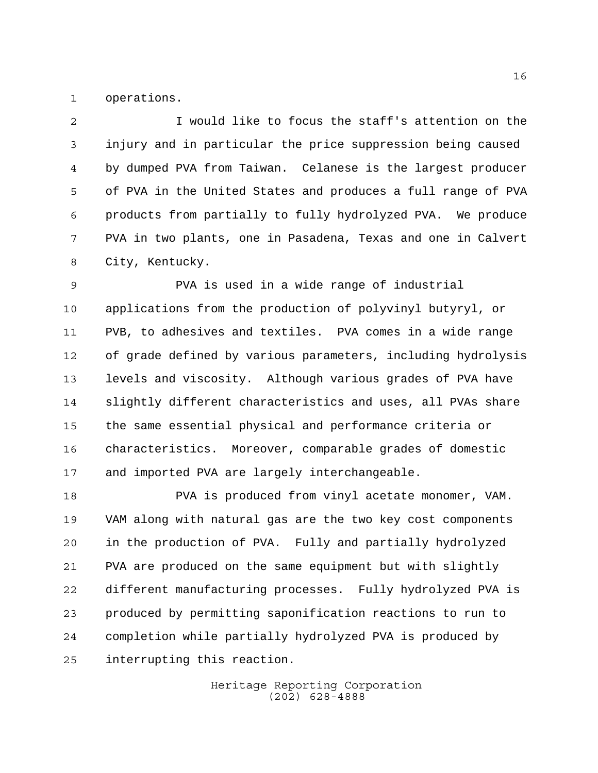operations.

 I would like to focus the staff's attention on the injury and in particular the price suppression being caused by dumped PVA from Taiwan. Celanese is the largest producer of PVA in the United States and produces a full range of PVA products from partially to fully hydrolyzed PVA. We produce PVA in two plants, one in Pasadena, Texas and one in Calvert City, Kentucky.

 PVA is used in a wide range of industrial applications from the production of polyvinyl butyryl, or PVB, to adhesives and textiles. PVA comes in a wide range of grade defined by various parameters, including hydrolysis levels and viscosity. Although various grades of PVA have slightly different characteristics and uses, all PVAs share the same essential physical and performance criteria or characteristics. Moreover, comparable grades of domestic and imported PVA are largely interchangeable.

 PVA is produced from vinyl acetate monomer, VAM. VAM along with natural gas are the two key cost components in the production of PVA. Fully and partially hydrolyzed PVA are produced on the same equipment but with slightly different manufacturing processes. Fully hydrolyzed PVA is produced by permitting saponification reactions to run to completion while partially hydrolyzed PVA is produced by interrupting this reaction.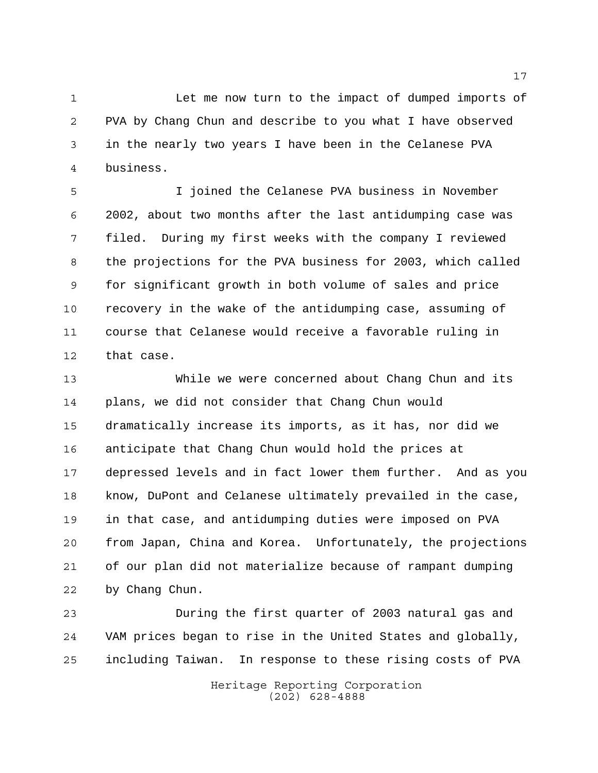Let me now turn to the impact of dumped imports of PVA by Chang Chun and describe to you what I have observed in the nearly two years I have been in the Celanese PVA business.

 I joined the Celanese PVA business in November 2002, about two months after the last antidumping case was filed. During my first weeks with the company I reviewed the projections for the PVA business for 2003, which called for significant growth in both volume of sales and price recovery in the wake of the antidumping case, assuming of course that Celanese would receive a favorable ruling in that case.

 While we were concerned about Chang Chun and its plans, we did not consider that Chang Chun would dramatically increase its imports, as it has, nor did we anticipate that Chang Chun would hold the prices at depressed levels and in fact lower them further. And as you know, DuPont and Celanese ultimately prevailed in the case, in that case, and antidumping duties were imposed on PVA from Japan, China and Korea. Unfortunately, the projections of our plan did not materialize because of rampant dumping by Chang Chun.

 During the first quarter of 2003 natural gas and VAM prices began to rise in the United States and globally, including Taiwan. In response to these rising costs of PVA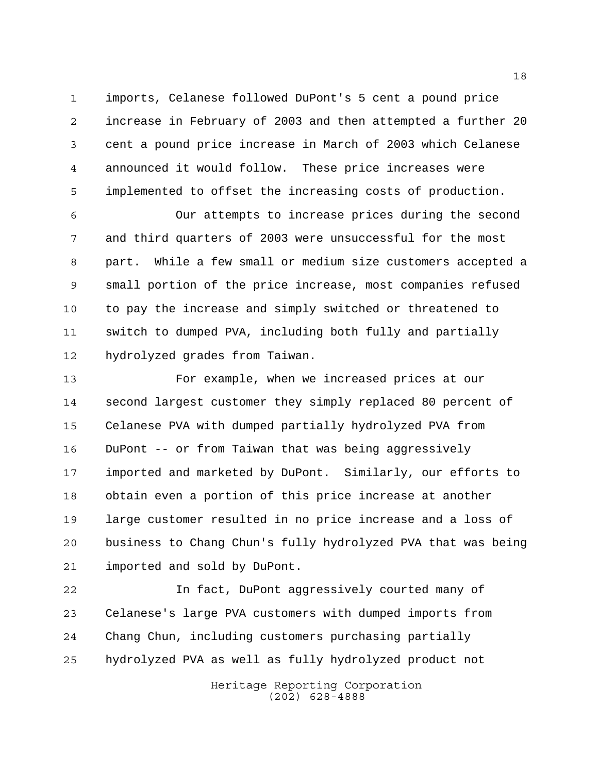imports, Celanese followed DuPont's 5 cent a pound price increase in February of 2003 and then attempted a further 20 cent a pound price increase in March of 2003 which Celanese announced it would follow. These price increases were implemented to offset the increasing costs of production.

 Our attempts to increase prices during the second and third quarters of 2003 were unsuccessful for the most part. While a few small or medium size customers accepted a small portion of the price increase, most companies refused to pay the increase and simply switched or threatened to switch to dumped PVA, including both fully and partially hydrolyzed grades from Taiwan.

 For example, when we increased prices at our second largest customer they simply replaced 80 percent of Celanese PVA with dumped partially hydrolyzed PVA from DuPont -- or from Taiwan that was being aggressively imported and marketed by DuPont. Similarly, our efforts to obtain even a portion of this price increase at another large customer resulted in no price increase and a loss of business to Chang Chun's fully hydrolyzed PVA that was being imported and sold by DuPont.

 In fact, DuPont aggressively courted many of Celanese's large PVA customers with dumped imports from Chang Chun, including customers purchasing partially hydrolyzed PVA as well as fully hydrolyzed product not

> Heritage Reporting Corporation (202) 628-4888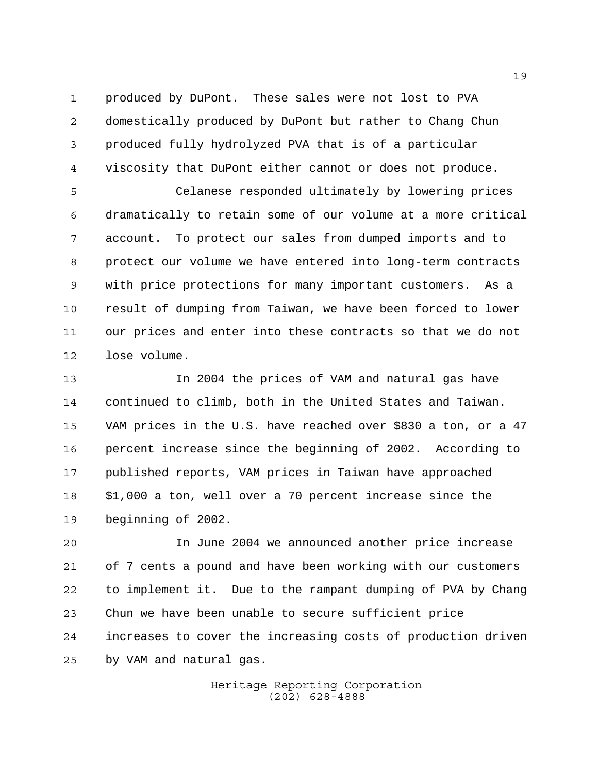produced by DuPont. These sales were not lost to PVA domestically produced by DuPont but rather to Chang Chun produced fully hydrolyzed PVA that is of a particular viscosity that DuPont either cannot or does not produce.

 Celanese responded ultimately by lowering prices dramatically to retain some of our volume at a more critical account. To protect our sales from dumped imports and to protect our volume we have entered into long-term contracts with price protections for many important customers. As a result of dumping from Taiwan, we have been forced to lower our prices and enter into these contracts so that we do not lose volume.

 In 2004 the prices of VAM and natural gas have continued to climb, both in the United States and Taiwan. VAM prices in the U.S. have reached over \$830 a ton, or a 47 percent increase since the beginning of 2002. According to published reports, VAM prices in Taiwan have approached \$1,000 a ton, well over a 70 percent increase since the beginning of 2002.

 In June 2004 we announced another price increase of 7 cents a pound and have been working with our customers to implement it. Due to the rampant dumping of PVA by Chang Chun we have been unable to secure sufficient price increases to cover the increasing costs of production driven by VAM and natural gas.

> Heritage Reporting Corporation (202) 628-4888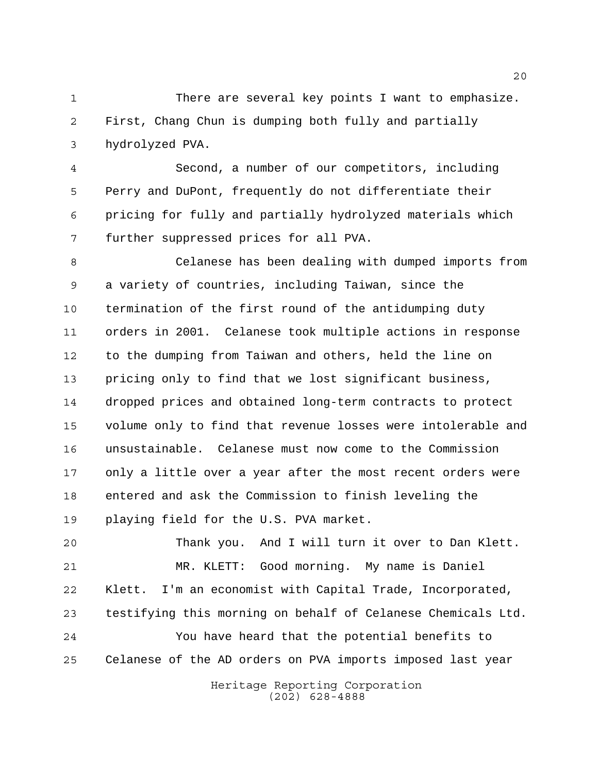There are several key points I want to emphasize. First, Chang Chun is dumping both fully and partially hydrolyzed PVA.

 Second, a number of our competitors, including Perry and DuPont, frequently do not differentiate their pricing for fully and partially hydrolyzed materials which further suppressed prices for all PVA.

 Celanese has been dealing with dumped imports from a variety of countries, including Taiwan, since the termination of the first round of the antidumping duty orders in 2001. Celanese took multiple actions in response to the dumping from Taiwan and others, held the line on pricing only to find that we lost significant business, dropped prices and obtained long-term contracts to protect volume only to find that revenue losses were intolerable and unsustainable. Celanese must now come to the Commission only a little over a year after the most recent orders were entered and ask the Commission to finish leveling the playing field for the U.S. PVA market.

 Thank you. And I will turn it over to Dan Klett. MR. KLETT: Good morning. My name is Daniel Klett. I'm an economist with Capital Trade, Incorporated, testifying this morning on behalf of Celanese Chemicals Ltd. You have heard that the potential benefits to Celanese of the AD orders on PVA imports imposed last year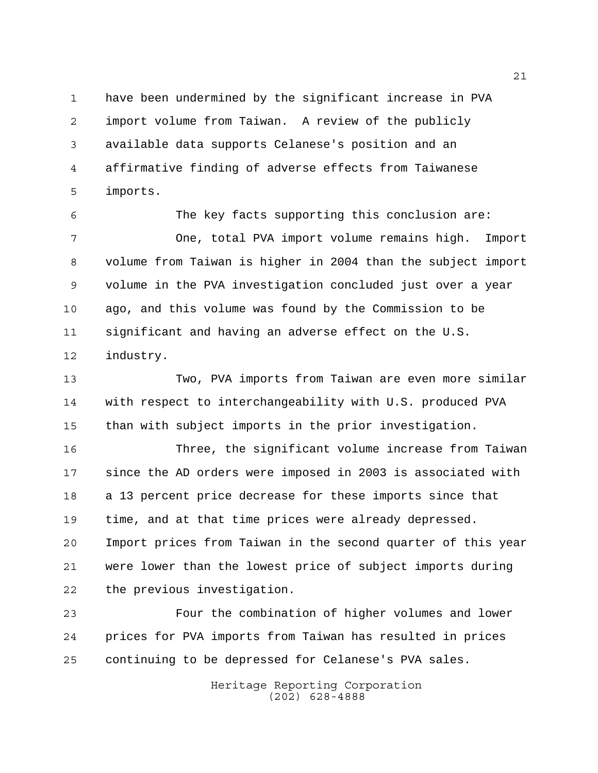have been undermined by the significant increase in PVA import volume from Taiwan. A review of the publicly available data supports Celanese's position and an affirmative finding of adverse effects from Taiwanese imports.

 The key facts supporting this conclusion are: One, total PVA import volume remains high. Import volume from Taiwan is higher in 2004 than the subject import volume in the PVA investigation concluded just over a year ago, and this volume was found by the Commission to be significant and having an adverse effect on the U.S. industry.

 Two, PVA imports from Taiwan are even more similar with respect to interchangeability with U.S. produced PVA than with subject imports in the prior investigation.

 Three, the significant volume increase from Taiwan since the AD orders were imposed in 2003 is associated with a 13 percent price decrease for these imports since that time, and at that time prices were already depressed. Import prices from Taiwan in the second quarter of this year were lower than the lowest price of subject imports during the previous investigation.

 Four the combination of higher volumes and lower prices for PVA imports from Taiwan has resulted in prices continuing to be depressed for Celanese's PVA sales.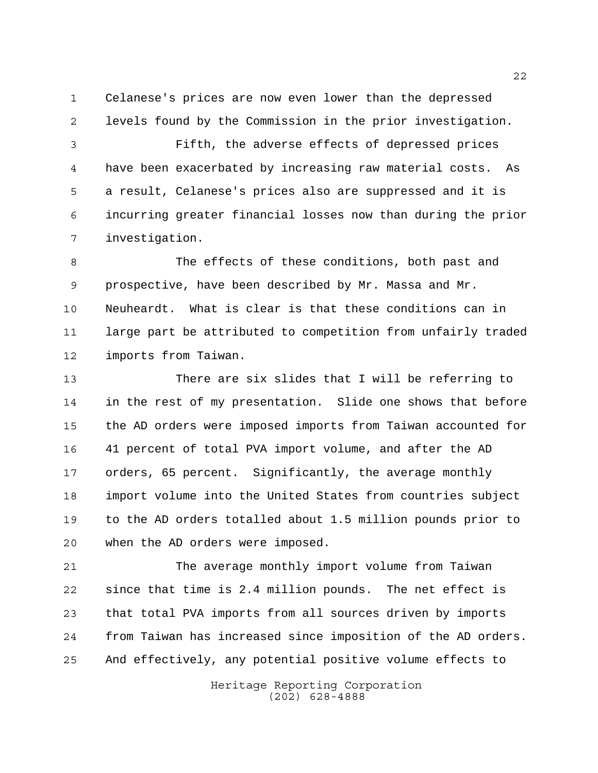Celanese's prices are now even lower than the depressed levels found by the Commission in the prior investigation.

 Fifth, the adverse effects of depressed prices have been exacerbated by increasing raw material costs. As a result, Celanese's prices also are suppressed and it is incurring greater financial losses now than during the prior investigation.

 The effects of these conditions, both past and prospective, have been described by Mr. Massa and Mr. Neuheardt. What is clear is that these conditions can in large part be attributed to competition from unfairly traded imports from Taiwan.

 There are six slides that I will be referring to in the rest of my presentation. Slide one shows that before the AD orders were imposed imports from Taiwan accounted for 41 percent of total PVA import volume, and after the AD orders, 65 percent. Significantly, the average monthly import volume into the United States from countries subject to the AD orders totalled about 1.5 million pounds prior to when the AD orders were imposed.

 The average monthly import volume from Taiwan since that time is 2.4 million pounds. The net effect is that total PVA imports from all sources driven by imports from Taiwan has increased since imposition of the AD orders. And effectively, any potential positive volume effects to

> Heritage Reporting Corporation (202) 628-4888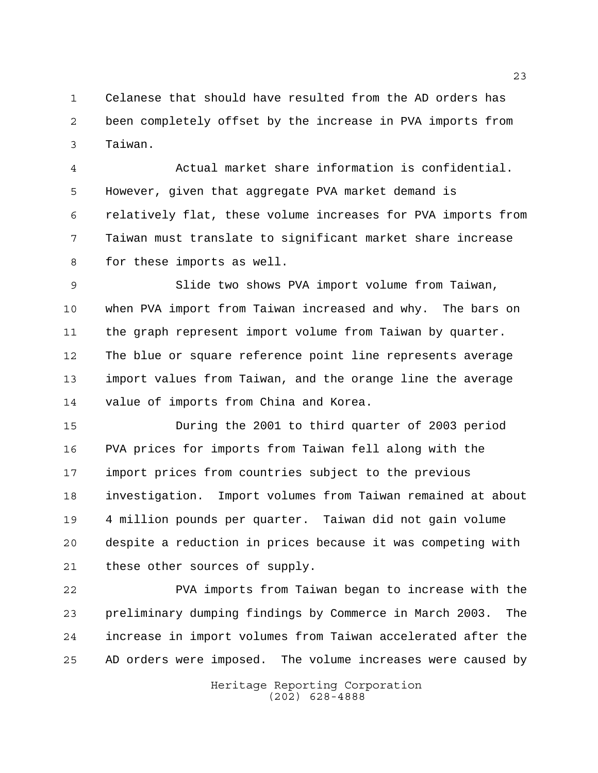Celanese that should have resulted from the AD orders has been completely offset by the increase in PVA imports from Taiwan.

 Actual market share information is confidential. However, given that aggregate PVA market demand is relatively flat, these volume increases for PVA imports from Taiwan must translate to significant market share increase for these imports as well.

 Slide two shows PVA import volume from Taiwan, when PVA import from Taiwan increased and why. The bars on the graph represent import volume from Taiwan by quarter. The blue or square reference point line represents average import values from Taiwan, and the orange line the average value of imports from China and Korea.

 During the 2001 to third quarter of 2003 period PVA prices for imports from Taiwan fell along with the import prices from countries subject to the previous investigation. Import volumes from Taiwan remained at about 4 million pounds per quarter. Taiwan did not gain volume despite a reduction in prices because it was competing with these other sources of supply.

 PVA imports from Taiwan began to increase with the preliminary dumping findings by Commerce in March 2003. The increase in import volumes from Taiwan accelerated after the AD orders were imposed. The volume increases were caused by

> Heritage Reporting Corporation (202) 628-4888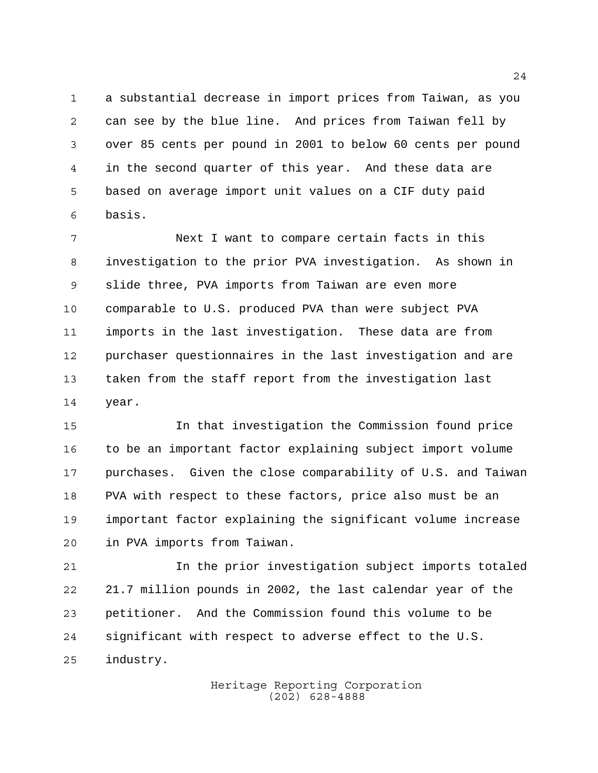a substantial decrease in import prices from Taiwan, as you can see by the blue line. And prices from Taiwan fell by over 85 cents per pound in 2001 to below 60 cents per pound in the second quarter of this year. And these data are based on average import unit values on a CIF duty paid basis.

 Next I want to compare certain facts in this investigation to the prior PVA investigation. As shown in slide three, PVA imports from Taiwan are even more comparable to U.S. produced PVA than were subject PVA imports in the last investigation. These data are from purchaser questionnaires in the last investigation and are taken from the staff report from the investigation last year.

 In that investigation the Commission found price to be an important factor explaining subject import volume purchases. Given the close comparability of U.S. and Taiwan PVA with respect to these factors, price also must be an important factor explaining the significant volume increase in PVA imports from Taiwan.

 In the prior investigation subject imports totaled 21.7 million pounds in 2002, the last calendar year of the petitioner. And the Commission found this volume to be significant with respect to adverse effect to the U.S. industry.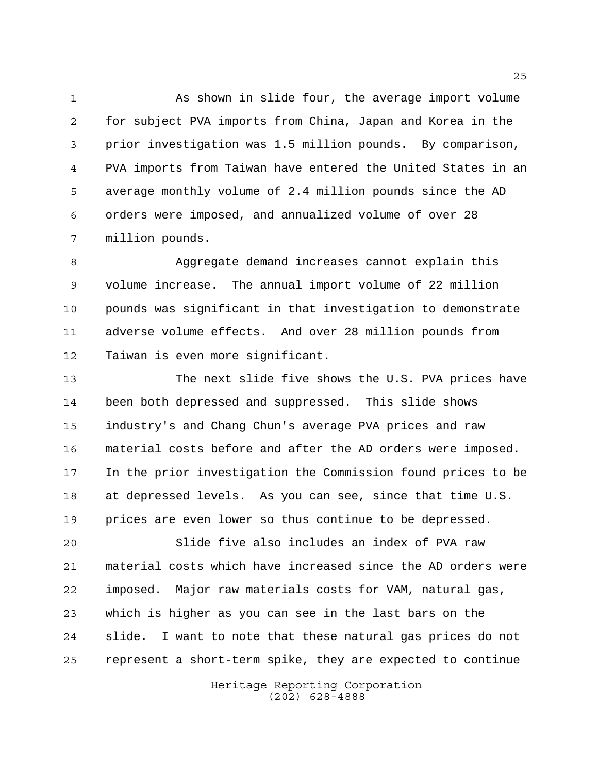As shown in slide four, the average import volume for subject PVA imports from China, Japan and Korea in the prior investigation was 1.5 million pounds. By comparison, PVA imports from Taiwan have entered the United States in an average monthly volume of 2.4 million pounds since the AD orders were imposed, and annualized volume of over 28 million pounds.

 Aggregate demand increases cannot explain this volume increase. The annual import volume of 22 million pounds was significant in that investigation to demonstrate adverse volume effects. And over 28 million pounds from Taiwan is even more significant.

 The next slide five shows the U.S. PVA prices have been both depressed and suppressed. This slide shows industry's and Chang Chun's average PVA prices and raw material costs before and after the AD orders were imposed. In the prior investigation the Commission found prices to be at depressed levels. As you can see, since that time U.S. prices are even lower so thus continue to be depressed.

 Slide five also includes an index of PVA raw material costs which have increased since the AD orders were imposed. Major raw materials costs for VAM, natural gas, which is higher as you can see in the last bars on the slide. I want to note that these natural gas prices do not represent a short-term spike, they are expected to continue

> Heritage Reporting Corporation (202) 628-4888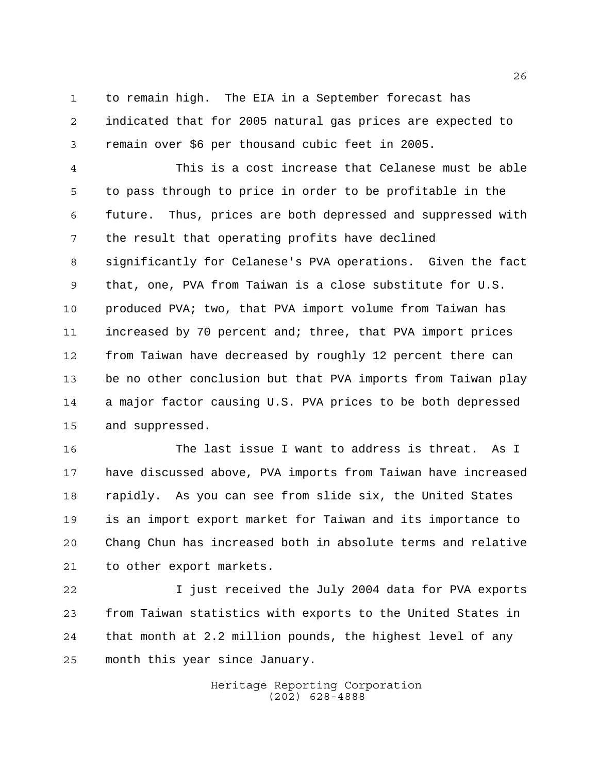to remain high. The EIA in a September forecast has indicated that for 2005 natural gas prices are expected to remain over \$6 per thousand cubic feet in 2005.

 This is a cost increase that Celanese must be able to pass through to price in order to be profitable in the future. Thus, prices are both depressed and suppressed with the result that operating profits have declined significantly for Celanese's PVA operations. Given the fact that, one, PVA from Taiwan is a close substitute for U.S. produced PVA; two, that PVA import volume from Taiwan has increased by 70 percent and; three, that PVA import prices from Taiwan have decreased by roughly 12 percent there can be no other conclusion but that PVA imports from Taiwan play a major factor causing U.S. PVA prices to be both depressed and suppressed.

16 The last issue I want to address is threat. As I have discussed above, PVA imports from Taiwan have increased rapidly. As you can see from slide six, the United States is an import export market for Taiwan and its importance to Chang Chun has increased both in absolute terms and relative to other export markets.

 I just received the July 2004 data for PVA exports from Taiwan statistics with exports to the United States in that month at 2.2 million pounds, the highest level of any month this year since January.

> Heritage Reporting Corporation (202) 628-4888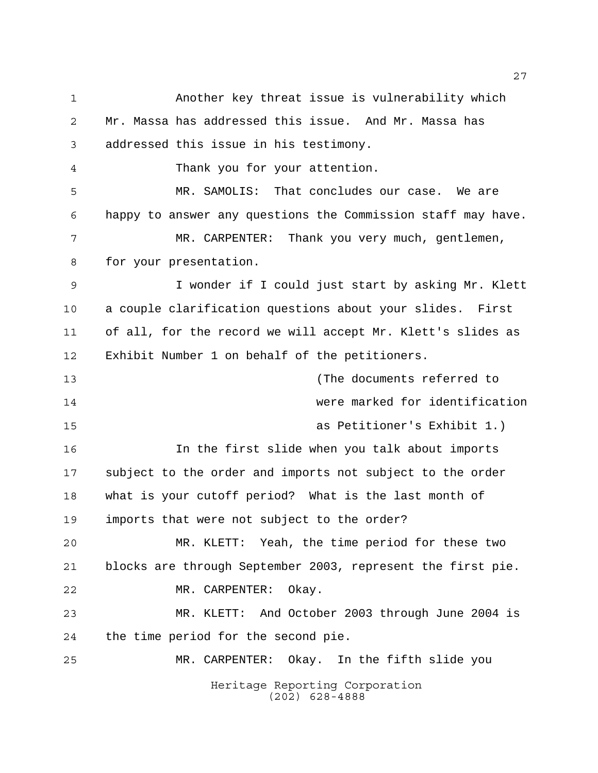Heritage Reporting Corporation (202) 628-4888 Another key threat issue is vulnerability which Mr. Massa has addressed this issue. And Mr. Massa has addressed this issue in his testimony. Thank you for your attention. MR. SAMOLIS: That concludes our case. We are happy to answer any questions the Commission staff may have. MR. CARPENTER: Thank you very much, gentlemen, for your presentation. I wonder if I could just start by asking Mr. Klett a couple clarification questions about your slides. First of all, for the record we will accept Mr. Klett's slides as Exhibit Number 1 on behalf of the petitioners. (The documents referred to were marked for identification as Petitioner's Exhibit 1.) In the first slide when you talk about imports subject to the order and imports not subject to the order what is your cutoff period? What is the last month of imports that were not subject to the order? MR. KLETT: Yeah, the time period for these two blocks are through September 2003, represent the first pie. MR. CARPENTER: Okay. MR. KLETT: And October 2003 through June 2004 is the time period for the second pie. MR. CARPENTER: Okay. In the fifth slide you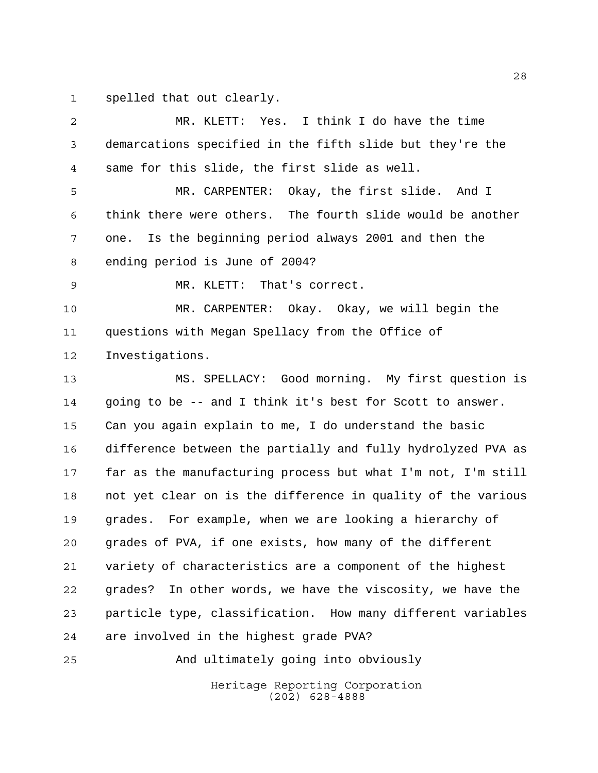spelled that out clearly.

 MR. KLETT: Yes. I think I do have the time demarcations specified in the fifth slide but they're the same for this slide, the first slide as well. MR. CARPENTER: Okay, the first slide. And I think there were others. The fourth slide would be another one. Is the beginning period always 2001 and then the ending period is June of 2004? MR. KLETT: That's correct. MR. CARPENTER: Okay. Okay, we will begin the questions with Megan Spellacy from the Office of Investigations. MS. SPELLACY: Good morning. My first question is going to be -- and I think it's best for Scott to answer. Can you again explain to me, I do understand the basic difference between the partially and fully hydrolyzed PVA as far as the manufacturing process but what I'm not, I'm still not yet clear on is the difference in quality of the various grades. For example, when we are looking a hierarchy of grades of PVA, if one exists, how many of the different variety of characteristics are a component of the highest grades? In other words, we have the viscosity, we have the particle type, classification. How many different variables are involved in the highest grade PVA? And ultimately going into obviously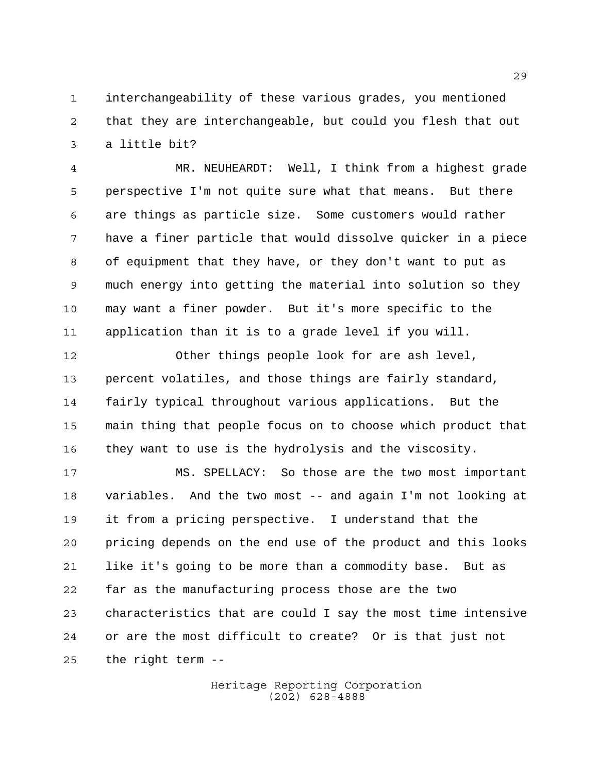interchangeability of these various grades, you mentioned that they are interchangeable, but could you flesh that out a little bit?

 MR. NEUHEARDT: Well, I think from a highest grade perspective I'm not quite sure what that means. But there are things as particle size. Some customers would rather have a finer particle that would dissolve quicker in a piece of equipment that they have, or they don't want to put as much energy into getting the material into solution so they may want a finer powder. But it's more specific to the application than it is to a grade level if you will.

 Other things people look for are ash level, percent volatiles, and those things are fairly standard, fairly typical throughout various applications. But the main thing that people focus on to choose which product that they want to use is the hydrolysis and the viscosity.

 MS. SPELLACY: So those are the two most important variables. And the two most -- and again I'm not looking at it from a pricing perspective. I understand that the pricing depends on the end use of the product and this looks like it's going to be more than a commodity base. But as far as the manufacturing process those are the two characteristics that are could I say the most time intensive or are the most difficult to create? Or is that just not the right term --

> Heritage Reporting Corporation (202) 628-4888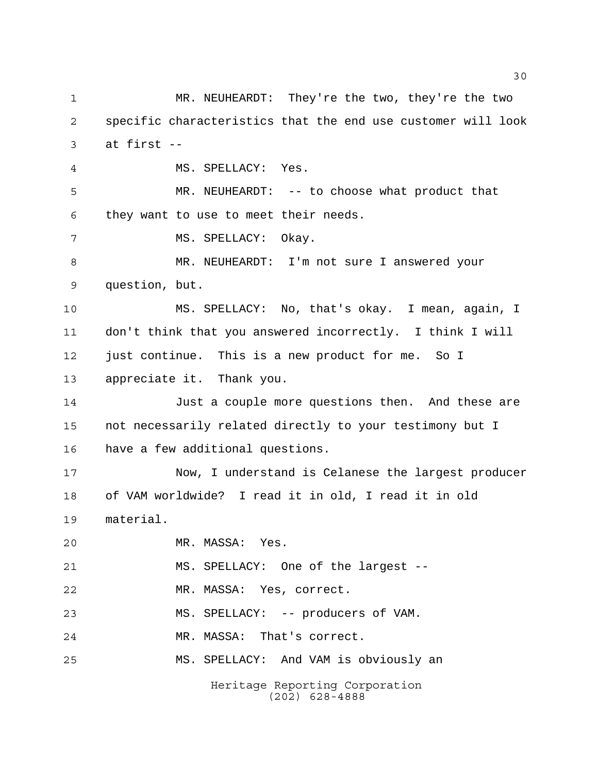Heritage Reporting Corporation MR. NEUHEARDT: They're the two, they're the two specific characteristics that the end use customer will look at first -- MS. SPELLACY: Yes. MR. NEUHEARDT: -- to choose what product that they want to use to meet their needs. 7 MS. SPELLACY: Okay. MR. NEUHEARDT: I'm not sure I answered your question, but. MS. SPELLACY: No, that's okay. I mean, again, I don't think that you answered incorrectly. I think I will just continue. This is a new product for me. So I appreciate it. Thank you. Just a couple more questions then. And these are not necessarily related directly to your testimony but I have a few additional questions. Now, I understand is Celanese the largest producer of VAM worldwide? I read it in old, I read it in old material. MR. MASSA: Yes. MS. SPELLACY: One of the largest -- MR. MASSA: Yes, correct. MS. SPELLACY: -- producers of VAM. MR. MASSA: That's correct. MS. SPELLACY: And VAM is obviously an

(202) 628-4888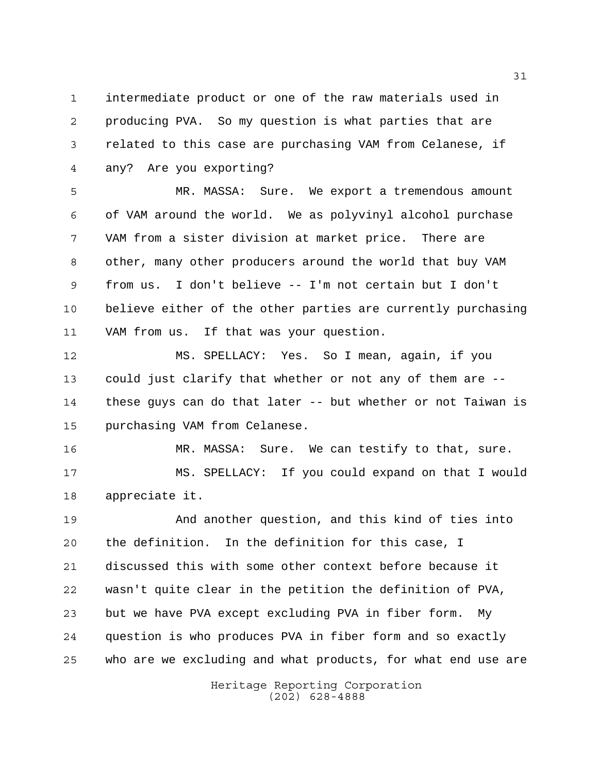intermediate product or one of the raw materials used in producing PVA. So my question is what parties that are related to this case are purchasing VAM from Celanese, if any? Are you exporting?

 MR. MASSA: Sure. We export a tremendous amount of VAM around the world. We as polyvinyl alcohol purchase VAM from a sister division at market price. There are other, many other producers around the world that buy VAM from us. I don't believe -- I'm not certain but I don't believe either of the other parties are currently purchasing VAM from us. If that was your question.

 MS. SPELLACY: Yes. So I mean, again, if you could just clarify that whether or not any of them are -- these guys can do that later -- but whether or not Taiwan is purchasing VAM from Celanese.

 MR. MASSA: Sure. We can testify to that, sure. MS. SPELLACY: If you could expand on that I would appreciate it.

 And another question, and this kind of ties into the definition. In the definition for this case, I discussed this with some other context before because it wasn't quite clear in the petition the definition of PVA, but we have PVA except excluding PVA in fiber form. My question is who produces PVA in fiber form and so exactly who are we excluding and what products, for what end use are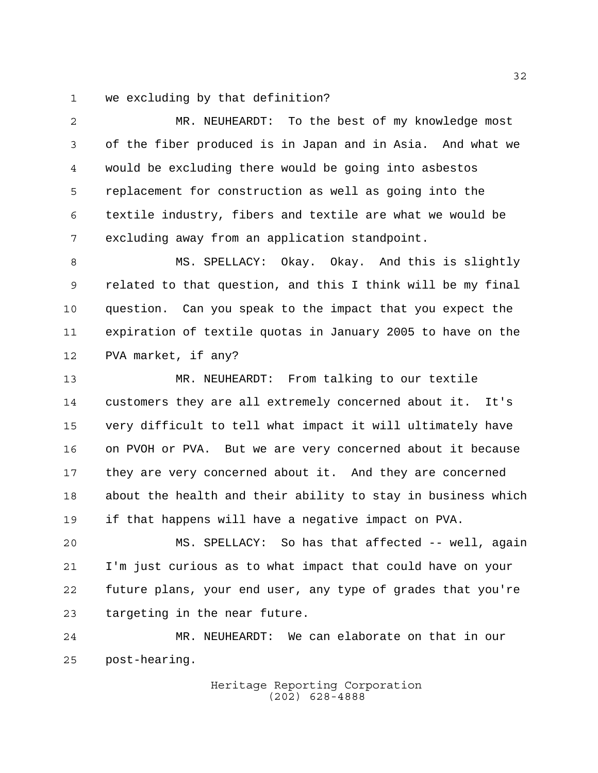we excluding by that definition?

 MR. NEUHEARDT: To the best of my knowledge most of the fiber produced is in Japan and in Asia. And what we would be excluding there would be going into asbestos replacement for construction as well as going into the textile industry, fibers and textile are what we would be excluding away from an application standpoint.

 MS. SPELLACY: Okay. Okay. And this is slightly related to that question, and this I think will be my final question. Can you speak to the impact that you expect the expiration of textile quotas in January 2005 to have on the PVA market, if any?

 MR. NEUHEARDT: From talking to our textile customers they are all extremely concerned about it. It's very difficult to tell what impact it will ultimately have on PVOH or PVA. But we are very concerned about it because they are very concerned about it. And they are concerned about the health and their ability to stay in business which if that happens will have a negative impact on PVA.

 MS. SPELLACY: So has that affected -- well, again I'm just curious as to what impact that could have on your future plans, your end user, any type of grades that you're targeting in the near future.

 MR. NEUHEARDT: We can elaborate on that in our post-hearing.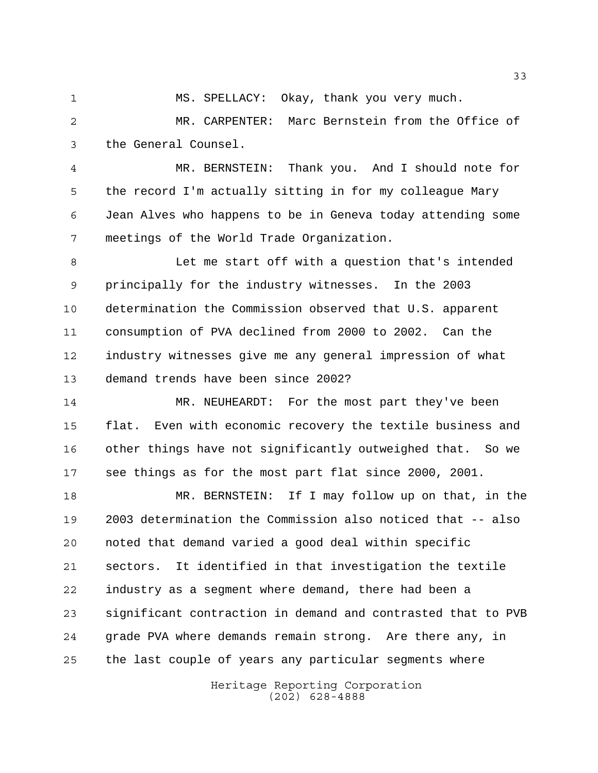MS. SPELLACY: Okay, thank you very much.

 MR. CARPENTER: Marc Bernstein from the Office of the General Counsel.

 MR. BERNSTEIN: Thank you. And I should note for the record I'm actually sitting in for my colleague Mary Jean Alves who happens to be in Geneva today attending some meetings of the World Trade Organization.

 Let me start off with a question that's intended principally for the industry witnesses. In the 2003 determination the Commission observed that U.S. apparent consumption of PVA declined from 2000 to 2002. Can the industry witnesses give me any general impression of what demand trends have been since 2002?

 MR. NEUHEARDT: For the most part they've been flat. Even with economic recovery the textile business and other things have not significantly outweighed that. So we see things as for the most part flat since 2000, 2001.

 MR. BERNSTEIN: If I may follow up on that, in the 2003 determination the Commission also noticed that -- also noted that demand varied a good deal within specific sectors. It identified in that investigation the textile industry as a segment where demand, there had been a significant contraction in demand and contrasted that to PVB grade PVA where demands remain strong. Are there any, in the last couple of years any particular segments where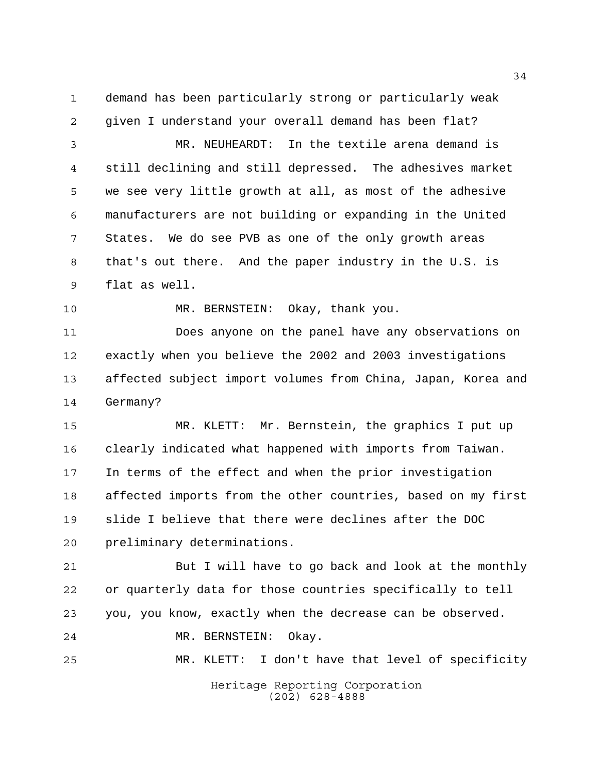demand has been particularly strong or particularly weak

given I understand your overall demand has been flat?

 MR. NEUHEARDT: In the textile arena demand is still declining and still depressed. The adhesives market we see very little growth at all, as most of the adhesive manufacturers are not building or expanding in the United States. We do see PVB as one of the only growth areas that's out there. And the paper industry in the U.S. is flat as well.

MR. BERNSTEIN: Okay, thank you.

 Does anyone on the panel have any observations on exactly when you believe the 2002 and 2003 investigations affected subject import volumes from China, Japan, Korea and Germany?

 MR. KLETT: Mr. Bernstein, the graphics I put up clearly indicated what happened with imports from Taiwan. In terms of the effect and when the prior investigation affected imports from the other countries, based on my first slide I believe that there were declines after the DOC preliminary determinations.

 But I will have to go back and look at the monthly or quarterly data for those countries specifically to tell you, you know, exactly when the decrease can be observed. MR. BERNSTEIN: Okay.

MR. KLETT: I don't have that level of specificity

Heritage Reporting Corporation (202) 628-4888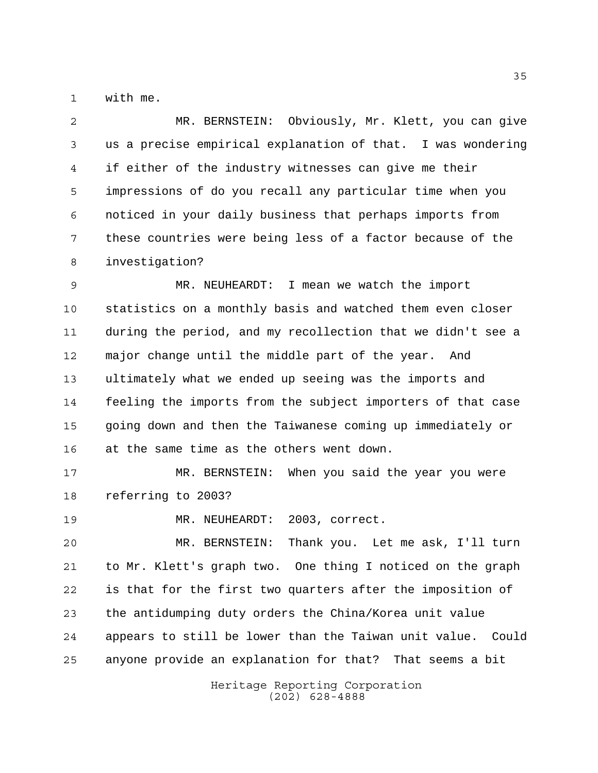with me.

 MR. BERNSTEIN: Obviously, Mr. Klett, you can give us a precise empirical explanation of that. I was wondering if either of the industry witnesses can give me their impressions of do you recall any particular time when you noticed in your daily business that perhaps imports from these countries were being less of a factor because of the investigation?

 MR. NEUHEARDT: I mean we watch the import statistics on a monthly basis and watched them even closer during the period, and my recollection that we didn't see a major change until the middle part of the year. And ultimately what we ended up seeing was the imports and feeling the imports from the subject importers of that case going down and then the Taiwanese coming up immediately or at the same time as the others went down.

 MR. BERNSTEIN: When you said the year you were referring to 2003?

MR. NEUHEARDT: 2003, correct.

 MR. BERNSTEIN: Thank you. Let me ask, I'll turn to Mr. Klett's graph two. One thing I noticed on the graph is that for the first two quarters after the imposition of the antidumping duty orders the China/Korea unit value appears to still be lower than the Taiwan unit value. Could anyone provide an explanation for that? That seems a bit

> Heritage Reporting Corporation (202) 628-4888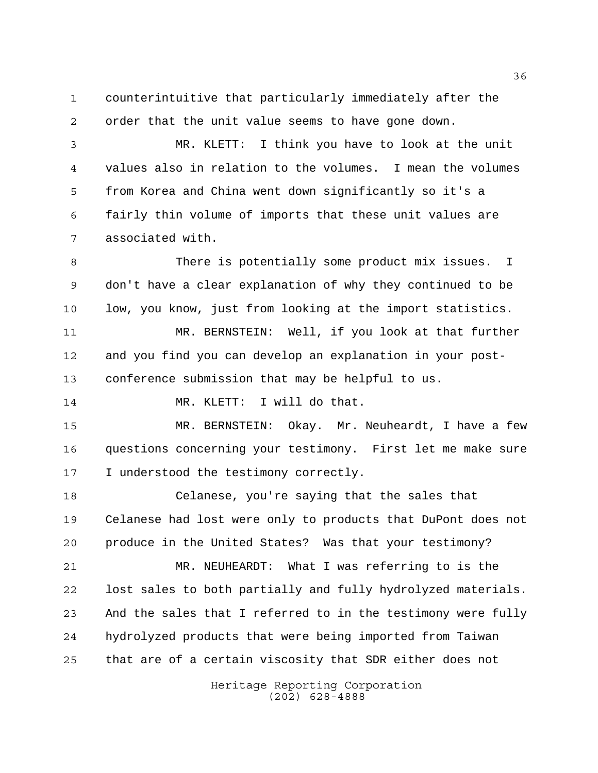counterintuitive that particularly immediately after the order that the unit value seems to have gone down.

 MR. KLETT: I think you have to look at the unit values also in relation to the volumes. I mean the volumes from Korea and China went down significantly so it's a fairly thin volume of imports that these unit values are associated with.

 There is potentially some product mix issues. I don't have a clear explanation of why they continued to be low, you know, just from looking at the import statistics.

 MR. BERNSTEIN: Well, if you look at that further and you find you can develop an explanation in your post-conference submission that may be helpful to us.

14 MR. KLETT: I will do that.

 MR. BERNSTEIN: Okay. Mr. Neuheardt, I have a few questions concerning your testimony. First let me make sure 17 I understood the testimony correctly.

 Celanese, you're saying that the sales that Celanese had lost were only to products that DuPont does not produce in the United States? Was that your testimony? MR. NEUHEARDT: What I was referring to is the

 lost sales to both partially and fully hydrolyzed materials. And the sales that I referred to in the testimony were fully hydrolyzed products that were being imported from Taiwan that are of a certain viscosity that SDR either does not

> Heritage Reporting Corporation (202) 628-4888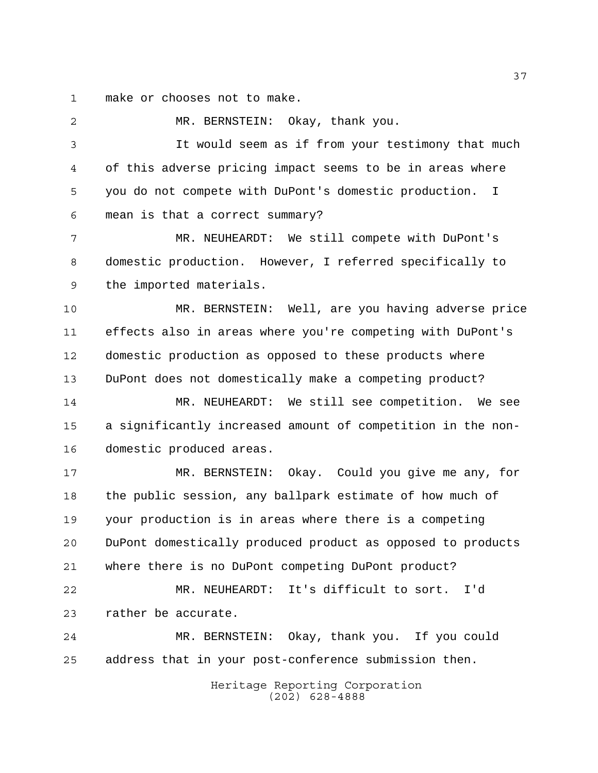make or chooses not to make.

 MR. BERNSTEIN: Okay, thank you. It would seem as if from your testimony that much of this adverse pricing impact seems to be in areas where you do not compete with DuPont's domestic production. I mean is that a correct summary? MR. NEUHEARDT: We still compete with DuPont's domestic production. However, I referred specifically to the imported materials. MR. BERNSTEIN: Well, are you having adverse price effects also in areas where you're competing with DuPont's domestic production as opposed to these products where DuPont does not domestically make a competing product? MR. NEUHEARDT: We still see competition. We see a significantly increased amount of competition in the non- domestic produced areas. MR. BERNSTEIN: Okay. Could you give me any, for the public session, any ballpark estimate of how much of your production is in areas where there is a competing DuPont domestically produced product as opposed to products where there is no DuPont competing DuPont product? MR. NEUHEARDT: It's difficult to sort. I'd rather be accurate. MR. BERNSTEIN: Okay, thank you. If you could address that in your post-conference submission then.

Heritage Reporting Corporation (202) 628-4888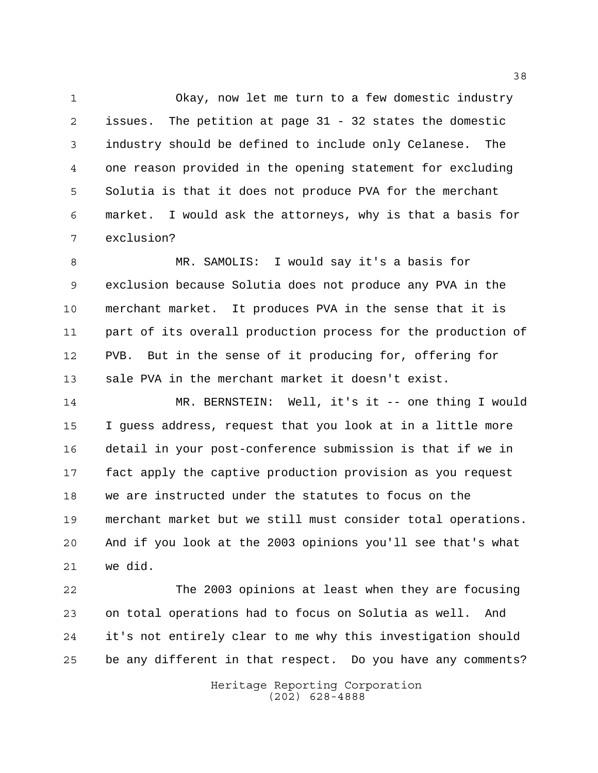Okay, now let me turn to a few domestic industry issues. The petition at page 31 - 32 states the domestic industry should be defined to include only Celanese. The one reason provided in the opening statement for excluding Solutia is that it does not produce PVA for the merchant market. I would ask the attorneys, why is that a basis for exclusion?

 MR. SAMOLIS: I would say it's a basis for exclusion because Solutia does not produce any PVA in the merchant market. It produces PVA in the sense that it is part of its overall production process for the production of PVB. But in the sense of it producing for, offering for sale PVA in the merchant market it doesn't exist.

 MR. BERNSTEIN: Well, it's it -- one thing I would I guess address, request that you look at in a little more detail in your post-conference submission is that if we in fact apply the captive production provision as you request we are instructed under the statutes to focus on the merchant market but we still must consider total operations. And if you look at the 2003 opinions you'll see that's what we did.

 The 2003 opinions at least when they are focusing on total operations had to focus on Solutia as well. And it's not entirely clear to me why this investigation should be any different in that respect. Do you have any comments?

> Heritage Reporting Corporation (202) 628-4888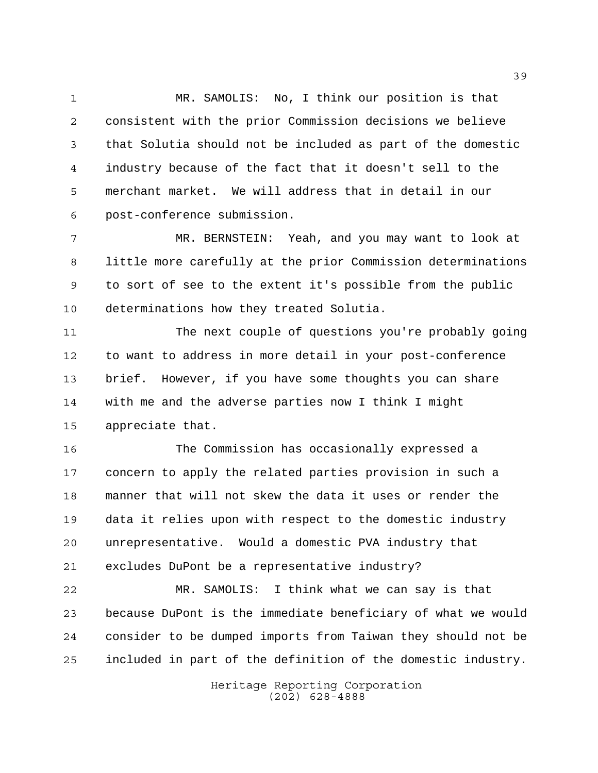MR. SAMOLIS: No, I think our position is that consistent with the prior Commission decisions we believe that Solutia should not be included as part of the domestic industry because of the fact that it doesn't sell to the merchant market. We will address that in detail in our post-conference submission.

 MR. BERNSTEIN: Yeah, and you may want to look at little more carefully at the prior Commission determinations to sort of see to the extent it's possible from the public determinations how they treated Solutia.

 The next couple of questions you're probably going to want to address in more detail in your post-conference brief. However, if you have some thoughts you can share with me and the adverse parties now I think I might appreciate that.

 The Commission has occasionally expressed a concern to apply the related parties provision in such a manner that will not skew the data it uses or render the data it relies upon with respect to the domestic industry unrepresentative. Would a domestic PVA industry that excludes DuPont be a representative industry?

 MR. SAMOLIS: I think what we can say is that because DuPont is the immediate beneficiary of what we would consider to be dumped imports from Taiwan they should not be included in part of the definition of the domestic industry.

> Heritage Reporting Corporation (202) 628-4888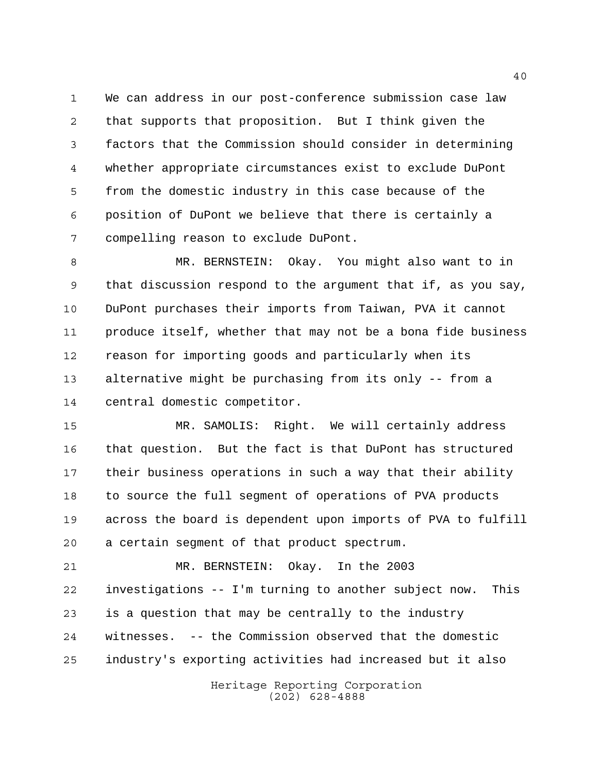We can address in our post-conference submission case law that supports that proposition. But I think given the factors that the Commission should consider in determining whether appropriate circumstances exist to exclude DuPont from the domestic industry in this case because of the position of DuPont we believe that there is certainly a compelling reason to exclude DuPont.

 MR. BERNSTEIN: Okay. You might also want to in that discussion respond to the argument that if, as you say, DuPont purchases their imports from Taiwan, PVA it cannot produce itself, whether that may not be a bona fide business reason for importing goods and particularly when its alternative might be purchasing from its only -- from a central domestic competitor.

 MR. SAMOLIS: Right. We will certainly address that question. But the fact is that DuPont has structured their business operations in such a way that their ability to source the full segment of operations of PVA products across the board is dependent upon imports of PVA to fulfill a certain segment of that product spectrum.

 MR. BERNSTEIN: Okay. In the 2003 investigations -- I'm turning to another subject now. This is a question that may be centrally to the industry witnesses. -- the Commission observed that the domestic industry's exporting activities had increased but it also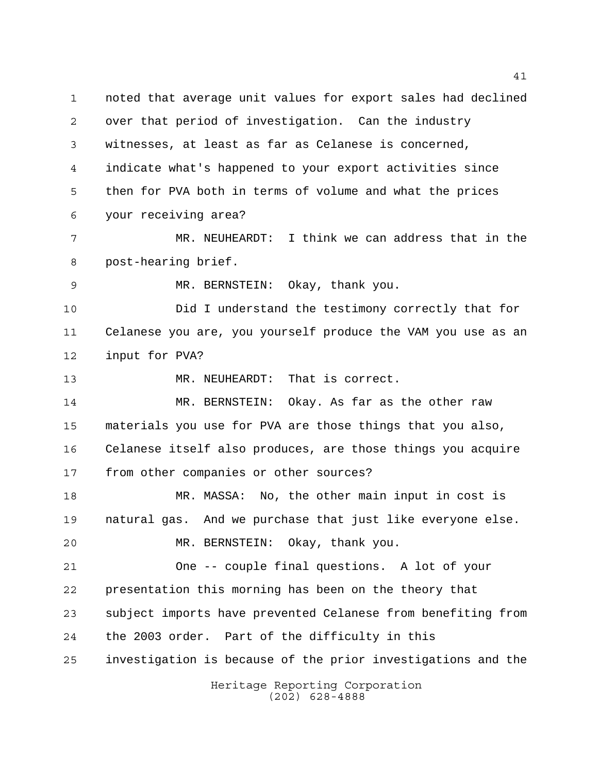Heritage Reporting Corporation noted that average unit values for export sales had declined over that period of investigation. Can the industry witnesses, at least as far as Celanese is concerned, indicate what's happened to your export activities since then for PVA both in terms of volume and what the prices your receiving area? MR. NEUHEARDT: I think we can address that in the post-hearing brief. MR. BERNSTEIN: Okay, thank you. Did I understand the testimony correctly that for Celanese you are, you yourself produce the VAM you use as an input for PVA? MR. NEUHEARDT: That is correct. MR. BERNSTEIN: Okay. As far as the other raw materials you use for PVA are those things that you also, Celanese itself also produces, are those things you acquire from other companies or other sources? MR. MASSA: No, the other main input in cost is natural gas. And we purchase that just like everyone else. MR. BERNSTEIN: Okay, thank you. One -- couple final questions. A lot of your presentation this morning has been on the theory that subject imports have prevented Celanese from benefiting from the 2003 order. Part of the difficulty in this investigation is because of the prior investigations and the

(202) 628-4888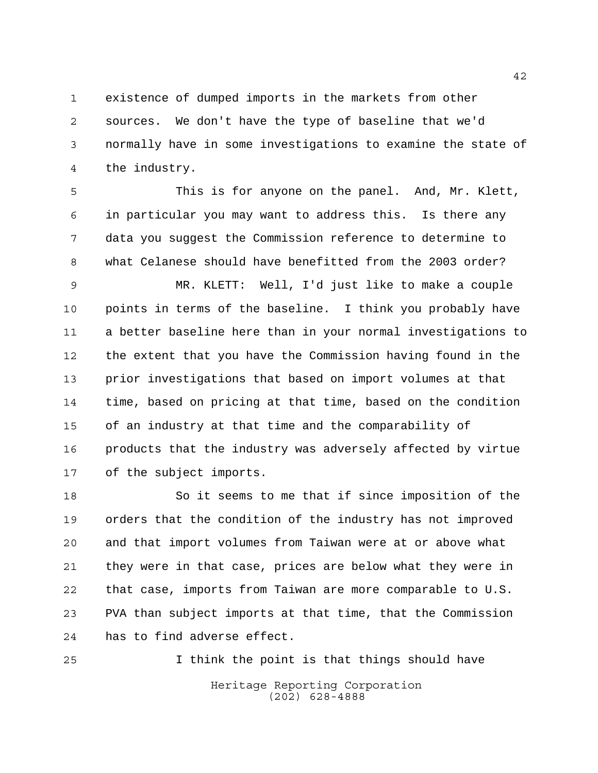existence of dumped imports in the markets from other sources. We don't have the type of baseline that we'd normally have in some investigations to examine the state of

the industry.

 This is for anyone on the panel. And, Mr. Klett, in particular you may want to address this. Is there any data you suggest the Commission reference to determine to what Celanese should have benefitted from the 2003 order?

 MR. KLETT: Well, I'd just like to make a couple points in terms of the baseline. I think you probably have a better baseline here than in your normal investigations to the extent that you have the Commission having found in the prior investigations that based on import volumes at that time, based on pricing at that time, based on the condition of an industry at that time and the comparability of products that the industry was adversely affected by virtue of the subject imports.

 So it seems to me that if since imposition of the orders that the condition of the industry has not improved and that import volumes from Taiwan were at or above what they were in that case, prices are below what they were in that case, imports from Taiwan are more comparable to U.S. PVA than subject imports at that time, that the Commission has to find adverse effect.

I think the point is that things should have

Heritage Reporting Corporation (202) 628-4888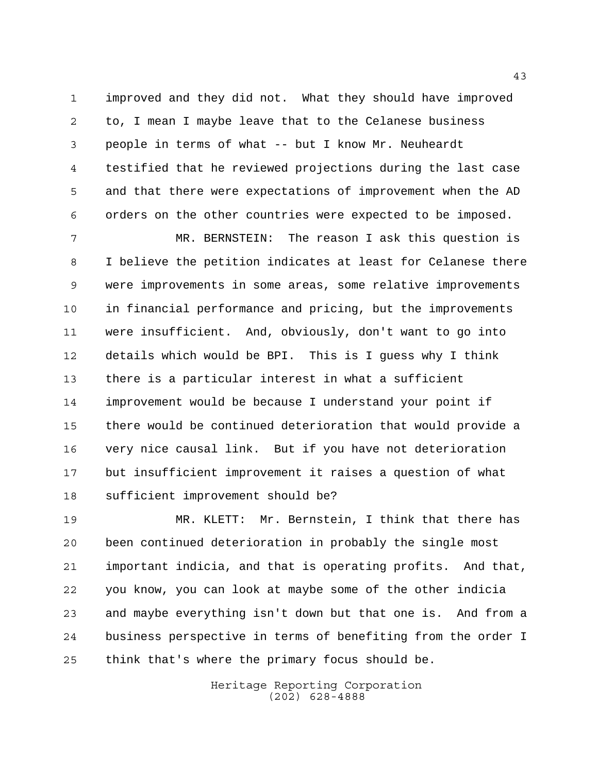improved and they did not. What they should have improved to, I mean I maybe leave that to the Celanese business people in terms of what -- but I know Mr. Neuheardt testified that he reviewed projections during the last case and that there were expectations of improvement when the AD orders on the other countries were expected to be imposed.

 MR. BERNSTEIN: The reason I ask this question is I believe the petition indicates at least for Celanese there were improvements in some areas, some relative improvements in financial performance and pricing, but the improvements were insufficient. And, obviously, don't want to go into details which would be BPI. This is I guess why I think there is a particular interest in what a sufficient improvement would be because I understand your point if there would be continued deterioration that would provide a very nice causal link. But if you have not deterioration but insufficient improvement it raises a question of what sufficient improvement should be?

 MR. KLETT: Mr. Bernstein, I think that there has been continued deterioration in probably the single most important indicia, and that is operating profits. And that, you know, you can look at maybe some of the other indicia and maybe everything isn't down but that one is. And from a business perspective in terms of benefiting from the order I think that's where the primary focus should be.

> Heritage Reporting Corporation (202) 628-4888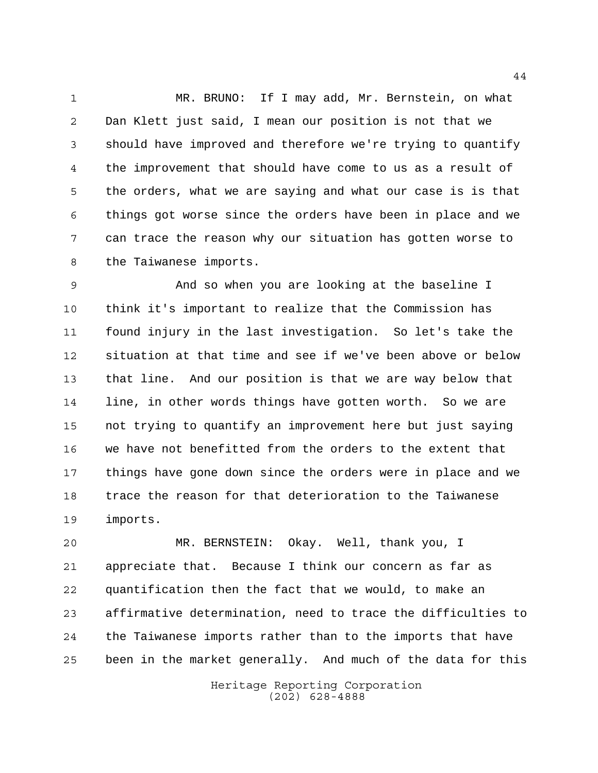MR. BRUNO: If I may add, Mr. Bernstein, on what Dan Klett just said, I mean our position is not that we should have improved and therefore we're trying to quantify the improvement that should have come to us as a result of the orders, what we are saying and what our case is is that things got worse since the orders have been in place and we can trace the reason why our situation has gotten worse to the Taiwanese imports.

 And so when you are looking at the baseline I think it's important to realize that the Commission has found injury in the last investigation. So let's take the situation at that time and see if we've been above or below that line. And our position is that we are way below that line, in other words things have gotten worth. So we are not trying to quantify an improvement here but just saying we have not benefitted from the orders to the extent that things have gone down since the orders were in place and we trace the reason for that deterioration to the Taiwanese imports.

 MR. BERNSTEIN: Okay. Well, thank you, I appreciate that. Because I think our concern as far as quantification then the fact that we would, to make an affirmative determination, need to trace the difficulties to the Taiwanese imports rather than to the imports that have been in the market generally. And much of the data for this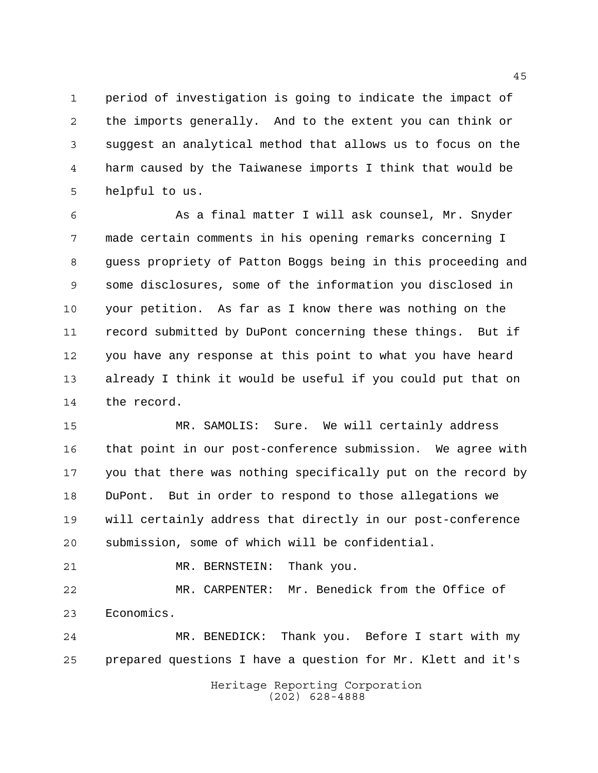period of investigation is going to indicate the impact of the imports generally. And to the extent you can think or suggest an analytical method that allows us to focus on the harm caused by the Taiwanese imports I think that would be helpful to us.

 As a final matter I will ask counsel, Mr. Snyder made certain comments in his opening remarks concerning I guess propriety of Patton Boggs being in this proceeding and some disclosures, some of the information you disclosed in your petition. As far as I know there was nothing on the record submitted by DuPont concerning these things. But if you have any response at this point to what you have heard already I think it would be useful if you could put that on the record.

 MR. SAMOLIS: Sure. We will certainly address that point in our post-conference submission. We agree with you that there was nothing specifically put on the record by DuPont. But in order to respond to those allegations we will certainly address that directly in our post-conference submission, some of which will be confidential.

MR. BERNSTEIN: Thank you.

 MR. CARPENTER: Mr. Benedick from the Office of Economics.

 MR. BENEDICK: Thank you. Before I start with my prepared questions I have a question for Mr. Klett and it's

> Heritage Reporting Corporation (202) 628-4888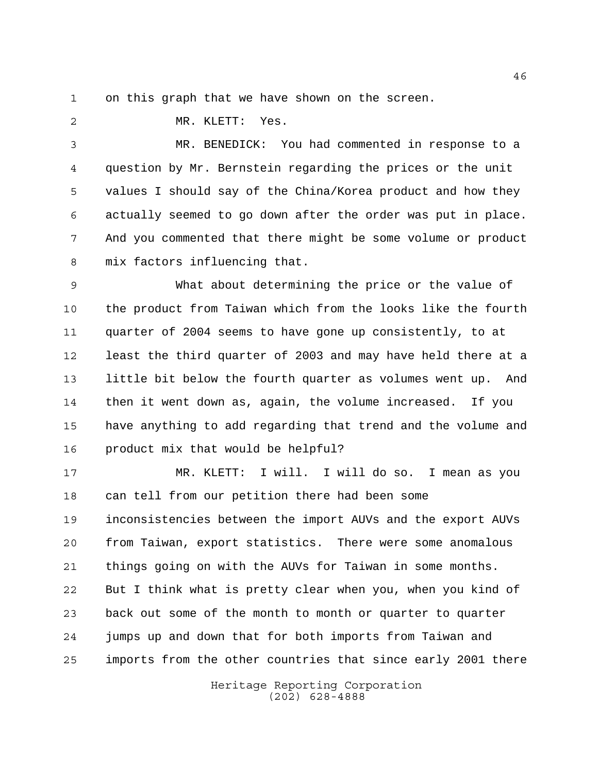on this graph that we have shown on the screen.

MR. KLETT: Yes.

 MR. BENEDICK: You had commented in response to a question by Mr. Bernstein regarding the prices or the unit values I should say of the China/Korea product and how they actually seemed to go down after the order was put in place. And you commented that there might be some volume or product mix factors influencing that.

 What about determining the price or the value of the product from Taiwan which from the looks like the fourth quarter of 2004 seems to have gone up consistently, to at least the third quarter of 2003 and may have held there at a little bit below the fourth quarter as volumes went up. And then it went down as, again, the volume increased. If you have anything to add regarding that trend and the volume and product mix that would be helpful?

 MR. KLETT: I will. I will do so. I mean as you can tell from our petition there had been some inconsistencies between the import AUVs and the export AUVs from Taiwan, export statistics. There were some anomalous things going on with the AUVs for Taiwan in some months. But I think what is pretty clear when you, when you kind of back out some of the month to month or quarter to quarter jumps up and down that for both imports from Taiwan and imports from the other countries that since early 2001 there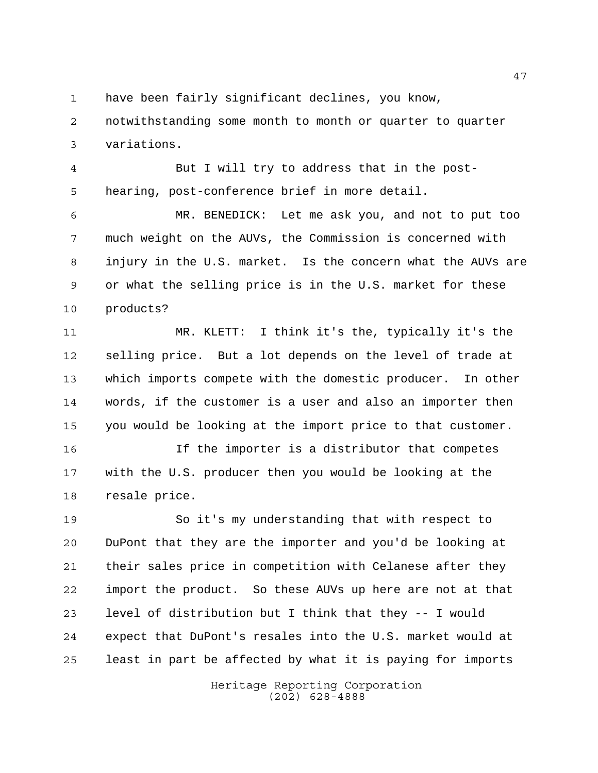have been fairly significant declines, you know,

 notwithstanding some month to month or quarter to quarter variations.

 But I will try to address that in the post-hearing, post-conference brief in more detail.

 MR. BENEDICK: Let me ask you, and not to put too much weight on the AUVs, the Commission is concerned with injury in the U.S. market. Is the concern what the AUVs are or what the selling price is in the U.S. market for these products?

 MR. KLETT: I think it's the, typically it's the selling price. But a lot depends on the level of trade at which imports compete with the domestic producer. In other words, if the customer is a user and also an importer then you would be looking at the import price to that customer.

 If the importer is a distributor that competes with the U.S. producer then you would be looking at the resale price.

 So it's my understanding that with respect to DuPont that they are the importer and you'd be looking at their sales price in competition with Celanese after they import the product. So these AUVs up here are not at that level of distribution but I think that they -- I would expect that DuPont's resales into the U.S. market would at least in part be affected by what it is paying for imports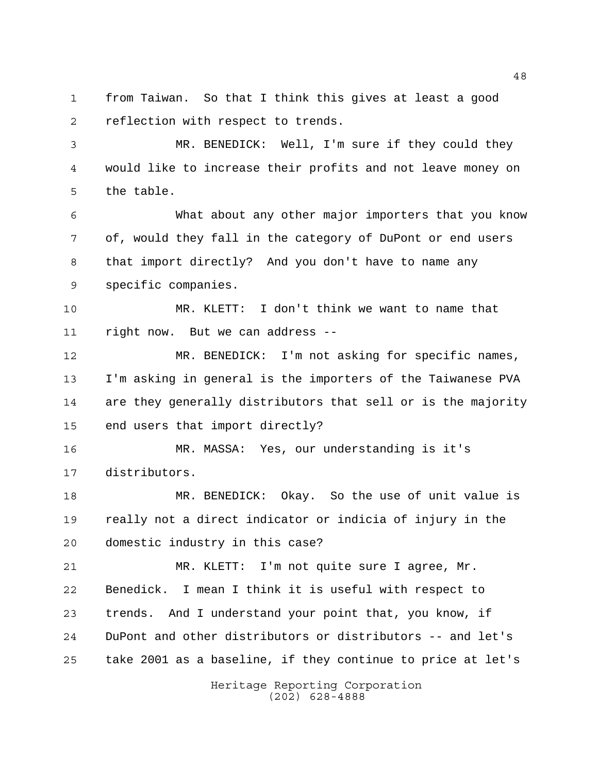from Taiwan. So that I think this gives at least a good reflection with respect to trends.

 MR. BENEDICK: Well, I'm sure if they could they would like to increase their profits and not leave money on the table.

 What about any other major importers that you know of, would they fall in the category of DuPont or end users that import directly? And you don't have to name any specific companies.

 MR. KLETT: I don't think we want to name that right now. But we can address --

 MR. BENEDICK: I'm not asking for specific names, I'm asking in general is the importers of the Taiwanese PVA are they generally distributors that sell or is the majority end users that import directly?

 MR. MASSA: Yes, our understanding is it's distributors.

 MR. BENEDICK: Okay. So the use of unit value is really not a direct indicator or indicia of injury in the domestic industry in this case?

 MR. KLETT: I'm not quite sure I agree, Mr. Benedick. I mean I think it is useful with respect to trends. And I understand your point that, you know, if DuPont and other distributors or distributors -- and let's take 2001 as a baseline, if they continue to price at let's

> Heritage Reporting Corporation (202) 628-4888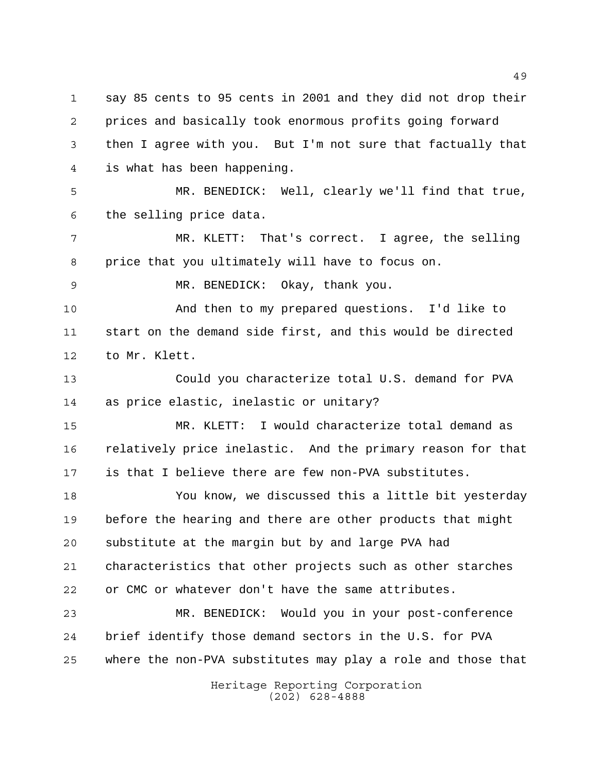say 85 cents to 95 cents in 2001 and they did not drop their prices and basically took enormous profits going forward then I agree with you. But I'm not sure that factually that is what has been happening.

 MR. BENEDICK: Well, clearly we'll find that true, the selling price data.

 MR. KLETT: That's correct. I agree, the selling price that you ultimately will have to focus on.

MR. BENEDICK: Okay, thank you.

 And then to my prepared questions. I'd like to start on the demand side first, and this would be directed to Mr. Klett.

 Could you characterize total U.S. demand for PVA as price elastic, inelastic or unitary?

 MR. KLETT: I would characterize total demand as relatively price inelastic. And the primary reason for that is that I believe there are few non-PVA substitutes.

 You know, we discussed this a little bit yesterday before the hearing and there are other products that might substitute at the margin but by and large PVA had characteristics that other projects such as other starches or CMC or whatever don't have the same attributes.

 MR. BENEDICK: Would you in your post-conference brief identify those demand sectors in the U.S. for PVA where the non-PVA substitutes may play a role and those that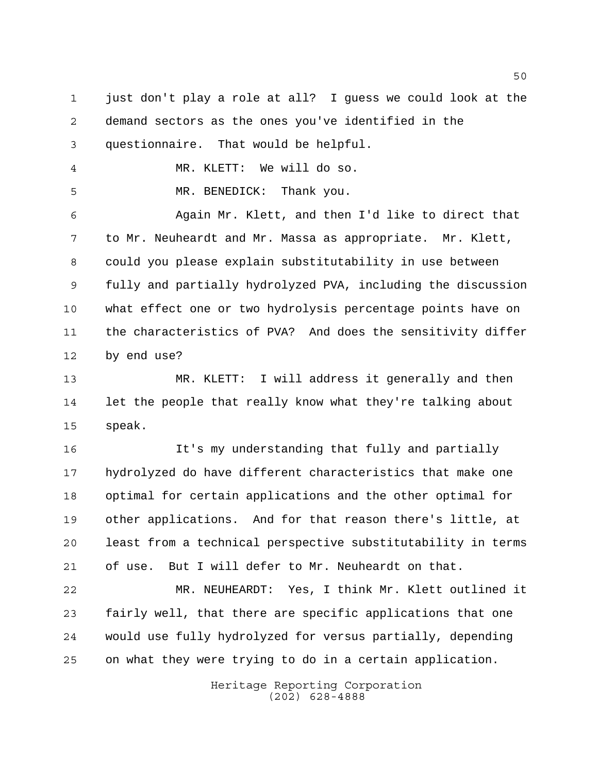just don't play a role at all? I guess we could look at the demand sectors as the ones you've identified in the questionnaire. That would be helpful.

MR. KLETT: We will do so.

MR. BENEDICK: Thank you.

 Again Mr. Klett, and then I'd like to direct that to Mr. Neuheardt and Mr. Massa as appropriate. Mr. Klett, could you please explain substitutability in use between fully and partially hydrolyzed PVA, including the discussion what effect one or two hydrolysis percentage points have on the characteristics of PVA? And does the sensitivity differ by end use?

 MR. KLETT: I will address it generally and then let the people that really know what they're talking about speak.

 It's my understanding that fully and partially hydrolyzed do have different characteristics that make one optimal for certain applications and the other optimal for other applications. And for that reason there's little, at least from a technical perspective substitutability in terms of use. But I will defer to Mr. Neuheardt on that.

 MR. NEUHEARDT: Yes, I think Mr. Klett outlined it fairly well, that there are specific applications that one would use fully hydrolyzed for versus partially, depending on what they were trying to do in a certain application.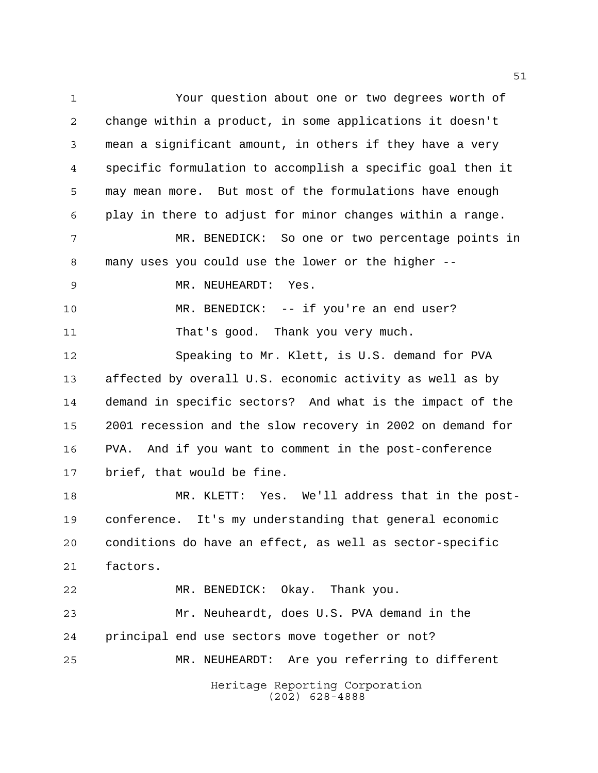Heritage Reporting Corporation (202) 628-4888 Your question about one or two degrees worth of change within a product, in some applications it doesn't mean a significant amount, in others if they have a very specific formulation to accomplish a specific goal then it may mean more. But most of the formulations have enough play in there to adjust for minor changes within a range. MR. BENEDICK: So one or two percentage points in many uses you could use the lower or the higher -- MR. NEUHEARDT: Yes. MR. BENEDICK: -- if you're an end user? 11 That's good. Thank you very much. Speaking to Mr. Klett, is U.S. demand for PVA affected by overall U.S. economic activity as well as by demand in specific sectors? And what is the impact of the 2001 recession and the slow recovery in 2002 on demand for PVA. And if you want to comment in the post-conference brief, that would be fine. MR. KLETT: Yes. We'll address that in the post- conference. It's my understanding that general economic conditions do have an effect, as well as sector-specific factors. MR. BENEDICK: Okay. Thank you. Mr. Neuheardt, does U.S. PVA demand in the principal end use sectors move together or not? MR. NEUHEARDT: Are you referring to different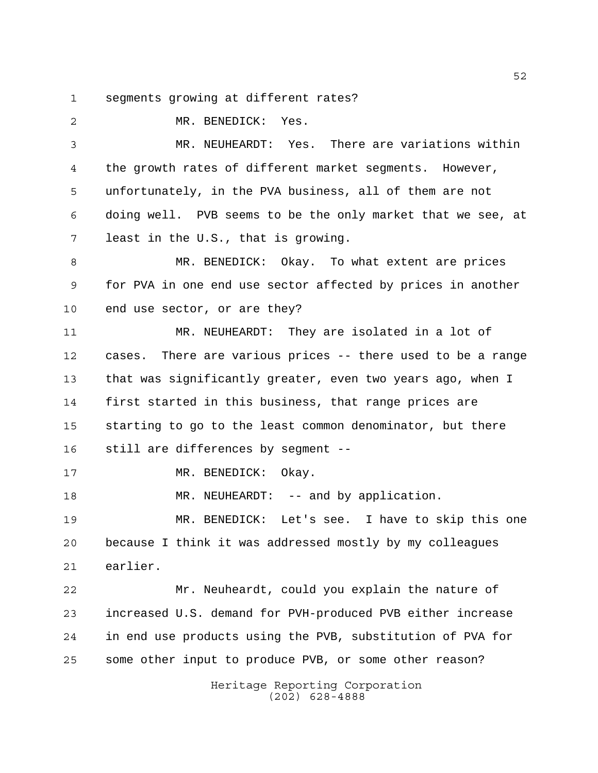segments growing at different rates?

 MR. BENEDICK: Yes. MR. NEUHEARDT: Yes. There are variations within the growth rates of different market segments. However, unfortunately, in the PVA business, all of them are not doing well. PVB seems to be the only market that we see, at least in the U.S., that is growing. MR. BENEDICK: Okay. To what extent are prices for PVA in one end use sector affected by prices in another end use sector, or are they? MR. NEUHEARDT: They are isolated in a lot of cases. There are various prices -- there used to be a range that was significantly greater, even two years ago, when I first started in this business, that range prices are starting to go to the least common denominator, but there still are differences by segment -- 17 MR. BENEDICK: Okay. 18 MR. NEUHEARDT: -- and by application. MR. BENEDICK: Let's see. I have to skip this one because I think it was addressed mostly by my colleagues earlier. Mr. Neuheardt, could you explain the nature of increased U.S. demand for PVH-produced PVB either increase in end use products using the PVB, substitution of PVA for some other input to produce PVB, or some other reason?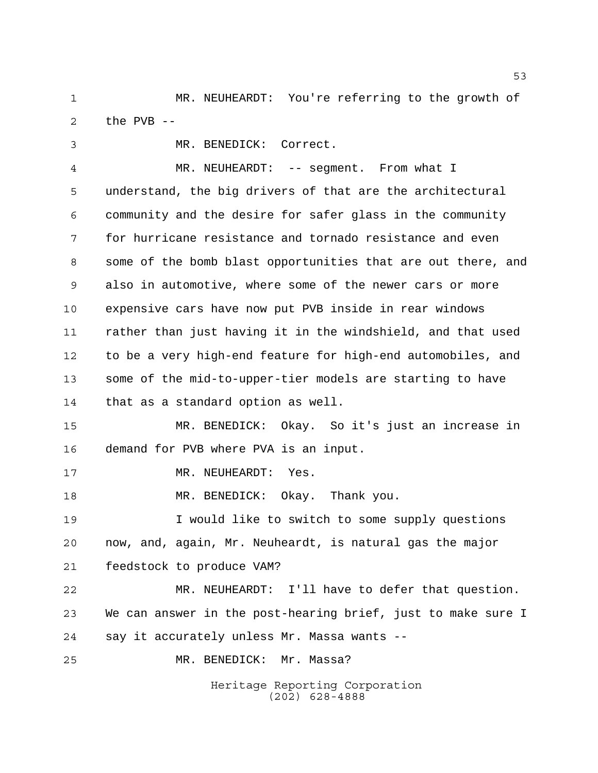MR. NEUHEARDT: You're referring to the growth of the PVB --

Heritage Reporting Corporation MR. BENEDICK: Correct. MR. NEUHEARDT: -- segment. From what I understand, the big drivers of that are the architectural community and the desire for safer glass in the community for hurricane resistance and tornado resistance and even some of the bomb blast opportunities that are out there, and also in automotive, where some of the newer cars or more expensive cars have now put PVB inside in rear windows rather than just having it in the windshield, and that used to be a very high-end feature for high-end automobiles, and some of the mid-to-upper-tier models are starting to have that as a standard option as well. MR. BENEDICK: Okay. So it's just an increase in demand for PVB where PVA is an input. 17 MR. NEUHEARDT: Yes. MR. BENEDICK: Okay. Thank you. I would like to switch to some supply questions now, and, again, Mr. Neuheardt, is natural gas the major feedstock to produce VAM? MR. NEUHEARDT: I'll have to defer that question. We can answer in the post-hearing brief, just to make sure I say it accurately unless Mr. Massa wants -- MR. BENEDICK: Mr. Massa?

(202) 628-4888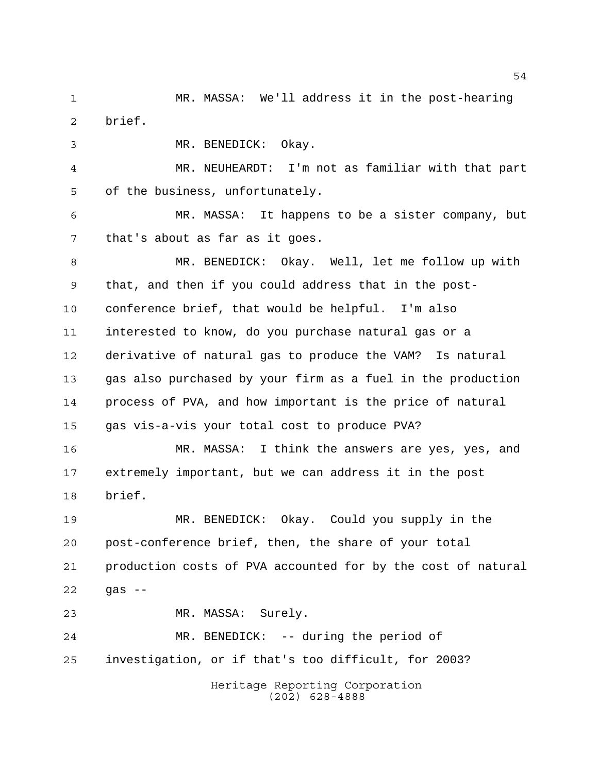MR. MASSA: We'll address it in the post-hearing brief.

MR. BENEDICK: Okay.

 MR. NEUHEARDT: I'm not as familiar with that part of the business, unfortunately.

 MR. MASSA: It happens to be a sister company, but that's about as far as it goes.

 MR. BENEDICK: Okay. Well, let me follow up with that, and then if you could address that in the post- conference brief, that would be helpful. I'm also interested to know, do you purchase natural gas or a derivative of natural gas to produce the VAM? Is natural gas also purchased by your firm as a fuel in the production process of PVA, and how important is the price of natural gas vis-a-vis your total cost to produce PVA?

 MR. MASSA: I think the answers are yes, yes, and extremely important, but we can address it in the post brief.

 MR. BENEDICK: Okay. Could you supply in the post-conference brief, then, the share of your total production costs of PVA accounted for by the cost of natural  $22 \frac{9aS - - }{6aS - - }$ 

MR. MASSA: Surely.

 MR. BENEDICK: -- during the period of investigation, or if that's too difficult, for 2003?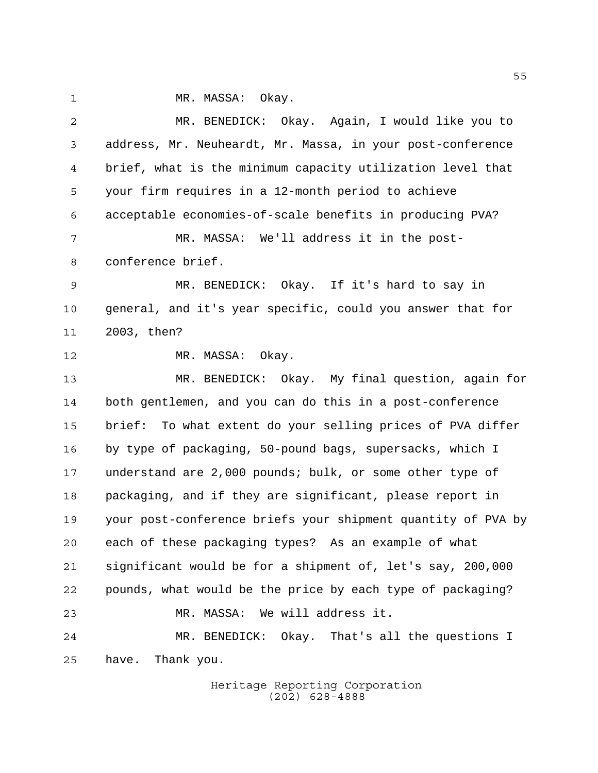1 MR. MASSA: Okay.

| $\overline{2}$ | MR. BENEDICK: Okay. Again, I would like you to                |
|----------------|---------------------------------------------------------------|
| 3              | address, Mr. Neuheardt, Mr. Massa, in your post-conference    |
| 4              | brief, what is the minimum capacity utilization level that    |
| 5              | your firm requires in a 12-month period to achieve            |
| 6              | acceptable economies-of-scale benefits in producing PVA?      |
| 7              | MR. MASSA: We'll address it in the post-                      |
| 8              | conference brief.                                             |
| 9              | MR. BENEDICK: Okay. If it's hard to say in                    |
| 10             | general, and it's year specific, could you answer that for    |
| 11             | 2003, then?                                                   |
| 12             | MR. MASSA: Okay.                                              |
| 13             | MR. BENEDICK: Okay. My final question, again for              |
| 14             | both gentlemen, and you can do this in a post-conference      |
| 15             | To what extent do your selling prices of PVA differ<br>brief: |
| 16             | by type of packaging, 50-pound bags, supersacks, which I      |
| 17             | understand are 2,000 pounds; bulk, or some other type of      |
| 18             | packaging, and if they are significant, please report in      |
| 19             | your post-conference briefs your shipment quantity of PVA by  |
| 20             | each of these packaging types? As an example of what          |
| 21             | significant would be for a shipment of, let's say, 200,000    |
| 22             | pounds, what would be the price by each type of packaging?    |
| 23             | MR. MASSA: We will address it.                                |
| 24             | MR. BENEDICK: Okay. That's all the questions I                |
| 25             | have.<br>Thank you.                                           |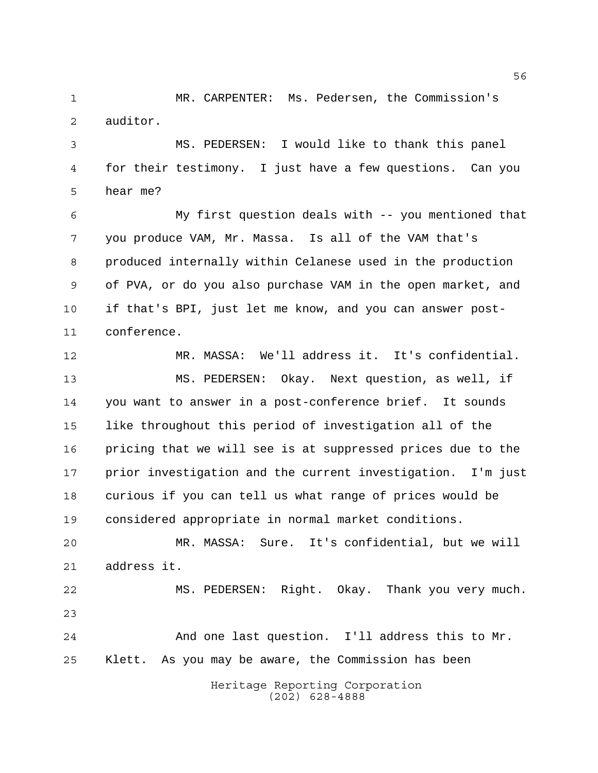MR. CARPENTER: Ms. Pedersen, the Commission's auditor.

 MS. PEDERSEN: I would like to thank this panel for their testimony. I just have a few questions. Can you hear me?

 My first question deals with -- you mentioned that you produce VAM, Mr. Massa. Is all of the VAM that's produced internally within Celanese used in the production of PVA, or do you also purchase VAM in the open market, and if that's BPI, just let me know, and you can answer post-conference.

 MR. MASSA: We'll address it. It's confidential. MS. PEDERSEN: Okay. Next question, as well, if you want to answer in a post-conference brief. It sounds like throughout this period of investigation all of the pricing that we will see is at suppressed prices due to the prior investigation and the current investigation. I'm just curious if you can tell us what range of prices would be considered appropriate in normal market conditions.

 MR. MASSA: Sure. It's confidential, but we will address it.

 MS. PEDERSEN: Right. Okay. Thank you very much. 

 And one last question. I'll address this to Mr. Klett. As you may be aware, the Commission has been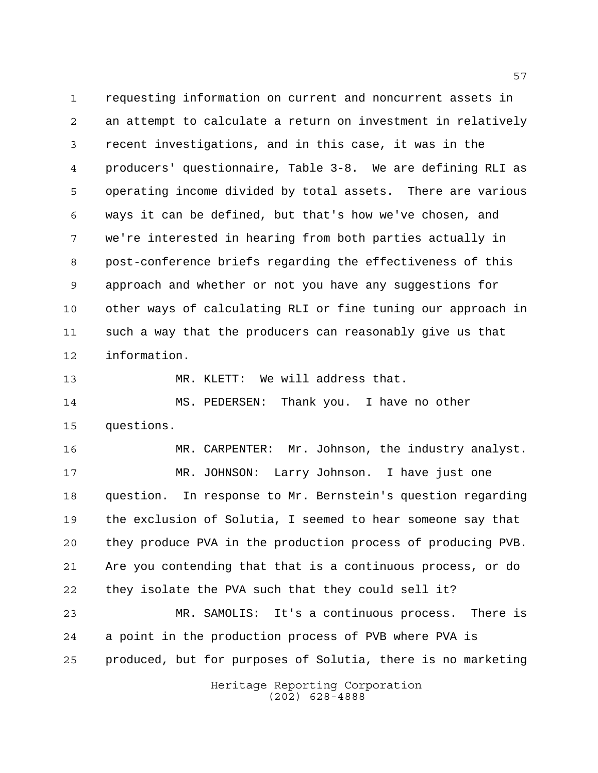requesting information on current and noncurrent assets in an attempt to calculate a return on investment in relatively recent investigations, and in this case, it was in the producers' questionnaire, Table 3-8. We are defining RLI as operating income divided by total assets. There are various ways it can be defined, but that's how we've chosen, and we're interested in hearing from both parties actually in post-conference briefs regarding the effectiveness of this approach and whether or not you have any suggestions for other ways of calculating RLI or fine tuning our approach in such a way that the producers can reasonably give us that information.

MR. KLETT: We will address that.

 MS. PEDERSEN: Thank you. I have no other questions.

16 MR. CARPENTER: Mr. Johnson, the industry analyst. MR. JOHNSON: Larry Johnson. I have just one question. In response to Mr. Bernstein's question regarding the exclusion of Solutia, I seemed to hear someone say that they produce PVA in the production process of producing PVB. Are you contending that that is a continuous process, or do they isolate the PVA such that they could sell it?

 MR. SAMOLIS: It's a continuous process. There is a point in the production process of PVB where PVA is produced, but for purposes of Solutia, there is no marketing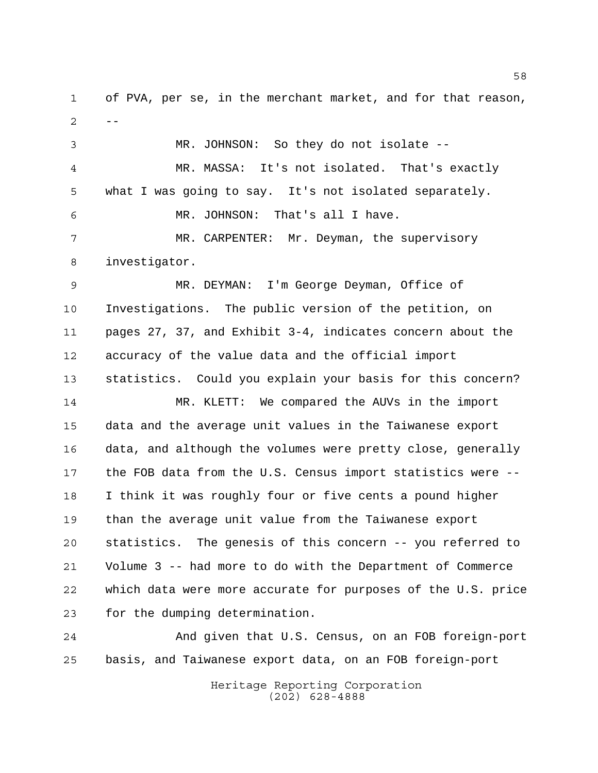of PVA, per se, in the merchant market, and for that reason,  $2 - -$ 

 MR. JOHNSON: So they do not isolate -- MR. MASSA: It's not isolated. That's exactly what I was going to say. It's not isolated separately. MR. JOHNSON: That's all I have. MR. CARPENTER: Mr. Deyman, the supervisory investigator.

 MR. DEYMAN: I'm George Deyman, Office of Investigations. The public version of the petition, on pages 27, 37, and Exhibit 3-4, indicates concern about the accuracy of the value data and the official import statistics. Could you explain your basis for this concern?

 MR. KLETT: We compared the AUVs in the import data and the average unit values in the Taiwanese export data, and although the volumes were pretty close, generally the FOB data from the U.S. Census import statistics were -- I think it was roughly four or five cents a pound higher than the average unit value from the Taiwanese export statistics. The genesis of this concern -- you referred to Volume 3 -- had more to do with the Department of Commerce which data were more accurate for purposes of the U.S. price for the dumping determination.

 And given that U.S. Census, on an FOB foreign-port basis, and Taiwanese export data, on an FOB foreign-port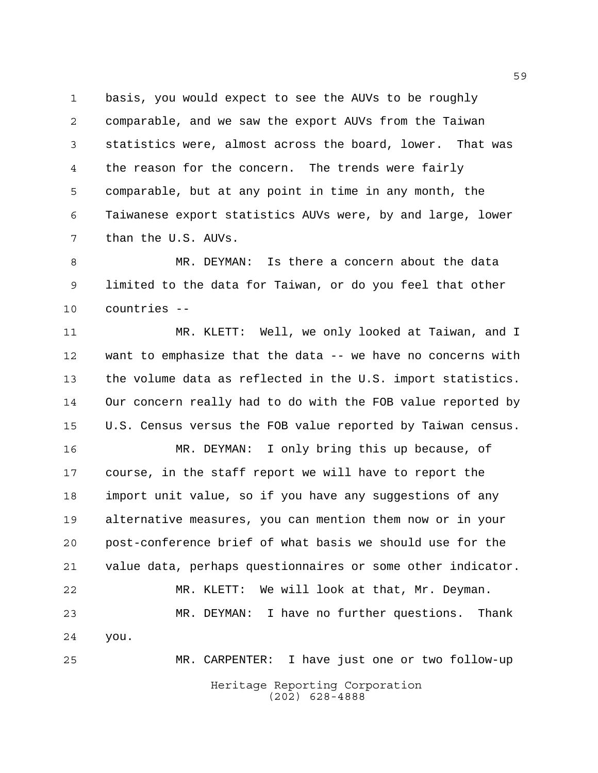basis, you would expect to see the AUVs to be roughly comparable, and we saw the export AUVs from the Taiwan statistics were, almost across the board, lower. That was the reason for the concern. The trends were fairly comparable, but at any point in time in any month, the Taiwanese export statistics AUVs were, by and large, lower than the U.S. AUVs.

 MR. DEYMAN: Is there a concern about the data limited to the data for Taiwan, or do you feel that other countries --

 MR. KLETT: Well, we only looked at Taiwan, and I want to emphasize that the data -- we have no concerns with the volume data as reflected in the U.S. import statistics. Our concern really had to do with the FOB value reported by U.S. Census versus the FOB value reported by Taiwan census.

 MR. DEYMAN: I only bring this up because, of course, in the staff report we will have to report the import unit value, so if you have any suggestions of any alternative measures, you can mention them now or in your post-conference brief of what basis we should use for the value data, perhaps questionnaires or some other indicator. MR. KLETT: We will look at that, Mr. Deyman. MR. DEYMAN: I have no further questions. Thank you. MR. CARPENTER: I have just one or two follow-up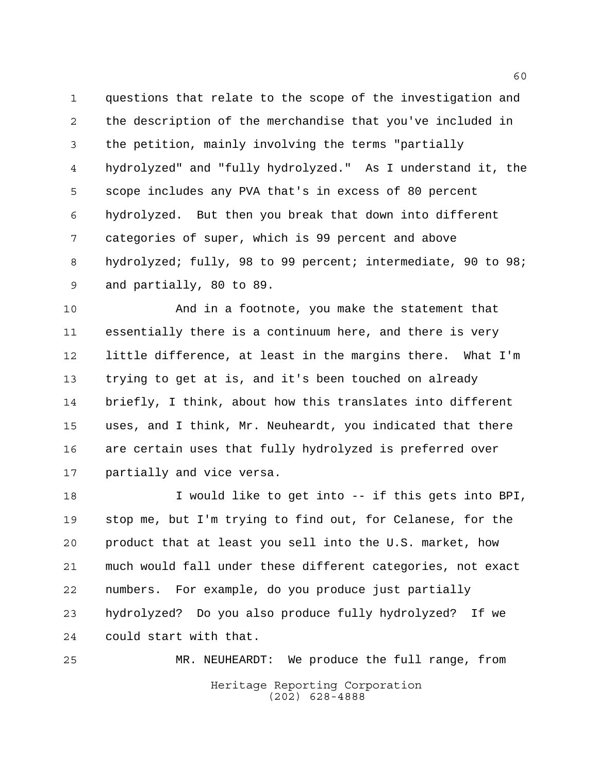questions that relate to the scope of the investigation and the description of the merchandise that you've included in the petition, mainly involving the terms "partially hydrolyzed" and "fully hydrolyzed." As I understand it, the scope includes any PVA that's in excess of 80 percent hydrolyzed. But then you break that down into different categories of super, which is 99 percent and above hydrolyzed; fully, 98 to 99 percent; intermediate, 90 to 98; and partially, 80 to 89.

 And in a footnote, you make the statement that essentially there is a continuum here, and there is very little difference, at least in the margins there. What I'm trying to get at is, and it's been touched on already briefly, I think, about how this translates into different uses, and I think, Mr. Neuheardt, you indicated that there are certain uses that fully hydrolyzed is preferred over partially and vice versa.

 I would like to get into -- if this gets into BPI, stop me, but I'm trying to find out, for Celanese, for the product that at least you sell into the U.S. market, how much would fall under these different categories, not exact numbers. For example, do you produce just partially hydrolyzed? Do you also produce fully hydrolyzed? If we could start with that.

Heritage Reporting Corporation (202) 628-4888 MR. NEUHEARDT: We produce the full range, from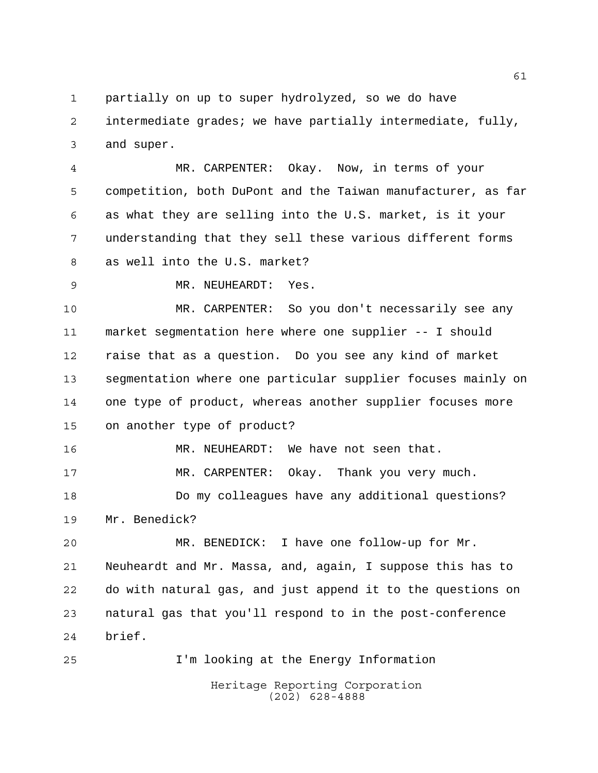partially on up to super hydrolyzed, so we do have

 intermediate grades; we have partially intermediate, fully, and super.

 MR. CARPENTER: Okay. Now, in terms of your competition, both DuPont and the Taiwan manufacturer, as far as what they are selling into the U.S. market, is it your understanding that they sell these various different forms as well into the U.S. market?

MR. NEUHEARDT: Yes.

 MR. CARPENTER: So you don't necessarily see any market segmentation here where one supplier -- I should raise that as a question. Do you see any kind of market segmentation where one particular supplier focuses mainly on one type of product, whereas another supplier focuses more on another type of product?

 MR. NEUHEARDT: We have not seen that. MR. CARPENTER: Okay. Thank you very much. Do my colleagues have any additional questions? Mr. Benedick?

 MR. BENEDICK: I have one follow-up for Mr. Neuheardt and Mr. Massa, and, again, I suppose this has to do with natural gas, and just append it to the questions on natural gas that you'll respond to in the post-conference brief.

I'm looking at the Energy Information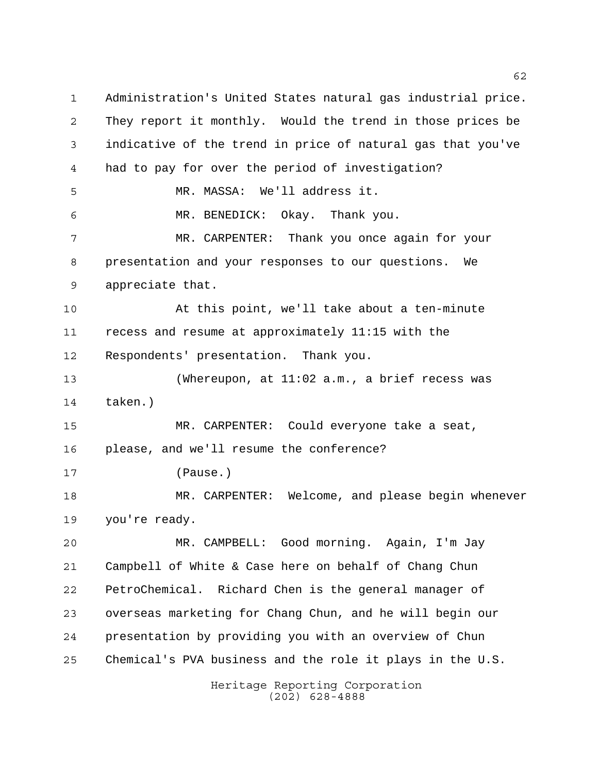Administration's United States natural gas industrial price. They report it monthly. Would the trend in those prices be indicative of the trend in price of natural gas that you've had to pay for over the period of investigation? MR. MASSA: We'll address it. MR. BENEDICK: Okay. Thank you. MR. CARPENTER: Thank you once again for your presentation and your responses to our questions. We appreciate that. At this point, we'll take about a ten-minute recess and resume at approximately 11:15 with the Respondents' presentation. Thank you. (Whereupon, at 11:02 a.m., a brief recess was taken.) MR. CARPENTER: Could everyone take a seat, please, and we'll resume the conference? (Pause.) MR. CARPENTER: Welcome, and please begin whenever you're ready. MR. CAMPBELL: Good morning. Again, I'm Jay Campbell of White & Case here on behalf of Chang Chun PetroChemical. Richard Chen is the general manager of overseas marketing for Chang Chun, and he will begin our presentation by providing you with an overview of Chun Chemical's PVA business and the role it plays in the U.S.

Heritage Reporting Corporation (202) 628-4888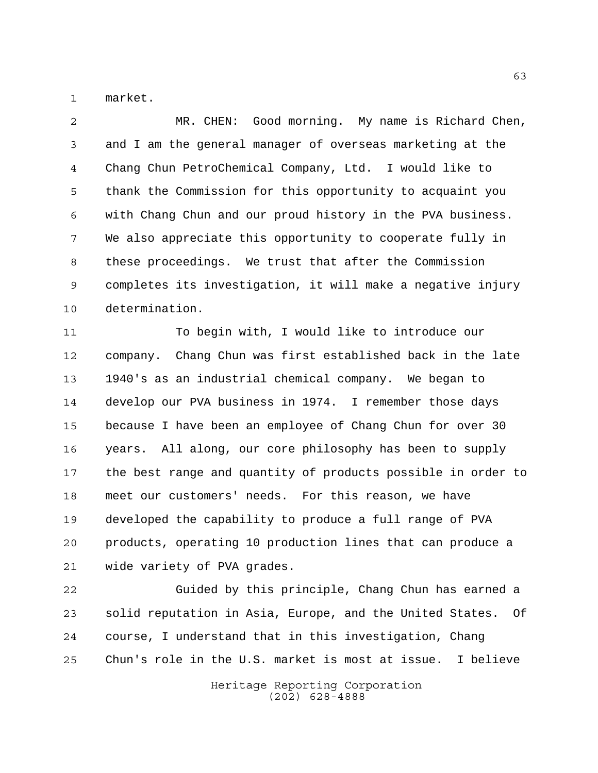market.

 MR. CHEN: Good morning. My name is Richard Chen, and I am the general manager of overseas marketing at the Chang Chun PetroChemical Company, Ltd. I would like to thank the Commission for this opportunity to acquaint you with Chang Chun and our proud history in the PVA business. We also appreciate this opportunity to cooperate fully in these proceedings. We trust that after the Commission completes its investigation, it will make a negative injury determination.

 To begin with, I would like to introduce our company. Chang Chun was first established back in the late 1940's as an industrial chemical company. We began to develop our PVA business in 1974. I remember those days because I have been an employee of Chang Chun for over 30 years. All along, our core philosophy has been to supply the best range and quantity of products possible in order to meet our customers' needs. For this reason, we have developed the capability to produce a full range of PVA products, operating 10 production lines that can produce a wide variety of PVA grades.

 Guided by this principle, Chang Chun has earned a solid reputation in Asia, Europe, and the United States. Of course, I understand that in this investigation, Chang Chun's role in the U.S. market is most at issue. I believe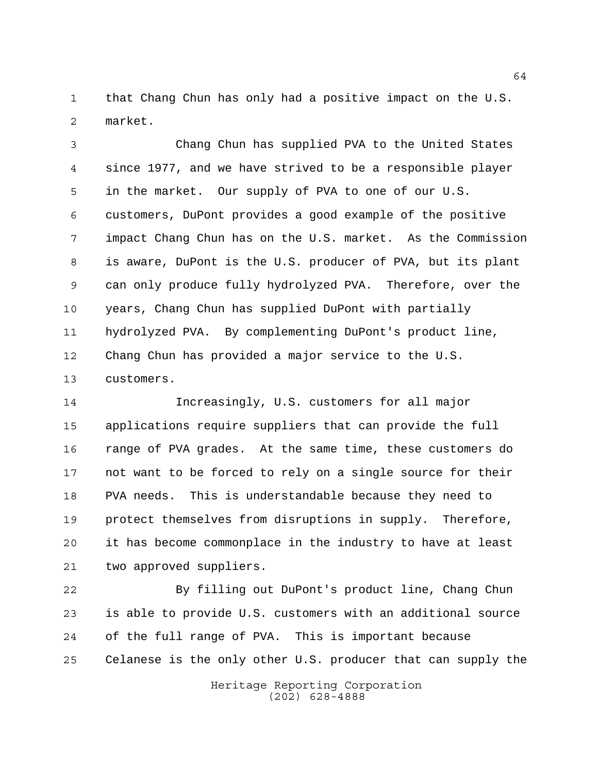that Chang Chun has only had a positive impact on the U.S. market.

 Chang Chun has supplied PVA to the United States since 1977, and we have strived to be a responsible player in the market. Our supply of PVA to one of our U.S. customers, DuPont provides a good example of the positive impact Chang Chun has on the U.S. market. As the Commission is aware, DuPont is the U.S. producer of PVA, but its plant can only produce fully hydrolyzed PVA. Therefore, over the years, Chang Chun has supplied DuPont with partially hydrolyzed PVA. By complementing DuPont's product line, Chang Chun has provided a major service to the U.S. customers.

 Increasingly, U.S. customers for all major applications require suppliers that can provide the full range of PVA grades. At the same time, these customers do not want to be forced to rely on a single source for their PVA needs. This is understandable because they need to protect themselves from disruptions in supply. Therefore, it has become commonplace in the industry to have at least two approved suppliers.

 By filling out DuPont's product line, Chang Chun is able to provide U.S. customers with an additional source of the full range of PVA. This is important because Celanese is the only other U.S. producer that can supply the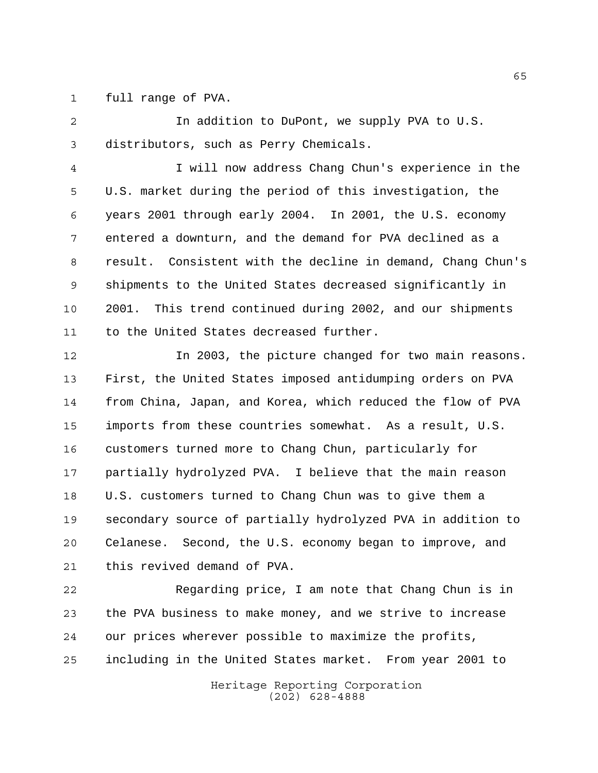full range of PVA.

 In addition to DuPont, we supply PVA to U.S. distributors, such as Perry Chemicals.

 I will now address Chang Chun's experience in the U.S. market during the period of this investigation, the years 2001 through early 2004. In 2001, the U.S. economy entered a downturn, and the demand for PVA declined as a result. Consistent with the decline in demand, Chang Chun's shipments to the United States decreased significantly in 2001. This trend continued during 2002, and our shipments to the United States decreased further.

 In 2003, the picture changed for two main reasons. First, the United States imposed antidumping orders on PVA from China, Japan, and Korea, which reduced the flow of PVA imports from these countries somewhat. As a result, U.S. customers turned more to Chang Chun, particularly for partially hydrolyzed PVA. I believe that the main reason U.S. customers turned to Chang Chun was to give them a secondary source of partially hydrolyzed PVA in addition to Celanese. Second, the U.S. economy began to improve, and this revived demand of PVA.

 Regarding price, I am note that Chang Chun is in the PVA business to make money, and we strive to increase our prices wherever possible to maximize the profits, including in the United States market. From year 2001 to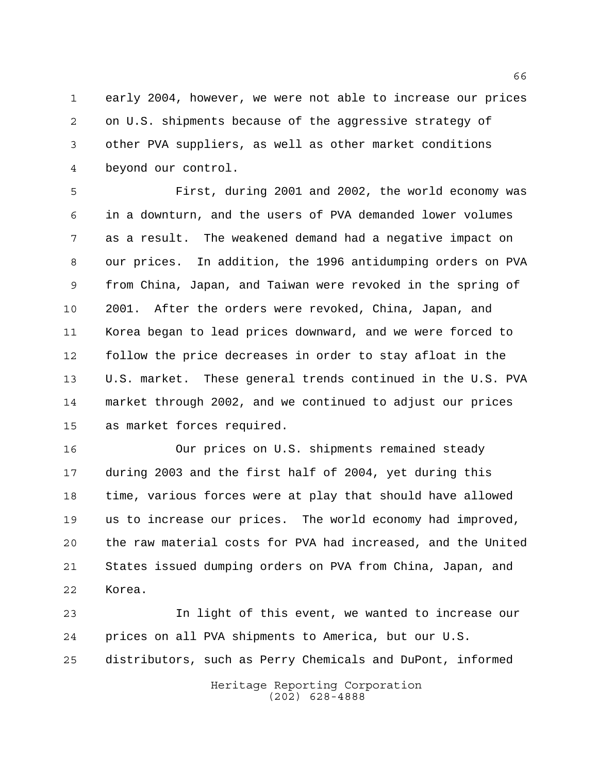early 2004, however, we were not able to increase our prices on U.S. shipments because of the aggressive strategy of other PVA suppliers, as well as other market conditions beyond our control.

 First, during 2001 and 2002, the world economy was in a downturn, and the users of PVA demanded lower volumes as a result. The weakened demand had a negative impact on our prices. In addition, the 1996 antidumping orders on PVA from China, Japan, and Taiwan were revoked in the spring of 2001. After the orders were revoked, China, Japan, and Korea began to lead prices downward, and we were forced to follow the price decreases in order to stay afloat in the U.S. market. These general trends continued in the U.S. PVA market through 2002, and we continued to adjust our prices as market forces required.

 Our prices on U.S. shipments remained steady during 2003 and the first half of 2004, yet during this time, various forces were at play that should have allowed us to increase our prices. The world economy had improved, the raw material costs for PVA had increased, and the United States issued dumping orders on PVA from China, Japan, and Korea.

 In light of this event, we wanted to increase our prices on all PVA shipments to America, but our U.S. distributors, such as Perry Chemicals and DuPont, informed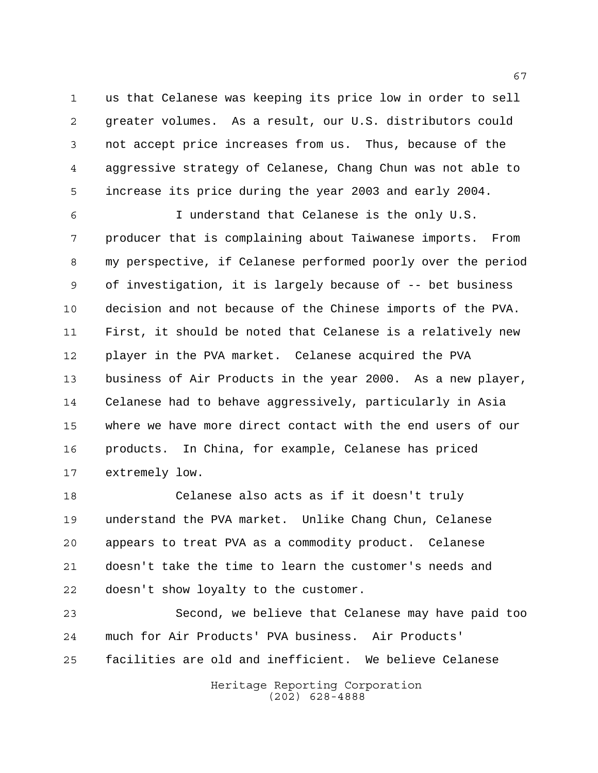us that Celanese was keeping its price low in order to sell greater volumes. As a result, our U.S. distributors could not accept price increases from us. Thus, because of the aggressive strategy of Celanese, Chang Chun was not able to increase its price during the year 2003 and early 2004.

 I understand that Celanese is the only U.S. producer that is complaining about Taiwanese imports. From my perspective, if Celanese performed poorly over the period of investigation, it is largely because of -- bet business decision and not because of the Chinese imports of the PVA. First, it should be noted that Celanese is a relatively new player in the PVA market. Celanese acquired the PVA business of Air Products in the year 2000. As a new player, Celanese had to behave aggressively, particularly in Asia where we have more direct contact with the end users of our products. In China, for example, Celanese has priced extremely low.

 Celanese also acts as if it doesn't truly understand the PVA market. Unlike Chang Chun, Celanese appears to treat PVA as a commodity product. Celanese doesn't take the time to learn the customer's needs and doesn't show loyalty to the customer.

 Second, we believe that Celanese may have paid too much for Air Products' PVA business. Air Products' facilities are old and inefficient. We believe Celanese

> Heritage Reporting Corporation (202) 628-4888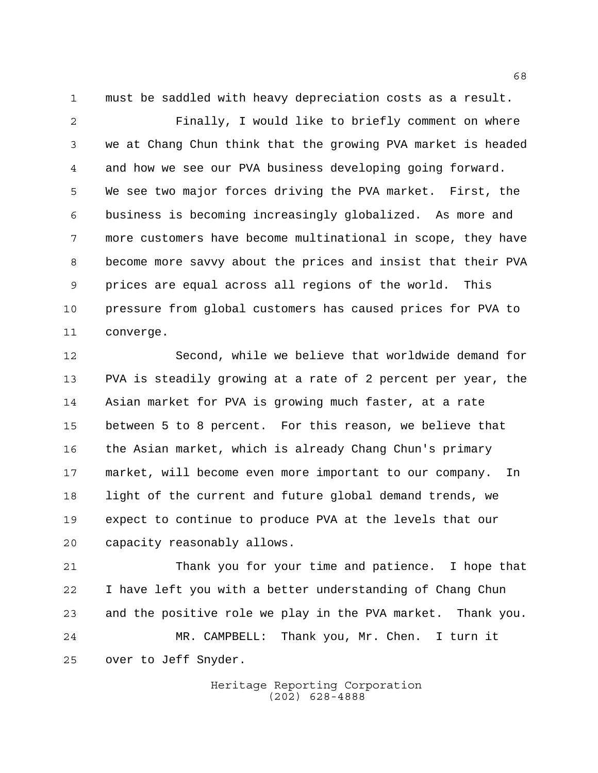must be saddled with heavy depreciation costs as a result.

 Finally, I would like to briefly comment on where we at Chang Chun think that the growing PVA market is headed and how we see our PVA business developing going forward. We see two major forces driving the PVA market. First, the business is becoming increasingly globalized. As more and more customers have become multinational in scope, they have become more savvy about the prices and insist that their PVA prices are equal across all regions of the world. This pressure from global customers has caused prices for PVA to converge.

 Second, while we believe that worldwide demand for PVA is steadily growing at a rate of 2 percent per year, the Asian market for PVA is growing much faster, at a rate between 5 to 8 percent. For this reason, we believe that the Asian market, which is already Chang Chun's primary market, will become even more important to our company. In light of the current and future global demand trends, we expect to continue to produce PVA at the levels that our capacity reasonably allows.

 Thank you for your time and patience. I hope that I have left you with a better understanding of Chang Chun and the positive role we play in the PVA market. Thank you. MR. CAMPBELL: Thank you, Mr. Chen. I turn it over to Jeff Snyder.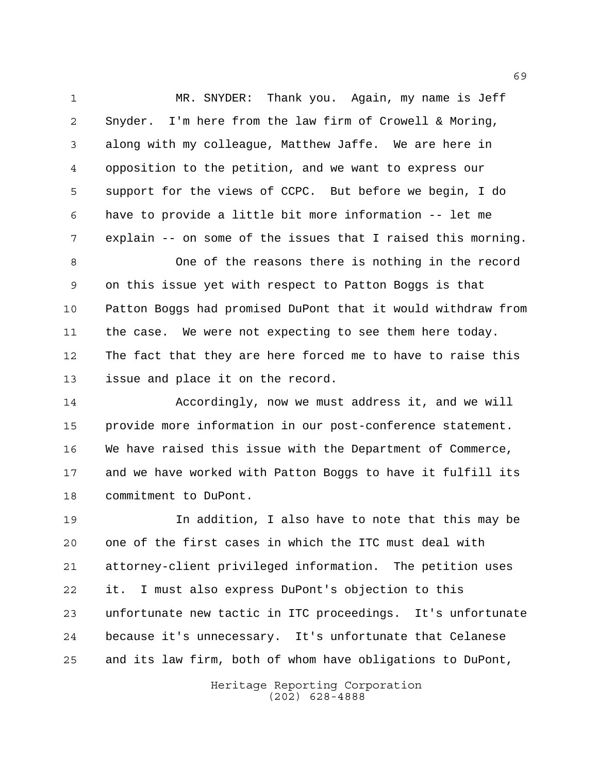MR. SNYDER: Thank you. Again, my name is Jeff Snyder. I'm here from the law firm of Crowell & Moring, along with my colleague, Matthew Jaffe. We are here in opposition to the petition, and we want to express our support for the views of CCPC. But before we begin, I do have to provide a little bit more information -- let me explain -- on some of the issues that I raised this morning.

 One of the reasons there is nothing in the record on this issue yet with respect to Patton Boggs is that Patton Boggs had promised DuPont that it would withdraw from the case. We were not expecting to see them here today. The fact that they are here forced me to have to raise this issue and place it on the record.

 Accordingly, now we must address it, and we will provide more information in our post-conference statement. We have raised this issue with the Department of Commerce, and we have worked with Patton Boggs to have it fulfill its commitment to DuPont.

 In addition, I also have to note that this may be one of the first cases in which the ITC must deal with attorney-client privileged information. The petition uses it. I must also express DuPont's objection to this unfortunate new tactic in ITC proceedings. It's unfortunate because it's unnecessary. It's unfortunate that Celanese and its law firm, both of whom have obligations to DuPont,

> Heritage Reporting Corporation (202) 628-4888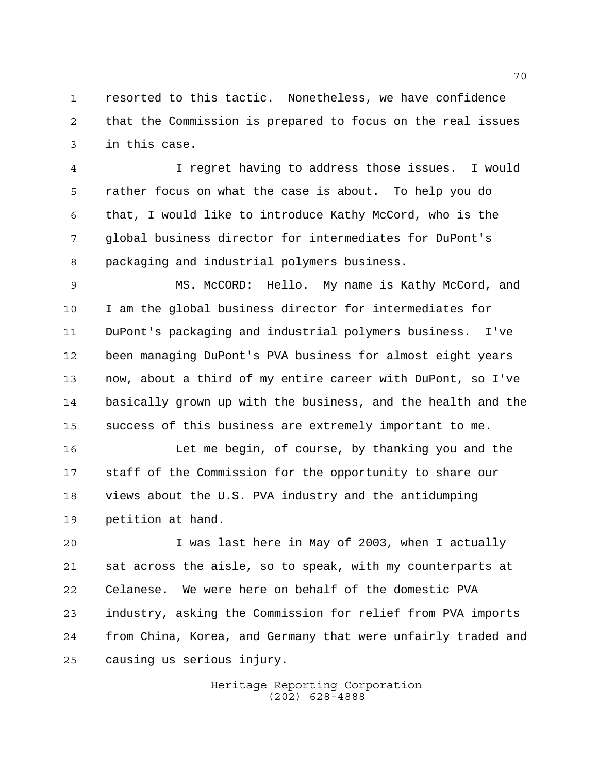resorted to this tactic. Nonetheless, we have confidence that the Commission is prepared to focus on the real issues in this case.

 I regret having to address those issues. I would rather focus on what the case is about. To help you do that, I would like to introduce Kathy McCord, who is the global business director for intermediates for DuPont's packaging and industrial polymers business.

 MS. McCORD: Hello. My name is Kathy McCord, and I am the global business director for intermediates for DuPont's packaging and industrial polymers business. I've been managing DuPont's PVA business for almost eight years now, about a third of my entire career with DuPont, so I've basically grown up with the business, and the health and the success of this business are extremely important to me.

 Let me begin, of course, by thanking you and the staff of the Commission for the opportunity to share our views about the U.S. PVA industry and the antidumping petition at hand.

 I was last here in May of 2003, when I actually sat across the aisle, so to speak, with my counterparts at Celanese. We were here on behalf of the domestic PVA industry, asking the Commission for relief from PVA imports from China, Korea, and Germany that were unfairly traded and causing us serious injury.

> Heritage Reporting Corporation (202) 628-4888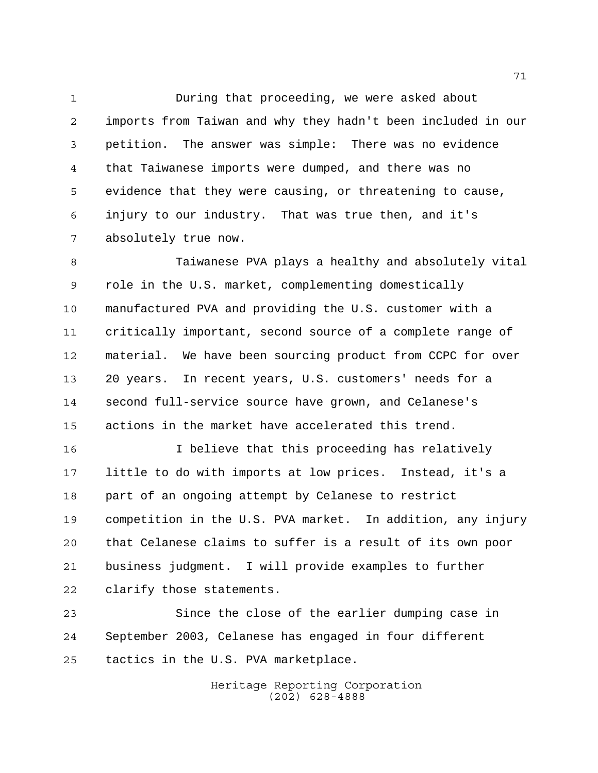During that proceeding, we were asked about imports from Taiwan and why they hadn't been included in our petition. The answer was simple: There was no evidence that Taiwanese imports were dumped, and there was no evidence that they were causing, or threatening to cause, injury to our industry. That was true then, and it's absolutely true now.

 Taiwanese PVA plays a healthy and absolutely vital role in the U.S. market, complementing domestically manufactured PVA and providing the U.S. customer with a critically important, second source of a complete range of material. We have been sourcing product from CCPC for over 20 years. In recent years, U.S. customers' needs for a second full-service source have grown, and Celanese's actions in the market have accelerated this trend.

 I believe that this proceeding has relatively little to do with imports at low prices. Instead, it's a part of an ongoing attempt by Celanese to restrict competition in the U.S. PVA market. In addition, any injury that Celanese claims to suffer is a result of its own poor business judgment. I will provide examples to further clarify those statements.

 Since the close of the earlier dumping case in September 2003, Celanese has engaged in four different tactics in the U.S. PVA marketplace.

> Heritage Reporting Corporation (202) 628-4888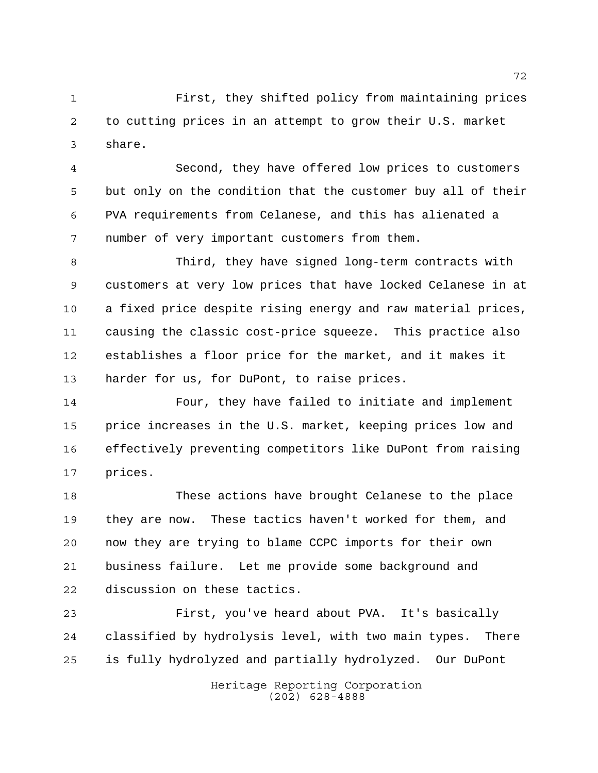First, they shifted policy from maintaining prices to cutting prices in an attempt to grow their U.S. market share.

 Second, they have offered low prices to customers but only on the condition that the customer buy all of their PVA requirements from Celanese, and this has alienated a number of very important customers from them.

 Third, they have signed long-term contracts with customers at very low prices that have locked Celanese in at a fixed price despite rising energy and raw material prices, causing the classic cost-price squeeze. This practice also establishes a floor price for the market, and it makes it harder for us, for DuPont, to raise prices.

 Four, they have failed to initiate and implement price increases in the U.S. market, keeping prices low and effectively preventing competitors like DuPont from raising prices.

 These actions have brought Celanese to the place they are now. These tactics haven't worked for them, and now they are trying to blame CCPC imports for their own business failure. Let me provide some background and discussion on these tactics.

 First, you've heard about PVA. It's basically classified by hydrolysis level, with two main types. There is fully hydrolyzed and partially hydrolyzed. Our DuPont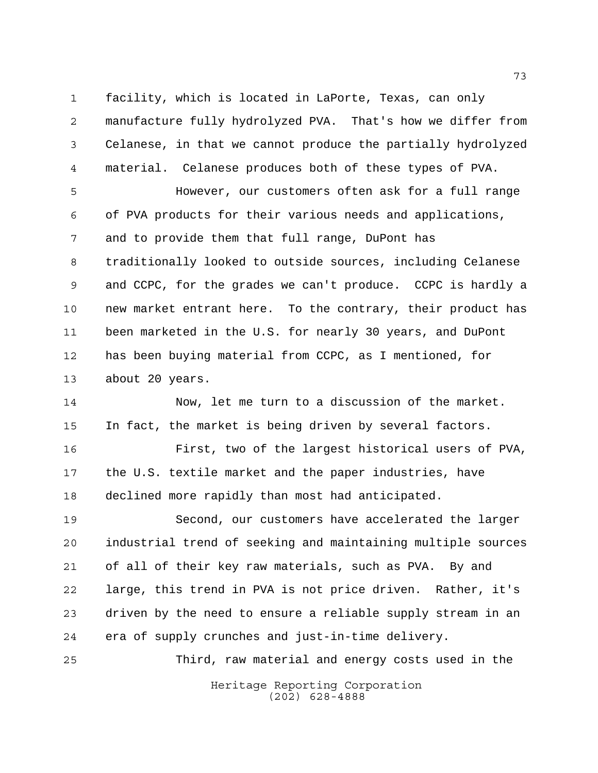facility, which is located in LaPorte, Texas, can only manufacture fully hydrolyzed PVA. That's how we differ from Celanese, in that we cannot produce the partially hydrolyzed material. Celanese produces both of these types of PVA.

 However, our customers often ask for a full range of PVA products for their various needs and applications, and to provide them that full range, DuPont has traditionally looked to outside sources, including Celanese and CCPC, for the grades we can't produce. CCPC is hardly a new market entrant here. To the contrary, their product has been marketed in the U.S. for nearly 30 years, and DuPont has been buying material from CCPC, as I mentioned, for about 20 years.

 Now, let me turn to a discussion of the market. In fact, the market is being driven by several factors. First, two of the largest historical users of PVA, the U.S. textile market and the paper industries, have declined more rapidly than most had anticipated.

 Second, our customers have accelerated the larger industrial trend of seeking and maintaining multiple sources of all of their key raw materials, such as PVA. By and large, this trend in PVA is not price driven. Rather, it's driven by the need to ensure a reliable supply stream in an era of supply crunches and just-in-time delivery.

Heritage Reporting Corporation Third, raw material and energy costs used in the

(202) 628-4888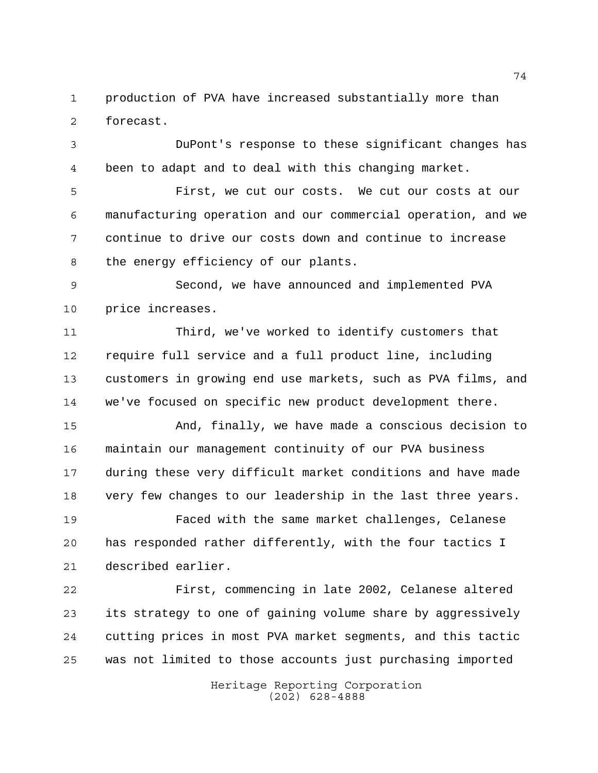production of PVA have increased substantially more than forecast.

 DuPont's response to these significant changes has been to adapt and to deal with this changing market.

 First, we cut our costs. We cut our costs at our manufacturing operation and our commercial operation, and we continue to drive our costs down and continue to increase the energy efficiency of our plants.

 Second, we have announced and implemented PVA price increases.

 Third, we've worked to identify customers that require full service and a full product line, including customers in growing end use markets, such as PVA films, and we've focused on specific new product development there.

 And, finally, we have made a conscious decision to maintain our management continuity of our PVA business during these very difficult market conditions and have made very few changes to our leadership in the last three years.

 Faced with the same market challenges, Celanese has responded rather differently, with the four tactics I described earlier.

 First, commencing in late 2002, Celanese altered its strategy to one of gaining volume share by aggressively cutting prices in most PVA market segments, and this tactic was not limited to those accounts just purchasing imported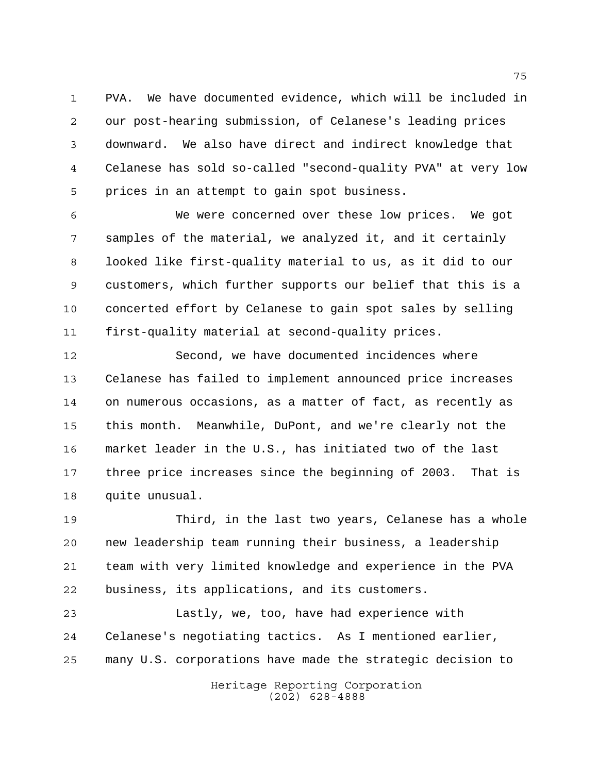PVA. We have documented evidence, which will be included in our post-hearing submission, of Celanese's leading prices downward. We also have direct and indirect knowledge that Celanese has sold so-called "second-quality PVA" at very low prices in an attempt to gain spot business.

 We were concerned over these low prices. We got samples of the material, we analyzed it, and it certainly looked like first-quality material to us, as it did to our customers, which further supports our belief that this is a concerted effort by Celanese to gain spot sales by selling first-quality material at second-quality prices.

 Second, we have documented incidences where Celanese has failed to implement announced price increases on numerous occasions, as a matter of fact, as recently as this month. Meanwhile, DuPont, and we're clearly not the market leader in the U.S., has initiated two of the last three price increases since the beginning of 2003. That is quite unusual.

 Third, in the last two years, Celanese has a whole new leadership team running their business, a leadership team with very limited knowledge and experience in the PVA business, its applications, and its customers.

 Lastly, we, too, have had experience with Celanese's negotiating tactics. As I mentioned earlier, many U.S. corporations have made the strategic decision to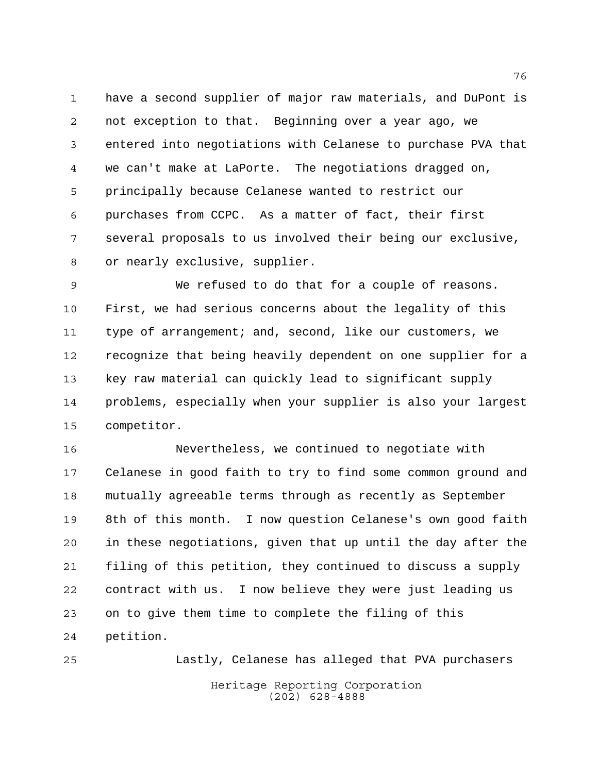have a second supplier of major raw materials, and DuPont is not exception to that. Beginning over a year ago, we entered into negotiations with Celanese to purchase PVA that we can't make at LaPorte. The negotiations dragged on, principally because Celanese wanted to restrict our purchases from CCPC. As a matter of fact, their first several proposals to us involved their being our exclusive, or nearly exclusive, supplier.

 We refused to do that for a couple of reasons. First, we had serious concerns about the legality of this 11 type of arrangement; and, second, like our customers, we recognize that being heavily dependent on one supplier for a key raw material can quickly lead to significant supply problems, especially when your supplier is also your largest competitor.

 Nevertheless, we continued to negotiate with Celanese in good faith to try to find some common ground and mutually agreeable terms through as recently as September 8th of this month. I now question Celanese's own good faith in these negotiations, given that up until the day after the filing of this petition, they continued to discuss a supply contract with us. I now believe they were just leading us on to give them time to complete the filing of this petition.

Heritage Reporting Corporation (202) 628-4888 Lastly, Celanese has alleged that PVA purchasers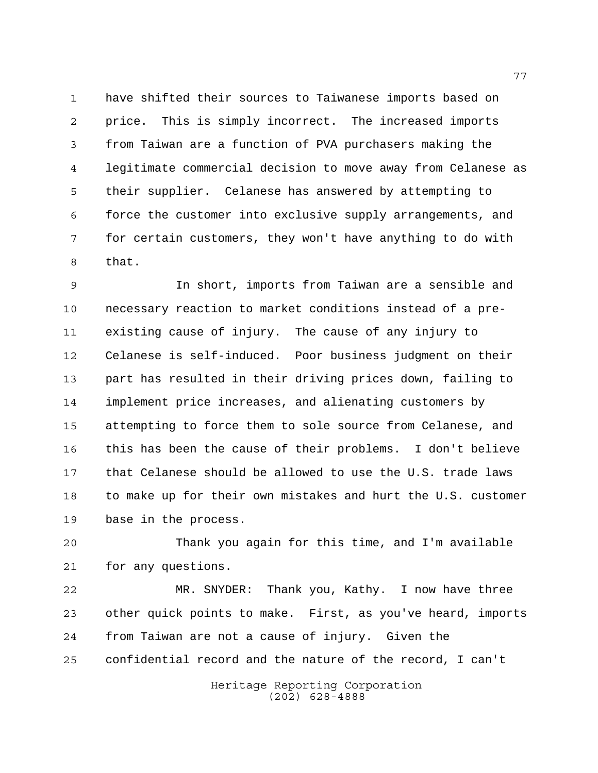have shifted their sources to Taiwanese imports based on price. This is simply incorrect. The increased imports from Taiwan are a function of PVA purchasers making the legitimate commercial decision to move away from Celanese as their supplier. Celanese has answered by attempting to force the customer into exclusive supply arrangements, and for certain customers, they won't have anything to do with that.

 In short, imports from Taiwan are a sensible and necessary reaction to market conditions instead of a pre- existing cause of injury. The cause of any injury to Celanese is self-induced. Poor business judgment on their part has resulted in their driving prices down, failing to implement price increases, and alienating customers by attempting to force them to sole source from Celanese, and this has been the cause of their problems. I don't believe that Celanese should be allowed to use the U.S. trade laws to make up for their own mistakes and hurt the U.S. customer base in the process.

 Thank you again for this time, and I'm available for any questions.

 MR. SNYDER: Thank you, Kathy. I now have three other quick points to make. First, as you've heard, imports from Taiwan are not a cause of injury. Given the confidential record and the nature of the record, I can't

> Heritage Reporting Corporation (202) 628-4888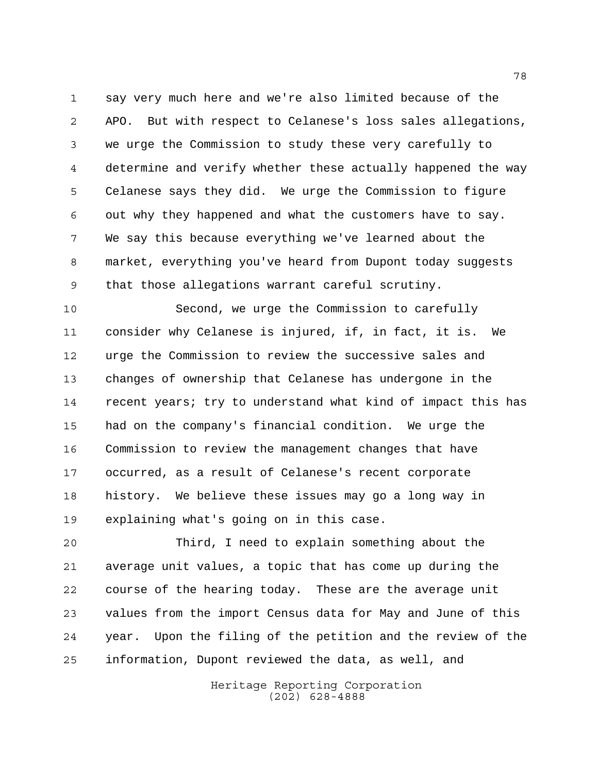say very much here and we're also limited because of the APO. But with respect to Celanese's loss sales allegations, we urge the Commission to study these very carefully to determine and verify whether these actually happened the way Celanese says they did. We urge the Commission to figure out why they happened and what the customers have to say. We say this because everything we've learned about the market, everything you've heard from Dupont today suggests that those allegations warrant careful scrutiny.

 Second, we urge the Commission to carefully consider why Celanese is injured, if, in fact, it is. We urge the Commission to review the successive sales and changes of ownership that Celanese has undergone in the recent years; try to understand what kind of impact this has had on the company's financial condition. We urge the Commission to review the management changes that have occurred, as a result of Celanese's recent corporate history. We believe these issues may go a long way in explaining what's going on in this case.

 Third, I need to explain something about the average unit values, a topic that has come up during the course of the hearing today. These are the average unit values from the import Census data for May and June of this year. Upon the filing of the petition and the review of the information, Dupont reviewed the data, as well, and

> Heritage Reporting Corporation (202) 628-4888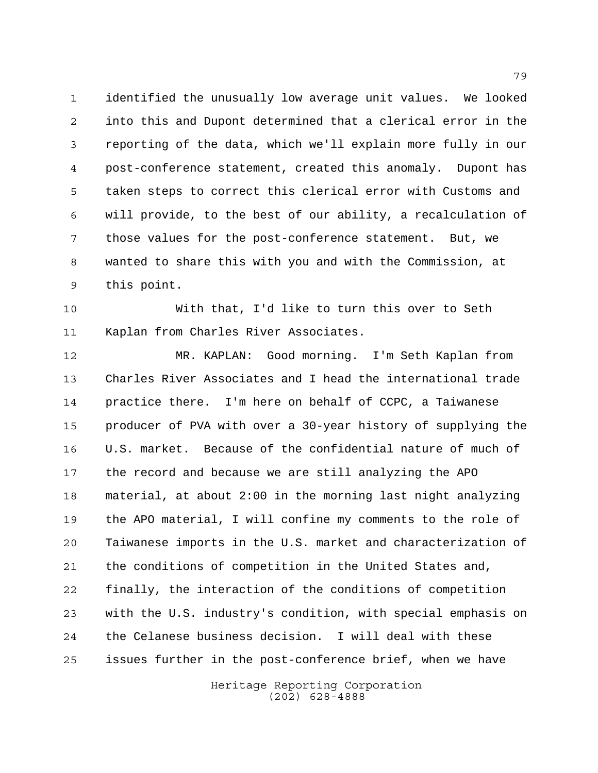identified the unusually low average unit values. We looked into this and Dupont determined that a clerical error in the reporting of the data, which we'll explain more fully in our post-conference statement, created this anomaly. Dupont has taken steps to correct this clerical error with Customs and will provide, to the best of our ability, a recalculation of those values for the post-conference statement. But, we wanted to share this with you and with the Commission, at this point.

 With that, I'd like to turn this over to Seth Kaplan from Charles River Associates.

 MR. KAPLAN: Good morning. I'm Seth Kaplan from Charles River Associates and I head the international trade practice there. I'm here on behalf of CCPC, a Taiwanese producer of PVA with over a 30-year history of supplying the U.S. market. Because of the confidential nature of much of the record and because we are still analyzing the APO material, at about 2:00 in the morning last night analyzing the APO material, I will confine my comments to the role of Taiwanese imports in the U.S. market and characterization of the conditions of competition in the United States and, finally, the interaction of the conditions of competition with the U.S. industry's condition, with special emphasis on the Celanese business decision. I will deal with these issues further in the post-conference brief, when we have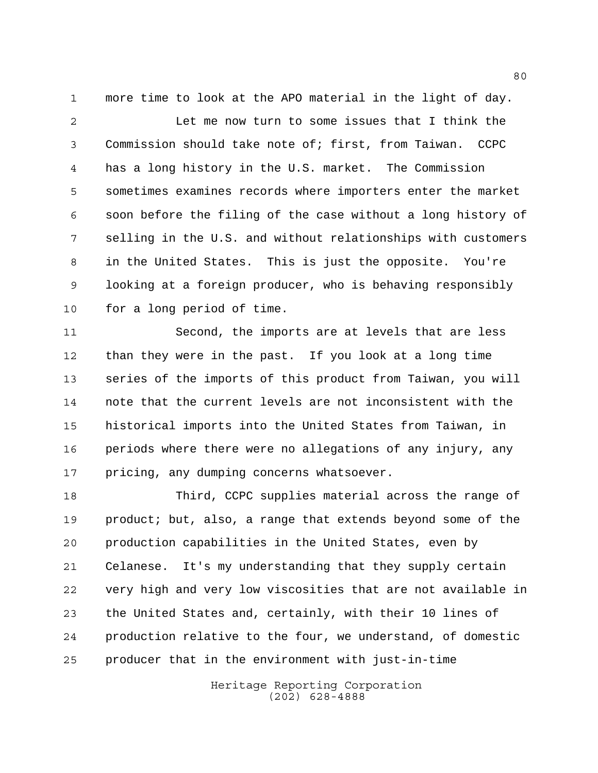more time to look at the APO material in the light of day.

 Let me now turn to some issues that I think the Commission should take note of; first, from Taiwan. CCPC has a long history in the U.S. market. The Commission sometimes examines records where importers enter the market soon before the filing of the case without a long history of selling in the U.S. and without relationships with customers in the United States. This is just the opposite. You're looking at a foreign producer, who is behaving responsibly for a long period of time.

 Second, the imports are at levels that are less than they were in the past. If you look at a long time series of the imports of this product from Taiwan, you will note that the current levels are not inconsistent with the historical imports into the United States from Taiwan, in periods where there were no allegations of any injury, any 17 pricing, any dumping concerns whatsoever.

 Third, CCPC supplies material across the range of product; but, also, a range that extends beyond some of the production capabilities in the United States, even by Celanese. It's my understanding that they supply certain very high and very low viscosities that are not available in the United States and, certainly, with their 10 lines of production relative to the four, we understand, of domestic producer that in the environment with just-in-time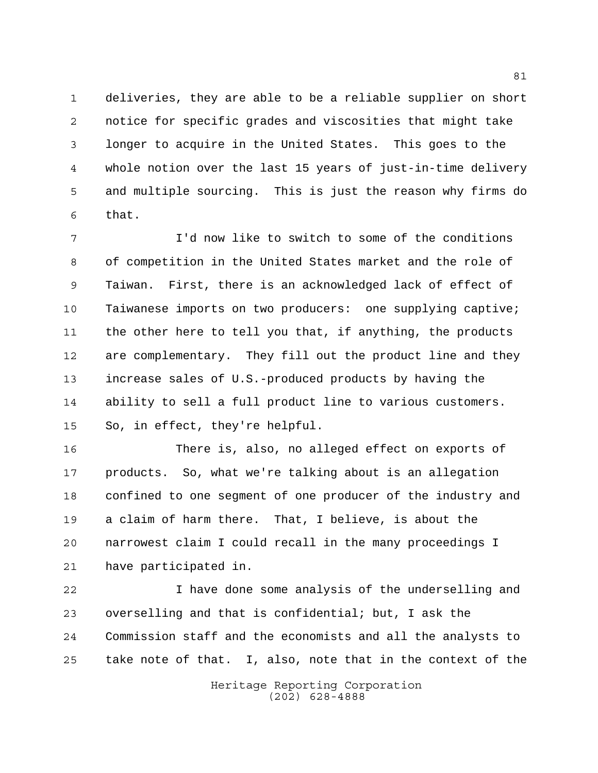deliveries, they are able to be a reliable supplier on short notice for specific grades and viscosities that might take longer to acquire in the United States. This goes to the whole notion over the last 15 years of just-in-time delivery and multiple sourcing. This is just the reason why firms do that.

 I'd now like to switch to some of the conditions of competition in the United States market and the role of Taiwan. First, there is an acknowledged lack of effect of Taiwanese imports on two producers: one supplying captive; the other here to tell you that, if anything, the products are complementary. They fill out the product line and they increase sales of U.S.-produced products by having the ability to sell a full product line to various customers. So, in effect, they're helpful.

 There is, also, no alleged effect on exports of products. So, what we're talking about is an allegation confined to one segment of one producer of the industry and a claim of harm there. That, I believe, is about the narrowest claim I could recall in the many proceedings I have participated in.

 I have done some analysis of the underselling and overselling and that is confidential; but, I ask the Commission staff and the economists and all the analysts to take note of that. I, also, note that in the context of the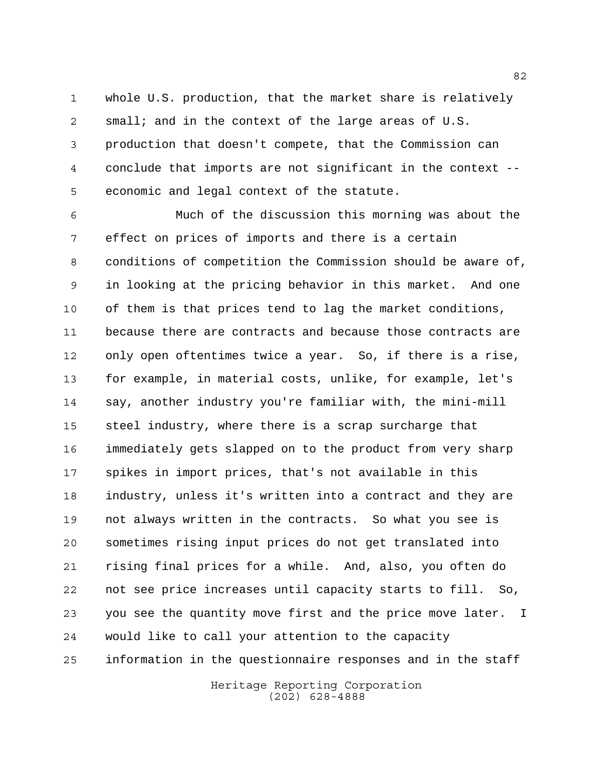whole U.S. production, that the market share is relatively small; and in the context of the large areas of U.S. production that doesn't compete, that the Commission can conclude that imports are not significant in the context -- economic and legal context of the statute.

 Much of the discussion this morning was about the effect on prices of imports and there is a certain conditions of competition the Commission should be aware of, in looking at the pricing behavior in this market. And one of them is that prices tend to lag the market conditions, because there are contracts and because those contracts are only open oftentimes twice a year. So, if there is a rise, for example, in material costs, unlike, for example, let's say, another industry you're familiar with, the mini-mill steel industry, where there is a scrap surcharge that immediately gets slapped on to the product from very sharp spikes in import prices, that's not available in this industry, unless it's written into a contract and they are not always written in the contracts. So what you see is sometimes rising input prices do not get translated into rising final prices for a while. And, also, you often do not see price increases until capacity starts to fill. So, you see the quantity move first and the price move later. I would like to call your attention to the capacity information in the questionnaire responses and in the staff

> Heritage Reporting Corporation (202) 628-4888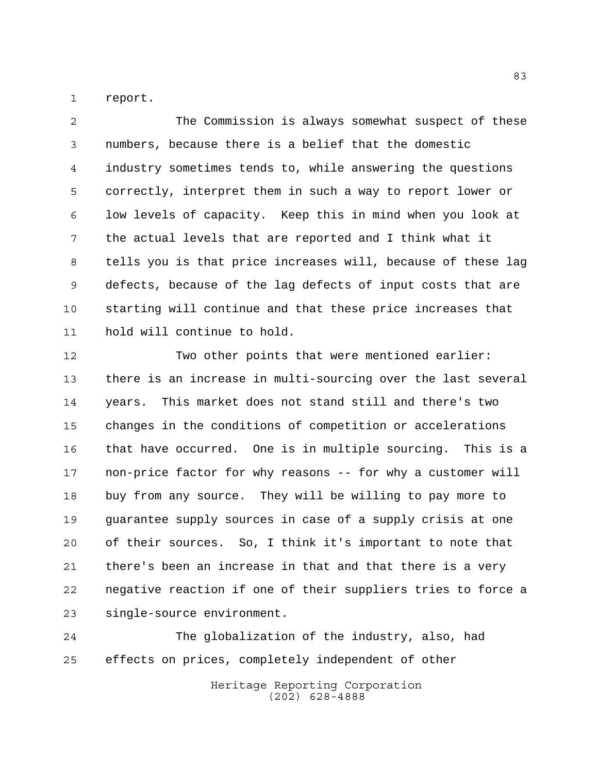report.

 The Commission is always somewhat suspect of these numbers, because there is a belief that the domestic industry sometimes tends to, while answering the questions correctly, interpret them in such a way to report lower or low levels of capacity. Keep this in mind when you look at the actual levels that are reported and I think what it tells you is that price increases will, because of these lag defects, because of the lag defects of input costs that are starting will continue and that these price increases that hold will continue to hold.

 Two other points that were mentioned earlier: there is an increase in multi-sourcing over the last several years. This market does not stand still and there's two changes in the conditions of competition or accelerations that have occurred. One is in multiple sourcing. This is a non-price factor for why reasons -- for why a customer will buy from any source. They will be willing to pay more to guarantee supply sources in case of a supply crisis at one of their sources. So, I think it's important to note that there's been an increase in that and that there is a very negative reaction if one of their suppliers tries to force a single-source environment.

 The globalization of the industry, also, had effects on prices, completely independent of other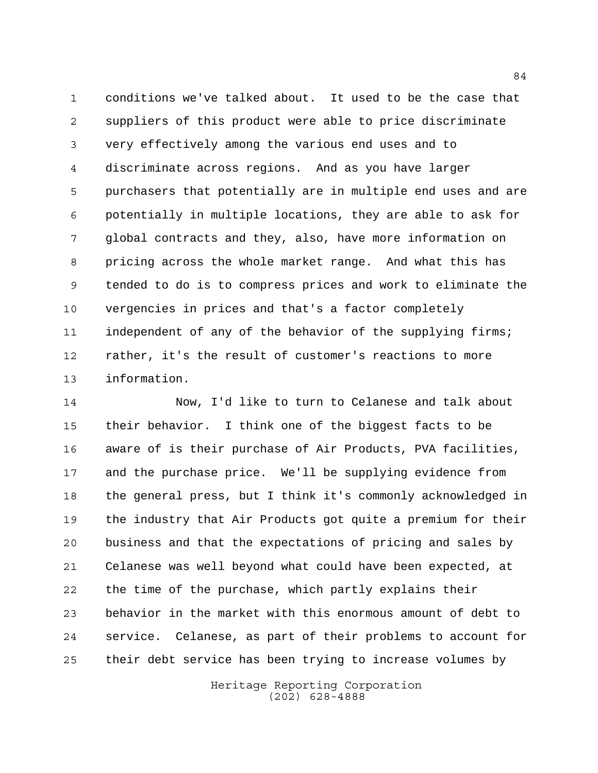conditions we've talked about. It used to be the case that suppliers of this product were able to price discriminate very effectively among the various end uses and to discriminate across regions. And as you have larger purchasers that potentially are in multiple end uses and are potentially in multiple locations, they are able to ask for global contracts and they, also, have more information on pricing across the whole market range. And what this has tended to do is to compress prices and work to eliminate the vergencies in prices and that's a factor completely 11 independent of any of the behavior of the supplying firms; rather, it's the result of customer's reactions to more information.

 Now, I'd like to turn to Celanese and talk about their behavior. I think one of the biggest facts to be aware of is their purchase of Air Products, PVA facilities, and the purchase price. We'll be supplying evidence from the general press, but I think it's commonly acknowledged in the industry that Air Products got quite a premium for their business and that the expectations of pricing and sales by Celanese was well beyond what could have been expected, at the time of the purchase, which partly explains their behavior in the market with this enormous amount of debt to service. Celanese, as part of their problems to account for their debt service has been trying to increase volumes by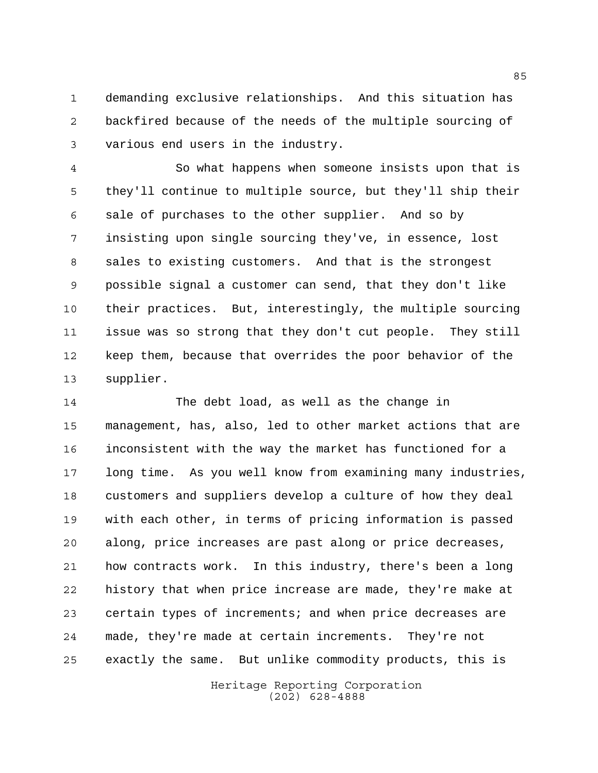demanding exclusive relationships. And this situation has backfired because of the needs of the multiple sourcing of various end users in the industry.

 So what happens when someone insists upon that is they'll continue to multiple source, but they'll ship their sale of purchases to the other supplier. And so by insisting upon single sourcing they've, in essence, lost sales to existing customers. And that is the strongest possible signal a customer can send, that they don't like their practices. But, interestingly, the multiple sourcing issue was so strong that they don't cut people. They still keep them, because that overrides the poor behavior of the supplier.

 The debt load, as well as the change in management, has, also, led to other market actions that are inconsistent with the way the market has functioned for a long time. As you well know from examining many industries, customers and suppliers develop a culture of how they deal with each other, in terms of pricing information is passed along, price increases are past along or price decreases, how contracts work. In this industry, there's been a long history that when price increase are made, they're make at certain types of increments; and when price decreases are made, they're made at certain increments. They're not exactly the same. But unlike commodity products, this is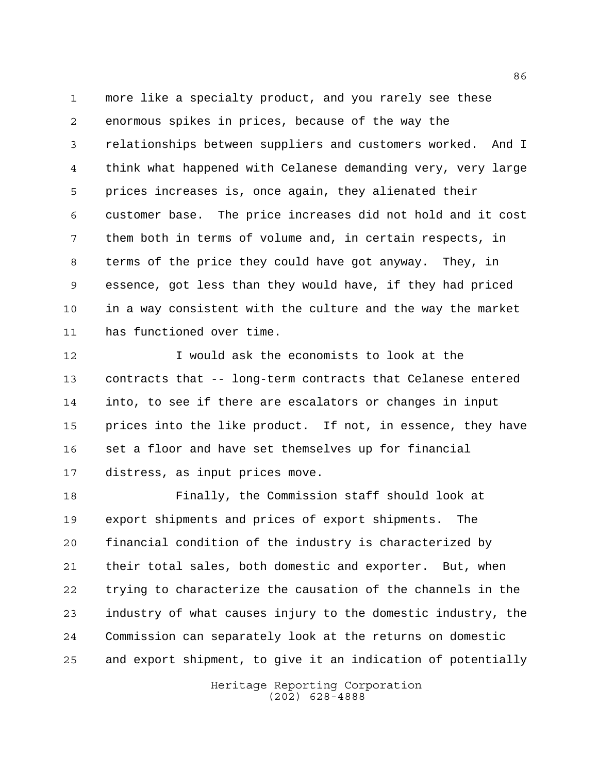more like a specialty product, and you rarely see these enormous spikes in prices, because of the way the relationships between suppliers and customers worked. And I think what happened with Celanese demanding very, very large prices increases is, once again, they alienated their customer base. The price increases did not hold and it cost them both in terms of volume and, in certain respects, in terms of the price they could have got anyway. They, in essence, got less than they would have, if they had priced in a way consistent with the culture and the way the market has functioned over time.

 I would ask the economists to look at the contracts that -- long-term contracts that Celanese entered into, to see if there are escalators or changes in input prices into the like product. If not, in essence, they have set a floor and have set themselves up for financial distress, as input prices move.

 Finally, the Commission staff should look at export shipments and prices of export shipments. The financial condition of the industry is characterized by their total sales, both domestic and exporter. But, when trying to characterize the causation of the channels in the industry of what causes injury to the domestic industry, the Commission can separately look at the returns on domestic and export shipment, to give it an indication of potentially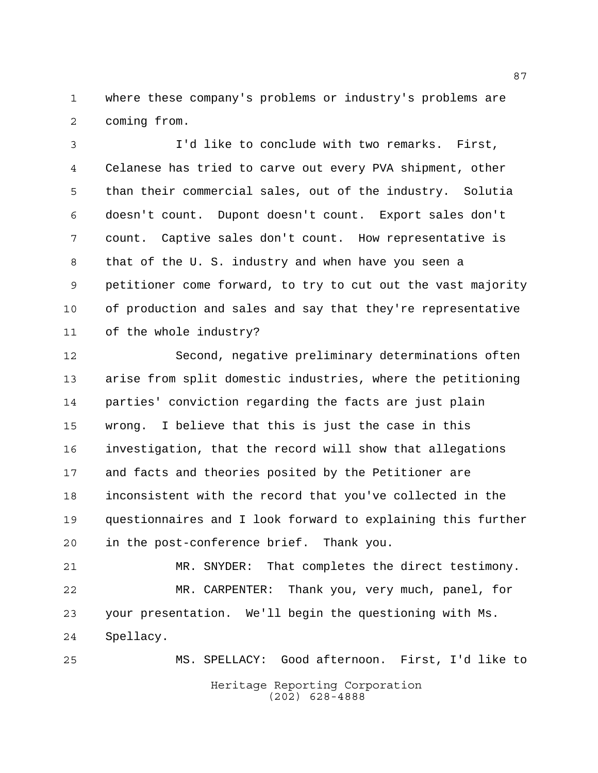where these company's problems or industry's problems are coming from.

 I'd like to conclude with two remarks. First, Celanese has tried to carve out every PVA shipment, other than their commercial sales, out of the industry. Solutia doesn't count. Dupont doesn't count. Export sales don't count. Captive sales don't count. How representative is that of the U. S. industry and when have you seen a petitioner come forward, to try to cut out the vast majority of production and sales and say that they're representative of the whole industry?

 Second, negative preliminary determinations often arise from split domestic industries, where the petitioning parties' conviction regarding the facts are just plain wrong. I believe that this is just the case in this investigation, that the record will show that allegations and facts and theories posited by the Petitioner are inconsistent with the record that you've collected in the questionnaires and I look forward to explaining this further in the post-conference brief. Thank you.

 MR. SNYDER: That completes the direct testimony. MR. CARPENTER: Thank you, very much, panel, for your presentation. We'll begin the questioning with Ms. Spellacy.

Heritage Reporting Corporation (202) 628-4888 MS. SPELLACY: Good afternoon. First, I'd like to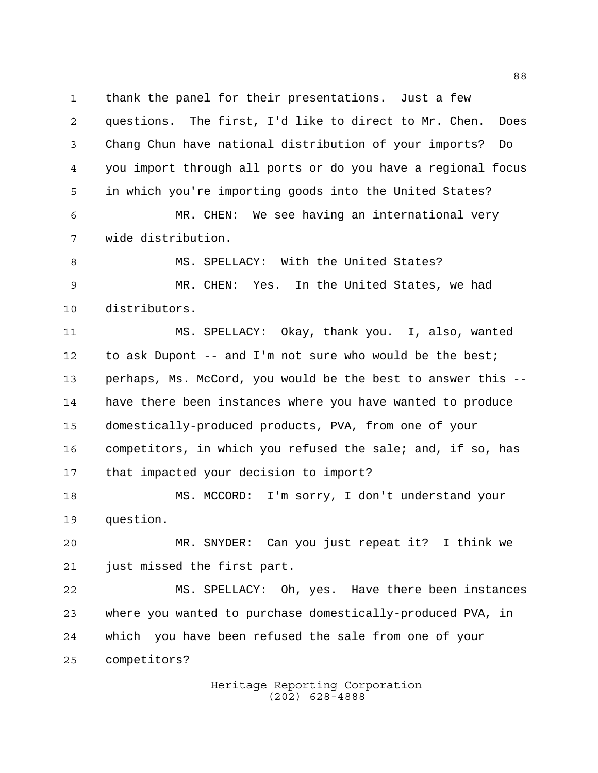thank the panel for their presentations. Just a few

 questions. The first, I'd like to direct to Mr. Chen. Does Chang Chun have national distribution of your imports? Do you import through all ports or do you have a regional focus in which you're importing goods into the United States?

 MR. CHEN: We see having an international very wide distribution.

8 MS. SPELLACY: With the United States? MR. CHEN: Yes. In the United States, we had distributors.

 MS. SPELLACY: Okay, thank you. I, also, wanted 12 to ask Dupont -- and I'm not sure who would be the best; perhaps, Ms. McCord, you would be the best to answer this -- have there been instances where you have wanted to produce domestically-produced products, PVA, from one of your competitors, in which you refused the sale; and, if so, has that impacted your decision to import?

 MS. MCCORD: I'm sorry, I don't understand your question.

 MR. SNYDER: Can you just repeat it? I think we just missed the first part.

 MS. SPELLACY: Oh, yes. Have there been instances where you wanted to purchase domestically-produced PVA, in which you have been refused the sale from one of your competitors?

> Heritage Reporting Corporation (202) 628-4888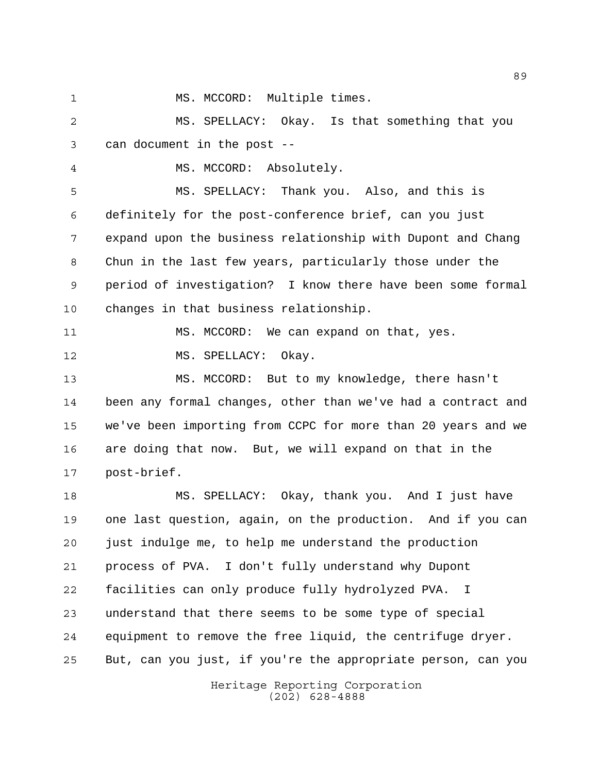1 MS. MCCORD: Multiple times.

 MS. SPELLACY: Okay. Is that something that you can document in the post --

MS. MCCORD: Absolutely.

 MS. SPELLACY: Thank you. Also, and this is definitely for the post-conference brief, can you just expand upon the business relationship with Dupont and Chang Chun in the last few years, particularly those under the period of investigation? I know there have been some formal changes in that business relationship.

 MS. MCCORD: We can expand on that, yes. 12 MS. SPELLACY: Okay.

 MS. MCCORD: But to my knowledge, there hasn't been any formal changes, other than we've had a contract and we've been importing from CCPC for more than 20 years and we are doing that now. But, we will expand on that in the post-brief.

 MS. SPELLACY: Okay, thank you. And I just have one last question, again, on the production. And if you can just indulge me, to help me understand the production process of PVA. I don't fully understand why Dupont facilities can only produce fully hydrolyzed PVA. I understand that there seems to be some type of special equipment to remove the free liquid, the centrifuge dryer. But, can you just, if you're the appropriate person, can you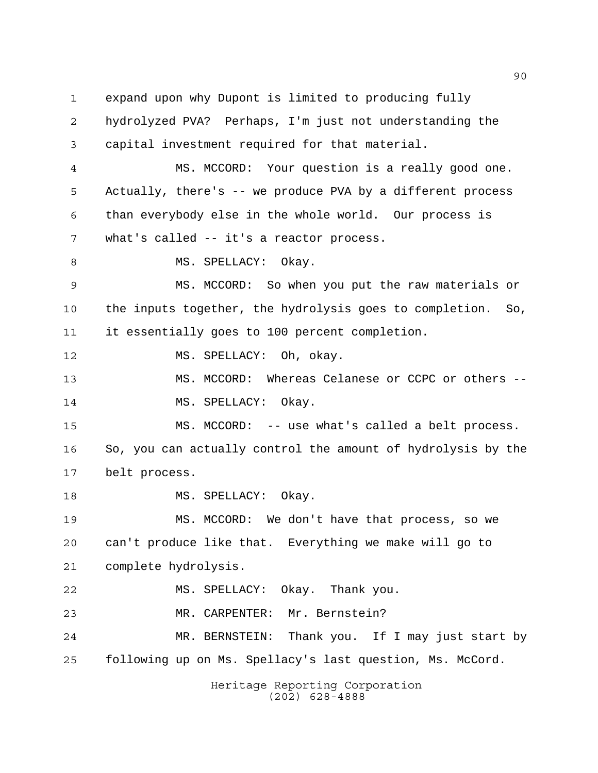expand upon why Dupont is limited to producing fully hydrolyzed PVA? Perhaps, I'm just not understanding the capital investment required for that material. MS. MCCORD: Your question is a really good one. Actually, there's -- we produce PVA by a different process than everybody else in the whole world. Our process is what's called -- it's a reactor process. 8 MS. SPELLACY: Okay. MS. MCCORD: So when you put the raw materials or the inputs together, the hydrolysis goes to completion. So, it essentially goes to 100 percent completion. MS. SPELLACY: Oh, okay. MS. MCCORD: Whereas Celanese or CCPC or others -- 14 MS. SPELLACY: Okay. MS. MCCORD: -- use what's called a belt process. So, you can actually control the amount of hydrolysis by the belt process. 18 MS. SPELLACY: Okay. MS. MCCORD: We don't have that process, so we can't produce like that. Everything we make will go to complete hydrolysis. MS. SPELLACY: Okay. Thank you. MR. CARPENTER: Mr. Bernstein? MR. BERNSTEIN: Thank you. If I may just start by following up on Ms. Spellacy's last question, Ms. McCord.

Heritage Reporting Corporation (202) 628-4888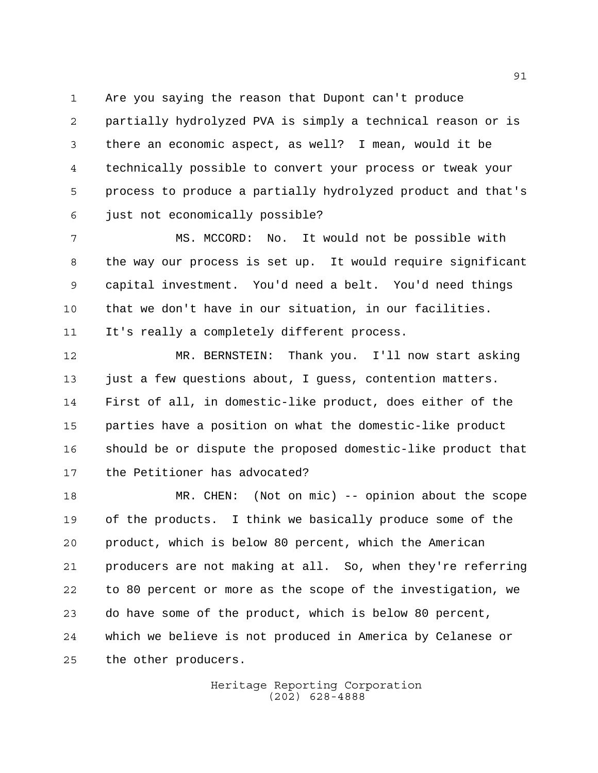Are you saying the reason that Dupont can't produce

 partially hydrolyzed PVA is simply a technical reason or is there an economic aspect, as well? I mean, would it be technically possible to convert your process or tweak your process to produce a partially hydrolyzed product and that's just not economically possible?

 MS. MCCORD: No. It would not be possible with the way our process is set up. It would require significant capital investment. You'd need a belt. You'd need things that we don't have in our situation, in our facilities.

It's really a completely different process.

 MR. BERNSTEIN: Thank you. I'll now start asking just a few questions about, I guess, contention matters. First of all, in domestic-like product, does either of the parties have a position on what the domestic-like product should be or dispute the proposed domestic-like product that the Petitioner has advocated?

 MR. CHEN: (Not on mic) -- opinion about the scope of the products. I think we basically produce some of the product, which is below 80 percent, which the American producers are not making at all. So, when they're referring to 80 percent or more as the scope of the investigation, we do have some of the product, which is below 80 percent, which we believe is not produced in America by Celanese or the other producers.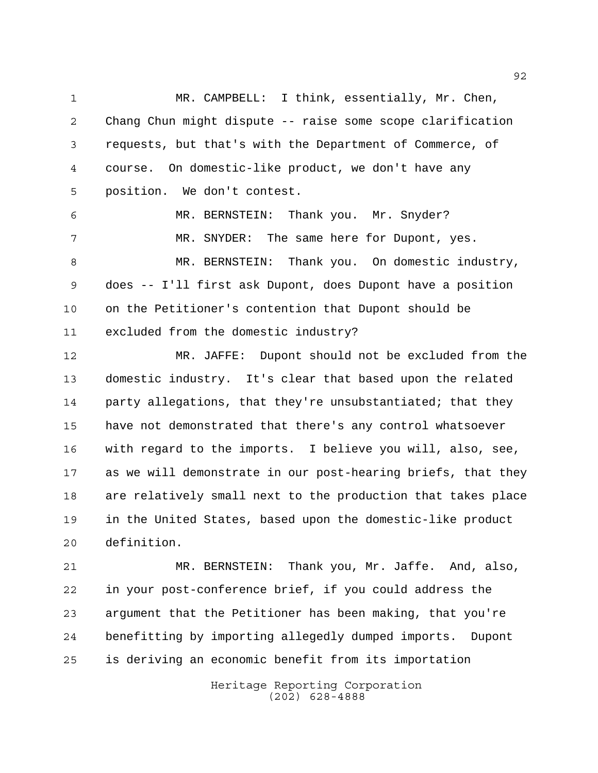MR. CAMPBELL: I think, essentially, Mr. Chen, Chang Chun might dispute -- raise some scope clarification requests, but that's with the Department of Commerce, of course. On domestic-like product, we don't have any position. We don't contest.

 MR. BERNSTEIN: Thank you. Mr. Snyder? MR. SNYDER: The same here for Dupont, yes. MR. BERNSTEIN: Thank you. On domestic industry, does -- I'll first ask Dupont, does Dupont have a position on the Petitioner's contention that Dupont should be excluded from the domestic industry?

 MR. JAFFE: Dupont should not be excluded from the domestic industry. It's clear that based upon the related party allegations, that they're unsubstantiated; that they have not demonstrated that there's any control whatsoever with regard to the imports. I believe you will, also, see, as we will demonstrate in our post-hearing briefs, that they are relatively small next to the production that takes place in the United States, based upon the domestic-like product definition.

 MR. BERNSTEIN: Thank you, Mr. Jaffe. And, also, in your post-conference brief, if you could address the argument that the Petitioner has been making, that you're benefitting by importing allegedly dumped imports. Dupont is deriving an economic benefit from its importation

> Heritage Reporting Corporation (202) 628-4888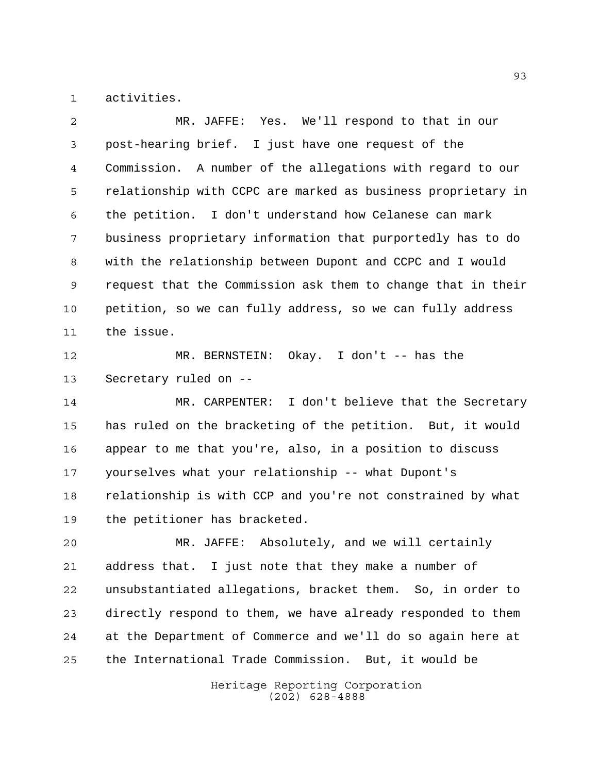activities.

 MR. JAFFE: Yes. We'll respond to that in our post-hearing brief. I just have one request of the Commission. A number of the allegations with regard to our relationship with CCPC are marked as business proprietary in the petition. I don't understand how Celanese can mark business proprietary information that purportedly has to do with the relationship between Dupont and CCPC and I would request that the Commission ask them to change that in their petition, so we can fully address, so we can fully address the issue. MR. BERNSTEIN: Okay. I don't -- has the Secretary ruled on -- MR. CARPENTER: I don't believe that the Secretary

 has ruled on the bracketing of the petition. But, it would appear to me that you're, also, in a position to discuss yourselves what your relationship -- what Dupont's relationship is with CCP and you're not constrained by what the petitioner has bracketed.

 MR. JAFFE: Absolutely, and we will certainly address that. I just note that they make a number of unsubstantiated allegations, bracket them. So, in order to directly respond to them, we have already responded to them at the Department of Commerce and we'll do so again here at the International Trade Commission. But, it would be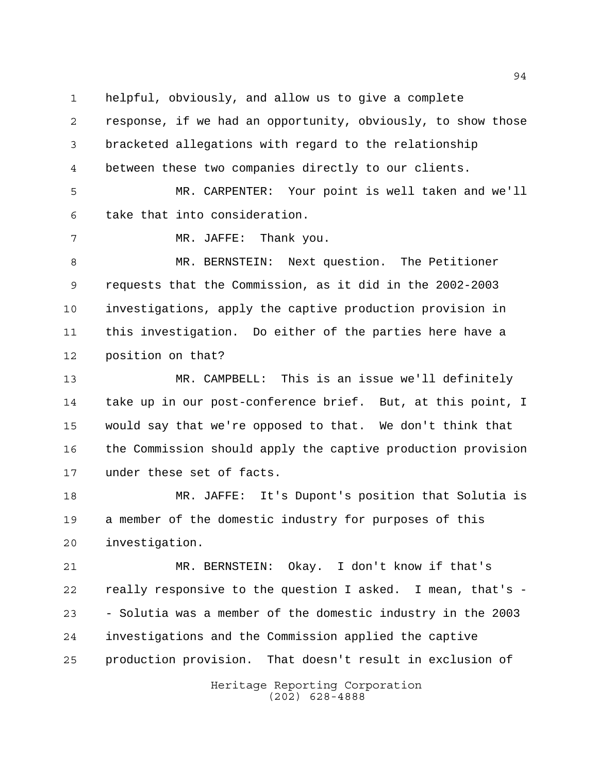helpful, obviously, and allow us to give a complete

 response, if we had an opportunity, obviously, to show those bracketed allegations with regard to the relationship between these two companies directly to our clients.

 MR. CARPENTER: Your point is well taken and we'll take that into consideration.

MR. JAFFE: Thank you.

 MR. BERNSTEIN: Next question. The Petitioner requests that the Commission, as it did in the 2002-2003 investigations, apply the captive production provision in this investigation. Do either of the parties here have a position on that?

 MR. CAMPBELL: This is an issue we'll definitely take up in our post-conference brief. But, at this point, I would say that we're opposed to that. We don't think that the Commission should apply the captive production provision under these set of facts.

 MR. JAFFE: It's Dupont's position that Solutia is a member of the domestic industry for purposes of this investigation.

 MR. BERNSTEIN: Okay. I don't know if that's really responsive to the question I asked. I mean, that's - - Solutia was a member of the domestic industry in the 2003 investigations and the Commission applied the captive production provision. That doesn't result in exclusion of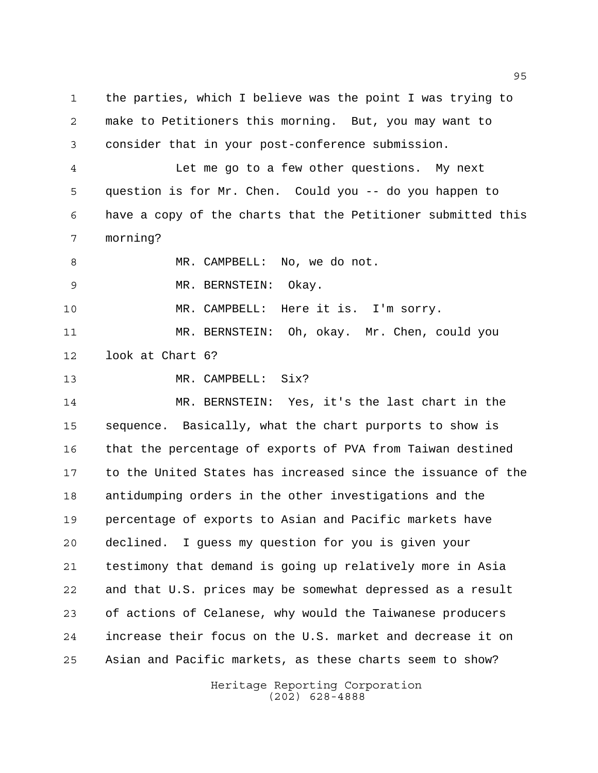the parties, which I believe was the point I was trying to make to Petitioners this morning. But, you may want to consider that in your post-conference submission. Let me go to a few other questions. My next question is for Mr. Chen. Could you -- do you happen to have a copy of the charts that the Petitioner submitted this morning? 8 MR. CAMPBELL: No, we do not. MR. BERNSTEIN: Okay. MR. CAMPBELL: Here it is. I'm sorry. MR. BERNSTEIN: Oh, okay. Mr. Chen, could you look at Chart 6? MR. CAMPBELL: Six? MR. BERNSTEIN: Yes, it's the last chart in the sequence. Basically, what the chart purports to show is that the percentage of exports of PVA from Taiwan destined to the United States has increased since the issuance of the antidumping orders in the other investigations and the percentage of exports to Asian and Pacific markets have declined. I guess my question for you is given your testimony that demand is going up relatively more in Asia and that U.S. prices may be somewhat depressed as a result of actions of Celanese, why would the Taiwanese producers increase their focus on the U.S. market and decrease it on Asian and Pacific markets, as these charts seem to show?

> Heritage Reporting Corporation (202) 628-4888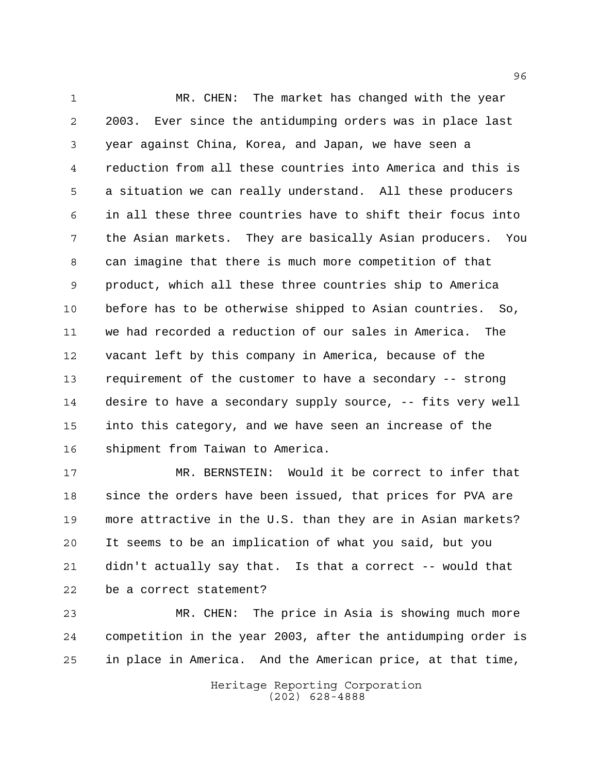MR. CHEN: The market has changed with the year 2003. Ever since the antidumping orders was in place last year against China, Korea, and Japan, we have seen a reduction from all these countries into America and this is a situation we can really understand. All these producers in all these three countries have to shift their focus into the Asian markets. They are basically Asian producers. You can imagine that there is much more competition of that product, which all these three countries ship to America before has to be otherwise shipped to Asian countries. So, we had recorded a reduction of our sales in America. The vacant left by this company in America, because of the requirement of the customer to have a secondary -- strong desire to have a secondary supply source, -- fits very well into this category, and we have seen an increase of the shipment from Taiwan to America.

 MR. BERNSTEIN: Would it be correct to infer that since the orders have been issued, that prices for PVA are more attractive in the U.S. than they are in Asian markets? It seems to be an implication of what you said, but you didn't actually say that. Is that a correct -- would that be a correct statement?

 MR. CHEN: The price in Asia is showing much more competition in the year 2003, after the antidumping order is in place in America. And the American price, at that time,

> Heritage Reporting Corporation (202) 628-4888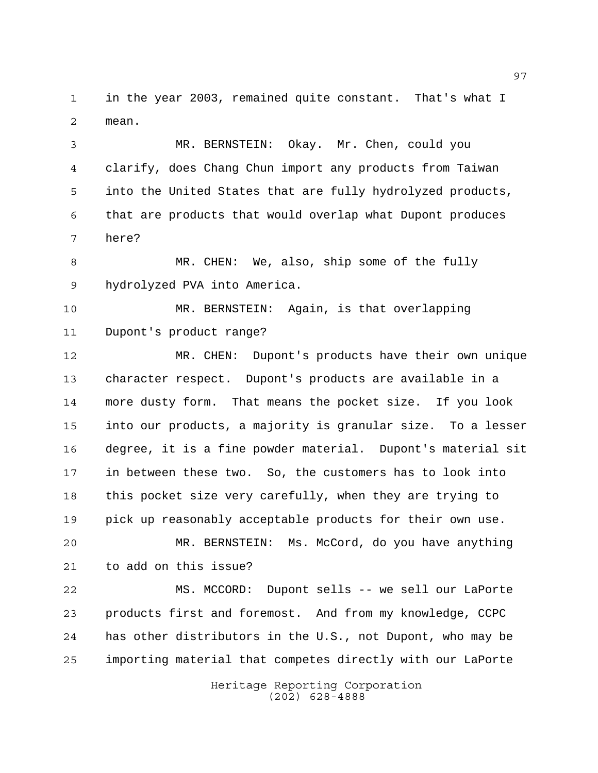in the year 2003, remained quite constant. That's what I mean.

 MR. BERNSTEIN: Okay. Mr. Chen, could you clarify, does Chang Chun import any products from Taiwan into the United States that are fully hydrolyzed products, that are products that would overlap what Dupont produces here?

 MR. CHEN: We, also, ship some of the fully hydrolyzed PVA into America.

 MR. BERNSTEIN: Again, is that overlapping Dupont's product range?

 MR. CHEN: Dupont's products have their own unique character respect. Dupont's products are available in a more dusty form. That means the pocket size. If you look into our products, a majority is granular size. To a lesser degree, it is a fine powder material. Dupont's material sit in between these two. So, the customers has to look into this pocket size very carefully, when they are trying to pick up reasonably acceptable products for their own use. MR. BERNSTEIN: Ms. McCord, do you have anything

to add on this issue?

 MS. MCCORD: Dupont sells -- we sell our LaPorte products first and foremost. And from my knowledge, CCPC has other distributors in the U.S., not Dupont, who may be importing material that competes directly with our LaPorte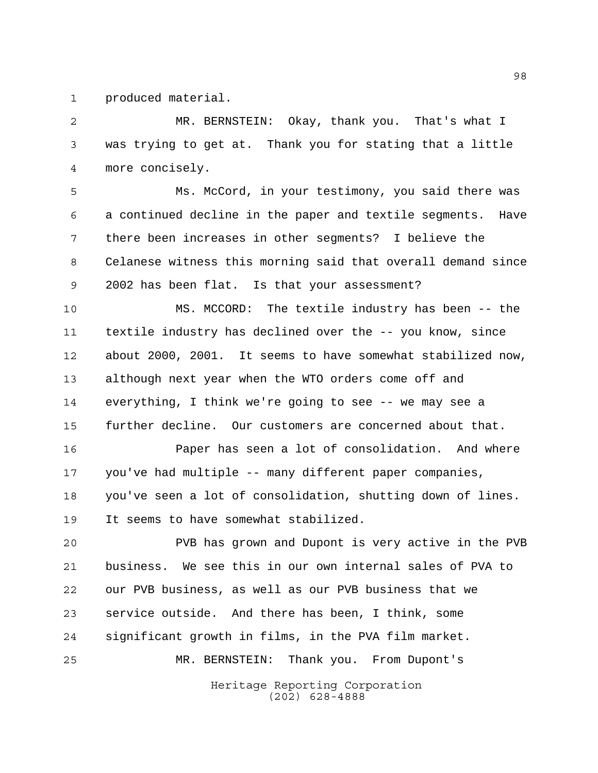produced material.

 MR. BERNSTEIN: Okay, thank you. That's what I was trying to get at. Thank you for stating that a little more concisely.

 Ms. McCord, in your testimony, you said there was a continued decline in the paper and textile segments. Have there been increases in other segments? I believe the Celanese witness this morning said that overall demand since 2002 has been flat. Is that your assessment?

 MS. MCCORD: The textile industry has been -- the textile industry has declined over the -- you know, since about 2000, 2001. It seems to have somewhat stabilized now, although next year when the WTO orders come off and everything, I think we're going to see -- we may see a further decline. Our customers are concerned about that.

 Paper has seen a lot of consolidation. And where you've had multiple -- many different paper companies, you've seen a lot of consolidation, shutting down of lines. It seems to have somewhat stabilized.

 PVB has grown and Dupont is very active in the PVB business. We see this in our own internal sales of PVA to our PVB business, as well as our PVB business that we service outside. And there has been, I think, some significant growth in films, in the PVA film market. MR. BERNSTEIN: Thank you. From Dupont's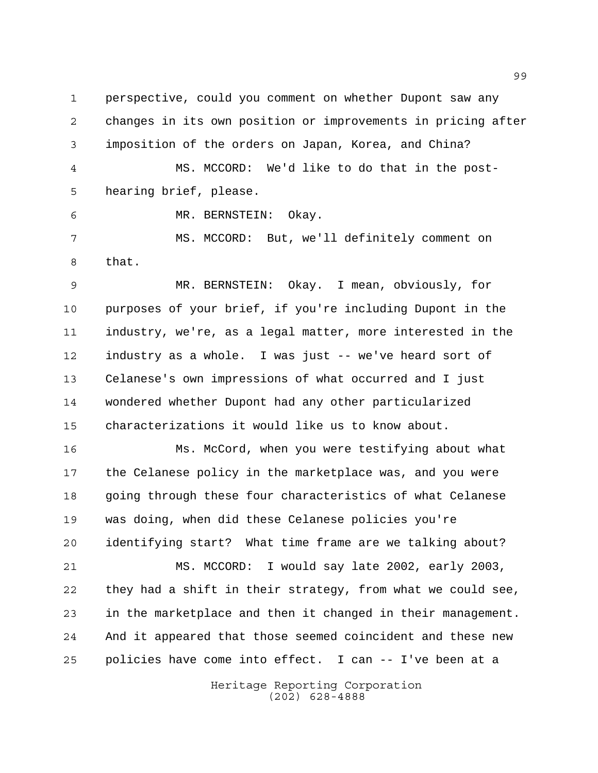changes in its own position or improvements in pricing after imposition of the orders on Japan, Korea, and China? MS. MCCORD: We'd like to do that in the post-hearing brief, please.

perspective, could you comment on whether Dupont saw any

MR. BERNSTEIN: Okay.

 MS. MCCORD: But, we'll definitely comment on that.

 MR. BERNSTEIN: Okay. I mean, obviously, for purposes of your brief, if you're including Dupont in the industry, we're, as a legal matter, more interested in the industry as a whole. I was just -- we've heard sort of Celanese's own impressions of what occurred and I just wondered whether Dupont had any other particularized characterizations it would like us to know about.

 Ms. McCord, when you were testifying about what the Celanese policy in the marketplace was, and you were going through these four characteristics of what Celanese was doing, when did these Celanese policies you're identifying start? What time frame are we talking about? MS. MCCORD: I would say late 2002, early 2003, they had a shift in their strategy, from what we could see,

 in the marketplace and then it changed in their management. And it appeared that those seemed coincident and these new policies have come into effect. I can -- I've been at a

> Heritage Reporting Corporation (202) 628-4888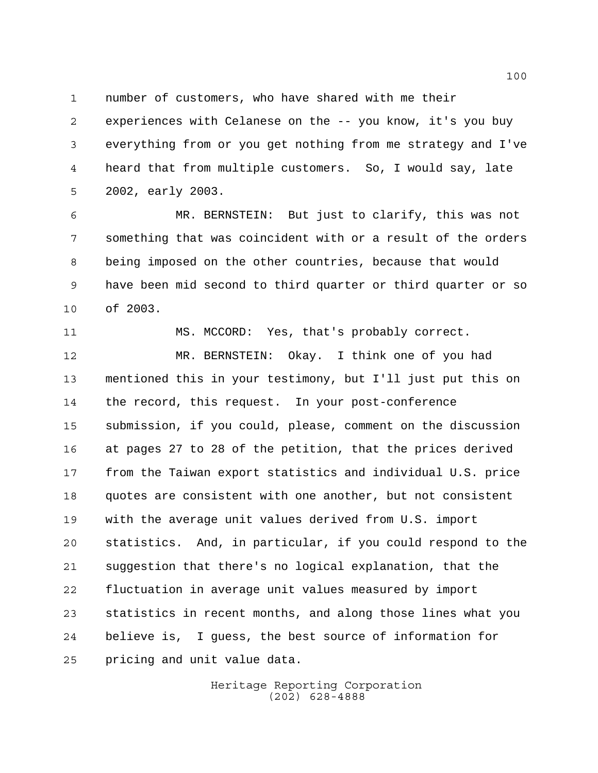number of customers, who have shared with me their

 experiences with Celanese on the -- you know, it's you buy everything from or you get nothing from me strategy and I've heard that from multiple customers. So, I would say, late 2002, early 2003.

 MR. BERNSTEIN: But just to clarify, this was not something that was coincident with or a result of the orders being imposed on the other countries, because that would have been mid second to third quarter or third quarter or so of 2003.

MS. MCCORD: Yes, that's probably correct.

 MR. BERNSTEIN: Okay. I think one of you had mentioned this in your testimony, but I'll just put this on the record, this request. In your post-conference submission, if you could, please, comment on the discussion at pages 27 to 28 of the petition, that the prices derived from the Taiwan export statistics and individual U.S. price quotes are consistent with one another, but not consistent with the average unit values derived from U.S. import statistics. And, in particular, if you could respond to the suggestion that there's no logical explanation, that the fluctuation in average unit values measured by import statistics in recent months, and along those lines what you believe is, I guess, the best source of information for pricing and unit value data.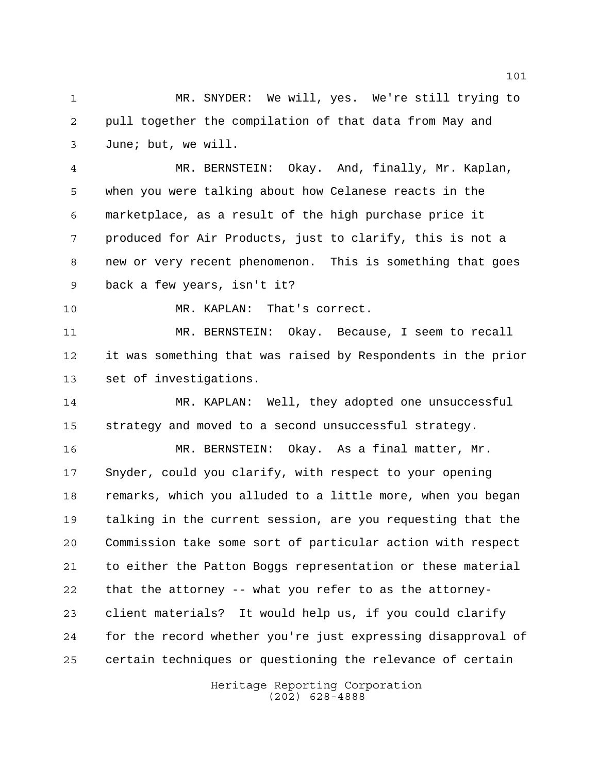MR. SNYDER: We will, yes. We're still trying to pull together the compilation of that data from May and June; but, we will.

 MR. BERNSTEIN: Okay. And, finally, Mr. Kaplan, when you were talking about how Celanese reacts in the marketplace, as a result of the high purchase price it produced for Air Products, just to clarify, this is not a new or very recent phenomenon. This is something that goes back a few years, isn't it?

MR. KAPLAN: That's correct.

 MR. BERNSTEIN: Okay. Because, I seem to recall it was something that was raised by Respondents in the prior set of investigations.

 MR. KAPLAN: Well, they adopted one unsuccessful strategy and moved to a second unsuccessful strategy.

 MR. BERNSTEIN: Okay. As a final matter, Mr. Snyder, could you clarify, with respect to your opening remarks, which you alluded to a little more, when you began talking in the current session, are you requesting that the Commission take some sort of particular action with respect to either the Patton Boggs representation or these material that the attorney -- what you refer to as the attorney- client materials? It would help us, if you could clarify for the record whether you're just expressing disapproval of certain techniques or questioning the relevance of certain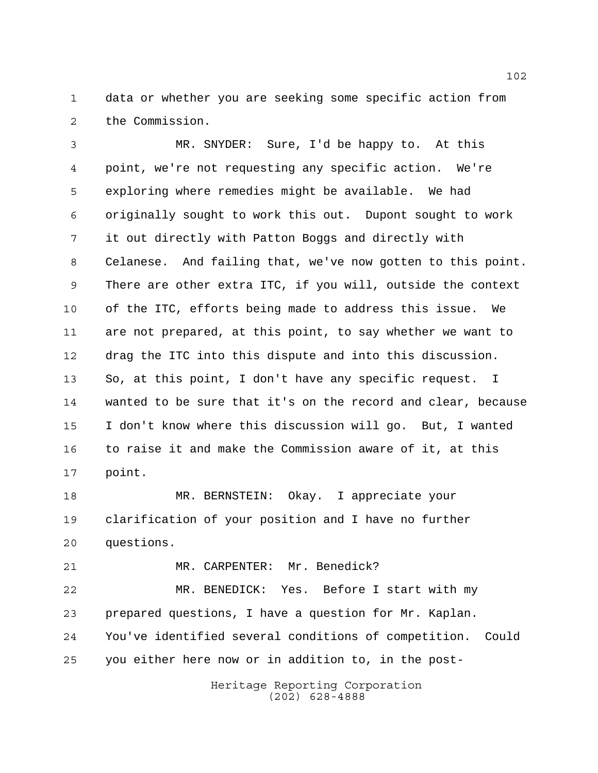data or whether you are seeking some specific action from the Commission.

 MR. SNYDER: Sure, I'd be happy to. At this point, we're not requesting any specific action. We're exploring where remedies might be available. We had originally sought to work this out. Dupont sought to work it out directly with Patton Boggs and directly with Celanese. And failing that, we've now gotten to this point. There are other extra ITC, if you will, outside the context of the ITC, efforts being made to address this issue. We are not prepared, at this point, to say whether we want to drag the ITC into this dispute and into this discussion. So, at this point, I don't have any specific request. I wanted to be sure that it's on the record and clear, because I don't know where this discussion will go. But, I wanted to raise it and make the Commission aware of it, at this point.

 MR. BERNSTEIN: Okay. I appreciate your clarification of your position and I have no further questions.

21 MR. CARPENTER: Mr. Benedick?

 MR. BENEDICK: Yes. Before I start with my prepared questions, I have a question for Mr. Kaplan. You've identified several conditions of competition. Could you either here now or in addition to, in the post-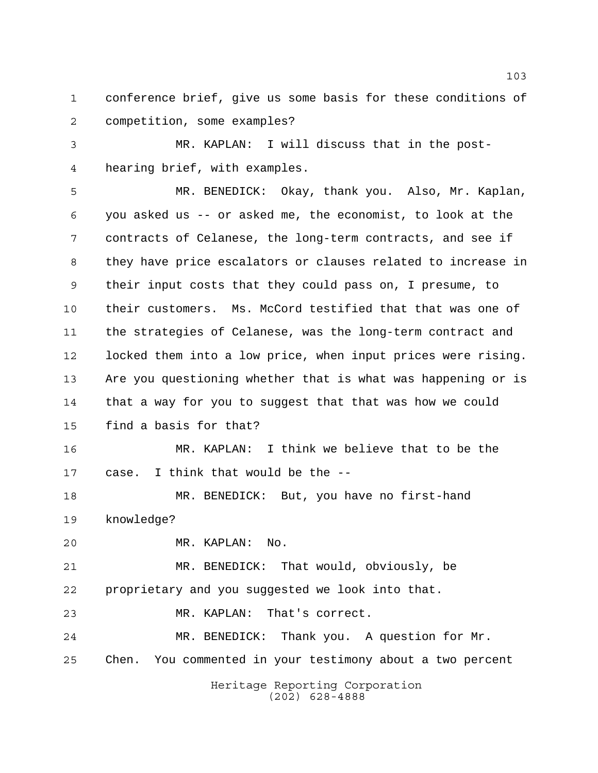conference brief, give us some basis for these conditions of competition, some examples?

 MR. KAPLAN: I will discuss that in the post-hearing brief, with examples.

 MR. BENEDICK: Okay, thank you. Also, Mr. Kaplan, you asked us -- or asked me, the economist, to look at the contracts of Celanese, the long-term contracts, and see if they have price escalators or clauses related to increase in their input costs that they could pass on, I presume, to their customers. Ms. McCord testified that that was one of the strategies of Celanese, was the long-term contract and locked them into a low price, when input prices were rising. Are you questioning whether that is what was happening or is that a way for you to suggest that that was how we could find a basis for that? MR. KAPLAN: I think we believe that to be the case. I think that would be the -- MR. BENEDICK: But, you have no first-hand

knowledge?

MR. KAPLAN: No.

 MR. BENEDICK: That would, obviously, be proprietary and you suggested we look into that.

MR. KAPLAN: That's correct.

 MR. BENEDICK: Thank you. A question for Mr. Chen. You commented in your testimony about a two percent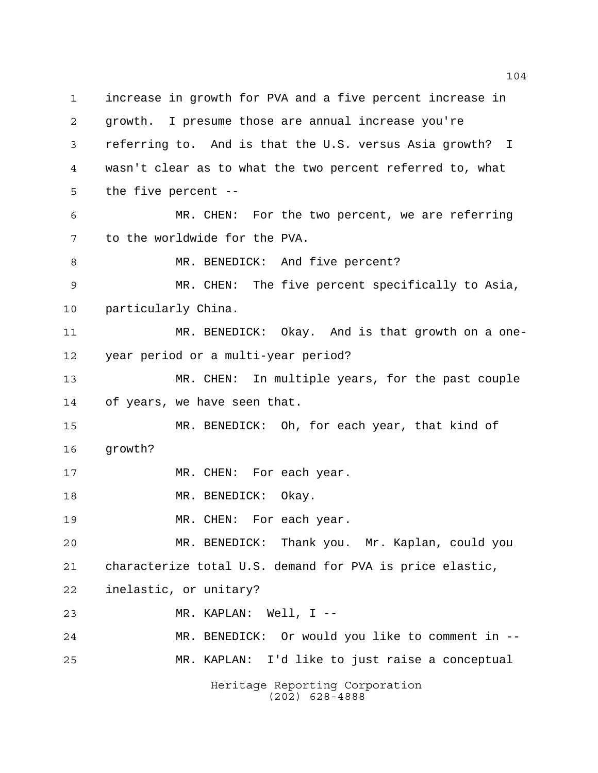increase in growth for PVA and a five percent increase in growth. I presume those are annual increase you're referring to. And is that the U.S. versus Asia growth? I wasn't clear as to what the two percent referred to, what the five percent -- MR. CHEN: For the two percent, we are referring to the worldwide for the PVA. 8 MR. BENEDICK: And five percent? MR. CHEN: The five percent specifically to Asia, particularly China. MR. BENEDICK: Okay. And is that growth on a one- year period or a multi-year period? MR. CHEN: In multiple years, for the past couple of years, we have seen that. MR. BENEDICK: Oh, for each year, that kind of growth? 17 MR. CHEN: For each year. 18 MR. BENEDICK: Okay. 19 MR. CHEN: For each year. MR. BENEDICK: Thank you. Mr. Kaplan, could you characterize total U.S. demand for PVA is price elastic, inelastic, or unitary? MR. KAPLAN: Well, I -- MR. BENEDICK: Or would you like to comment in -- MR. KAPLAN: I'd like to just raise a conceptual

Heritage Reporting Corporation (202) 628-4888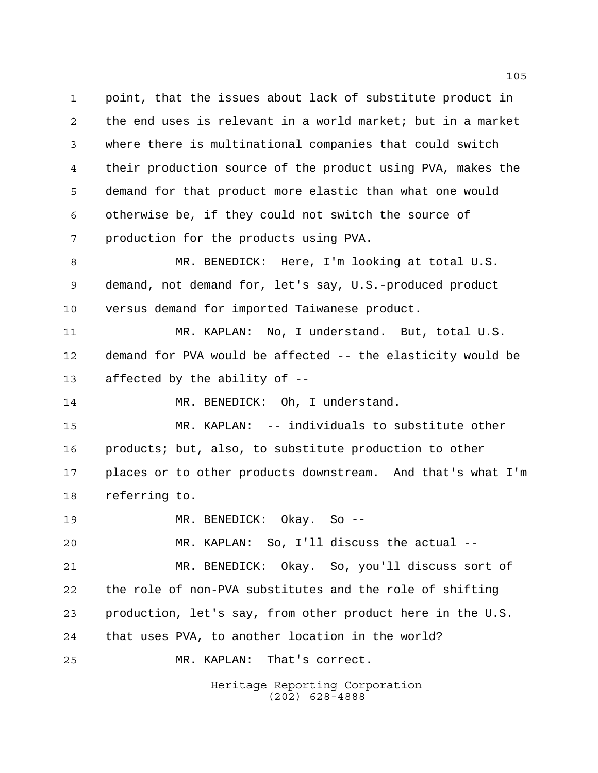point, that the issues about lack of substitute product in the end uses is relevant in a world market; but in a market where there is multinational companies that could switch their production source of the product using PVA, makes the demand for that product more elastic than what one would otherwise be, if they could not switch the source of production for the products using PVA. MR. BENEDICK: Here, I'm looking at total U.S.

 demand, not demand for, let's say, U.S.-produced product versus demand for imported Taiwanese product.

 MR. KAPLAN: No, I understand. But, total U.S. demand for PVA would be affected -- the elasticity would be affected by the ability of --

14 MR. BENEDICK: Oh, I understand.

 MR. KAPLAN: -- individuals to substitute other products; but, also, to substitute production to other places or to other products downstream. And that's what I'm referring to.

MR. BENEDICK: Okay. So --

MR. KAPLAN: So, I'll discuss the actual --

 MR. BENEDICK: Okay. So, you'll discuss sort of the role of non-PVA substitutes and the role of shifting production, let's say, from other product here in the U.S. that uses PVA, to another location in the world?

MR. KAPLAN: That's correct.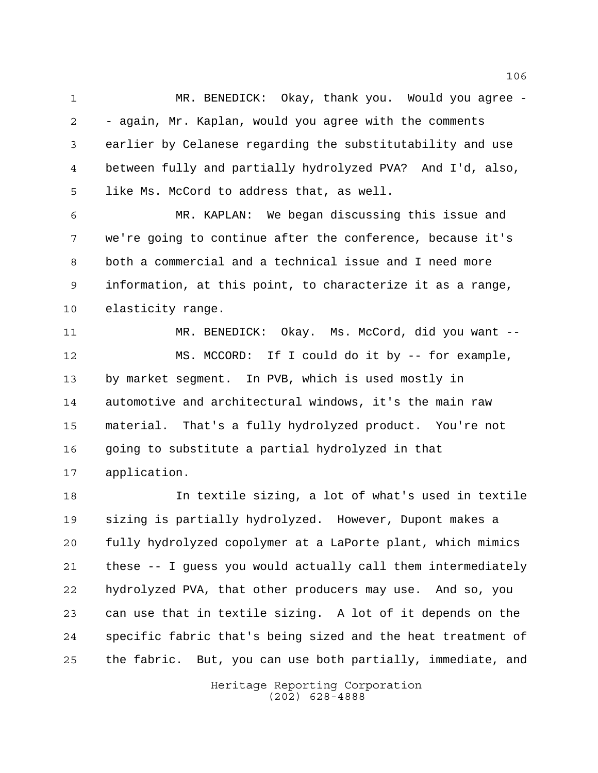1 MR. BENEDICK: Okay, thank you. Would you agree - - again, Mr. Kaplan, would you agree with the comments earlier by Celanese regarding the substitutability and use between fully and partially hydrolyzed PVA? And I'd, also, like Ms. McCord to address that, as well.

 MR. KAPLAN: We began discussing this issue and we're going to continue after the conference, because it's both a commercial and a technical issue and I need more information, at this point, to characterize it as a range, elasticity range.

 MR. BENEDICK: Okay. Ms. McCord, did you want -- MS. MCCORD: If I could do it by -- for example, by market segment. In PVB, which is used mostly in automotive and architectural windows, it's the main raw material. That's a fully hydrolyzed product. You're not going to substitute a partial hydrolyzed in that application.

 In textile sizing, a lot of what's used in textile sizing is partially hydrolyzed. However, Dupont makes a fully hydrolyzed copolymer at a LaPorte plant, which mimics these -- I guess you would actually call them intermediately hydrolyzed PVA, that other producers may use. And so, you can use that in textile sizing. A lot of it depends on the specific fabric that's being sized and the heat treatment of the fabric. But, you can use both partially, immediate, and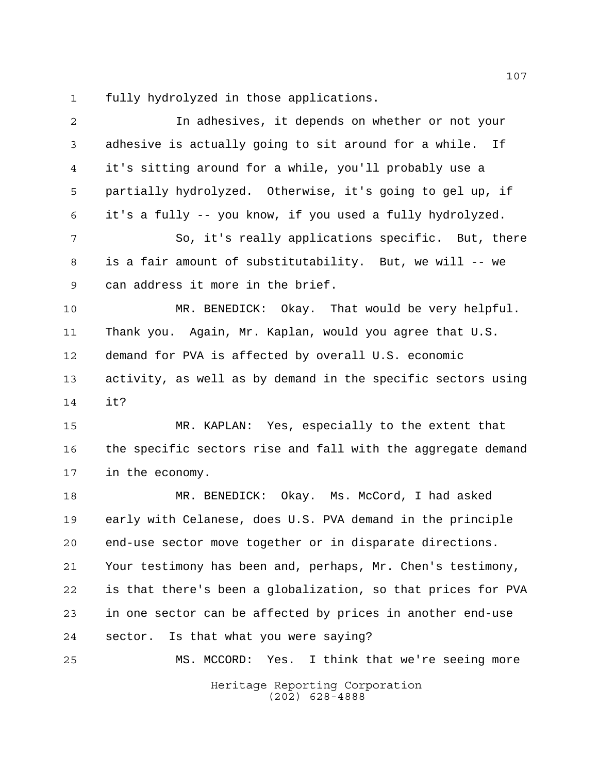fully hydrolyzed in those applications.

| $\mathbf{2}$   | In adhesives, it depends on whether or not your              |
|----------------|--------------------------------------------------------------|
| $\mathsf{3}$   | adhesive is actually going to sit around for a while. If     |
| $\overline{4}$ | it's sitting around for a while, you'll probably use a       |
| 5              | partially hydrolyzed. Otherwise, it's going to gel up, if    |
| 6              | it's a fully -- you know, if you used a fully hydrolyzed.    |
| 7              | So, it's really applications specific. But, there            |
| 8              | is a fair amount of substitutability. But, we will -- we     |
| 9              | can address it more in the brief.                            |
| 10             | MR. BENEDICK: Okay. That would be very helpful.              |
| 11             | Thank you. Again, Mr. Kaplan, would you agree that U.S.      |
| 12             | demand for PVA is affected by overall U.S. economic          |
| 13             | activity, as well as by demand in the specific sectors using |
| 14             | it?                                                          |
| 15             | MR. KAPLAN: Yes, especially to the extent that               |
| 16             | the specific sectors rise and fall with the aggregate demand |
| 17             | in the economy.                                              |
| 18             | MR. BENEDICK: Okay. Ms. McCord, I had asked                  |
| 19             | early with Celanese, does U.S. PVA demand in the principle   |
| 20             | end-use sector move together or in disparate directions.     |
| 21             | Your testimony has been and, perhaps, Mr. Chen's testimony,  |
| 22             | is that there's been a globalization, so that prices for PVA |
| 23             | in one sector can be affected by prices in another end-use   |
| 24             | Is that what you were saying?<br>sector.                     |
| 25             | MS. MCCORD: Yes. I think that we're seeing more              |
|                | Heritage Reporting Corporation<br>$(202)$ 628-4888           |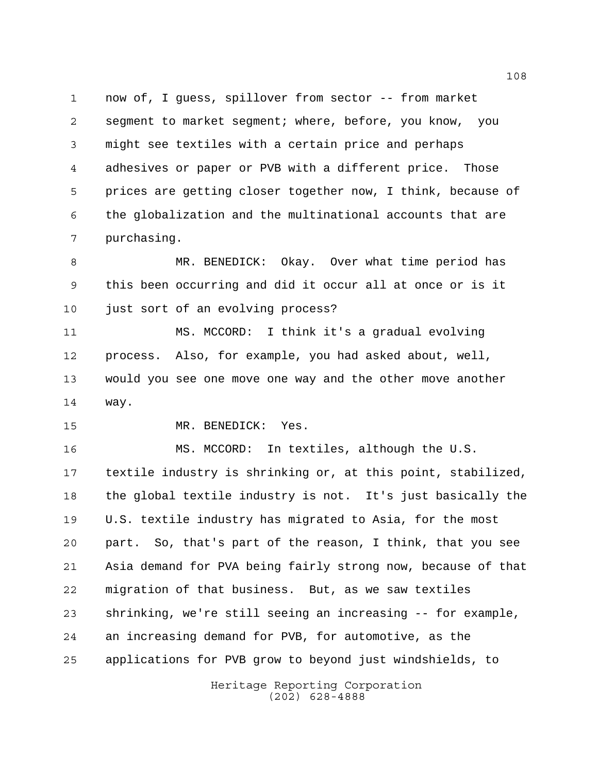now of, I guess, spillover from sector -- from market segment to market segment; where, before, you know, you might see textiles with a certain price and perhaps adhesives or paper or PVB with a different price. Those prices are getting closer together now, I think, because of the globalization and the multinational accounts that are purchasing.

 MR. BENEDICK: Okay. Over what time period has this been occurring and did it occur all at once or is it just sort of an evolving process?

 MS. MCCORD: I think it's a gradual evolving process. Also, for example, you had asked about, well, would you see one move one way and the other move another way.

MR. BENEDICK: Yes.

 MS. MCCORD: In textiles, although the U.S. textile industry is shrinking or, at this point, stabilized, the global textile industry is not. It's just basically the U.S. textile industry has migrated to Asia, for the most part. So, that's part of the reason, I think, that you see Asia demand for PVA being fairly strong now, because of that migration of that business. But, as we saw textiles shrinking, we're still seeing an increasing -- for example, an increasing demand for PVB, for automotive, as the applications for PVB grow to beyond just windshields, to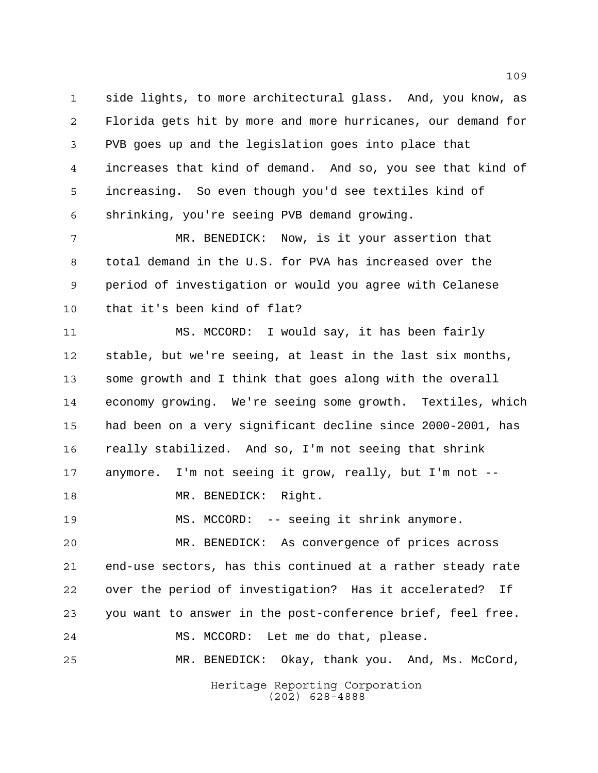side lights, to more architectural glass. And, you know, as Florida gets hit by more and more hurricanes, our demand for PVB goes up and the legislation goes into place that increases that kind of demand. And so, you see that kind of increasing. So even though you'd see textiles kind of shrinking, you're seeing PVB demand growing.

 MR. BENEDICK: Now, is it your assertion that total demand in the U.S. for PVA has increased over the period of investigation or would you agree with Celanese that it's been kind of flat?

 MS. MCCORD: I would say, it has been fairly stable, but we're seeing, at least in the last six months, some growth and I think that goes along with the overall economy growing. We're seeing some growth. Textiles, which had been on a very significant decline since 2000-2001, has really stabilized. And so, I'm not seeing that shrink anymore. I'm not seeing it grow, really, but I'm not -- 18 MR. BENEDICK: Right. MS. MCCORD: -- seeing it shrink anymore. MR. BENEDICK: As convergence of prices across

 end-use sectors, has this continued at a rather steady rate over the period of investigation? Has it accelerated? If you want to answer in the post-conference brief, feel free. MS. MCCORD: Let me do that, please. MR. BENEDICK: Okay, thank you. And, Ms. McCord,

> Heritage Reporting Corporation (202) 628-4888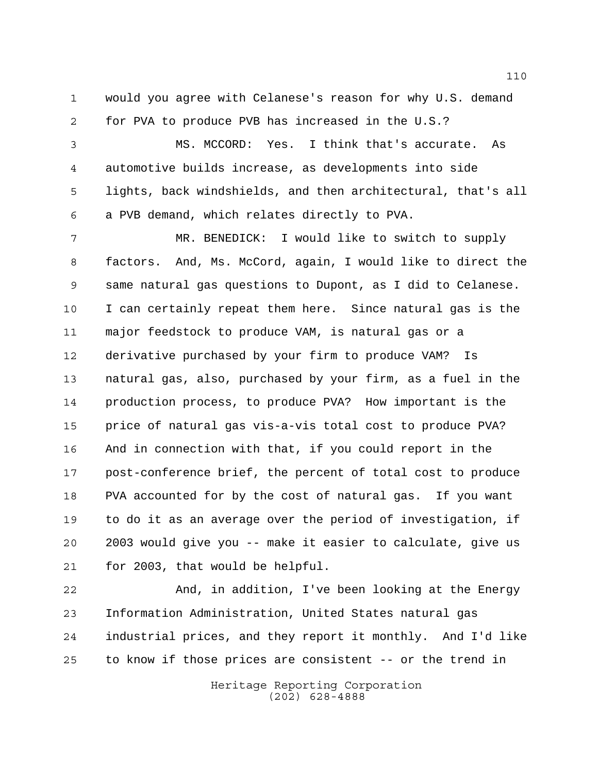would you agree with Celanese's reason for why U.S. demand for PVA to produce PVB has increased in the U.S.?

 MS. MCCORD: Yes. I think that's accurate. As automotive builds increase, as developments into side lights, back windshields, and then architectural, that's all a PVB demand, which relates directly to PVA.

 MR. BENEDICK: I would like to switch to supply factors. And, Ms. McCord, again, I would like to direct the same natural gas questions to Dupont, as I did to Celanese. I can certainly repeat them here. Since natural gas is the major feedstock to produce VAM, is natural gas or a derivative purchased by your firm to produce VAM? Is natural gas, also, purchased by your firm, as a fuel in the production process, to produce PVA? How important is the price of natural gas vis-a-vis total cost to produce PVA? And in connection with that, if you could report in the post-conference brief, the percent of total cost to produce PVA accounted for by the cost of natural gas. If you want to do it as an average over the period of investigation, if 2003 would give you -- make it easier to calculate, give us for 2003, that would be helpful.

 And, in addition, I've been looking at the Energy Information Administration, United States natural gas industrial prices, and they report it monthly. And I'd like to know if those prices are consistent -- or the trend in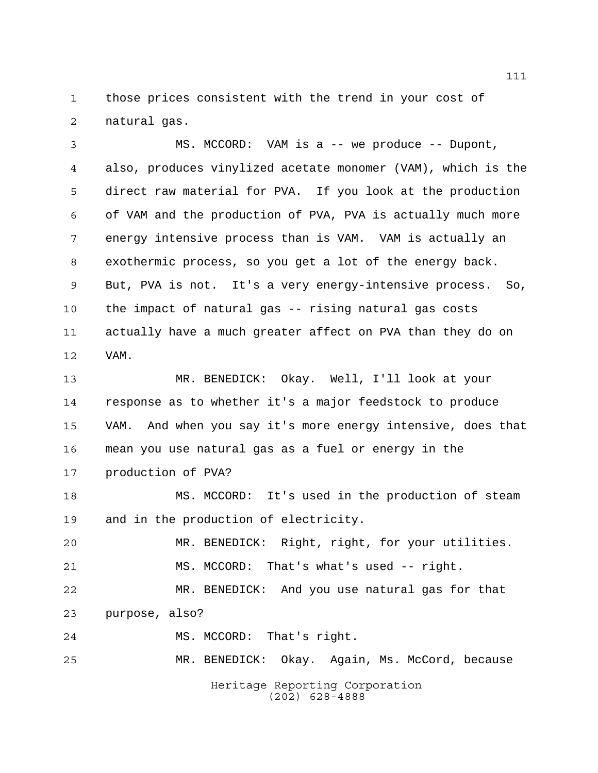those prices consistent with the trend in your cost of natural gas.

 MS. MCCORD: VAM is a -- we produce -- Dupont, also, produces vinylized acetate monomer (VAM), which is the direct raw material for PVA. If you look at the production of VAM and the production of PVA, PVA is actually much more energy intensive process than is VAM. VAM is actually an exothermic process, so you get a lot of the energy back. But, PVA is not. It's a very energy-intensive process. So, the impact of natural gas -- rising natural gas costs actually have a much greater affect on PVA than they do on VAM.

 MR. BENEDICK: Okay. Well, I'll look at your response as to whether it's a major feedstock to produce VAM. And when you say it's more energy intensive, does that mean you use natural gas as a fuel or energy in the production of PVA?

 MS. MCCORD: It's used in the production of steam and in the production of electricity.

 MR. BENEDICK: Right, right, for your utilities. MS. MCCORD: That's what's used -- right.

 MR. BENEDICK: And you use natural gas for that purpose, also?

MS. MCCORD: That's right.

MR. BENEDICK: Okay. Again, Ms. McCord, because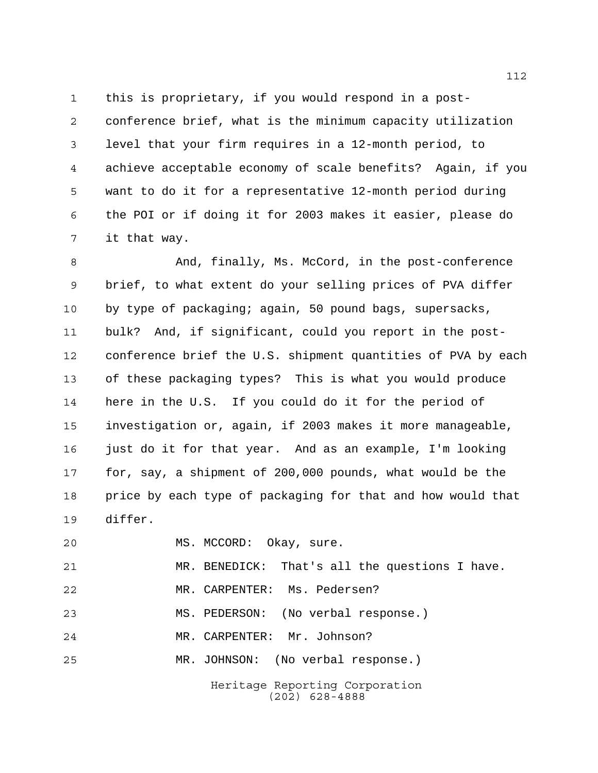this is proprietary, if you would respond in a post- conference brief, what is the minimum capacity utilization level that your firm requires in a 12-month period, to achieve acceptable economy of scale benefits? Again, if you want to do it for a representative 12-month period during the POI or if doing it for 2003 makes it easier, please do it that way.

8 And, finally, Ms. McCord, in the post-conference brief, to what extent do your selling prices of PVA differ by type of packaging; again, 50 pound bags, supersacks, bulk? And, if significant, could you report in the post- conference brief the U.S. shipment quantities of PVA by each of these packaging types? This is what you would produce here in the U.S. If you could do it for the period of investigation or, again, if 2003 makes it more manageable, just do it for that year. And as an example, I'm looking for, say, a shipment of 200,000 pounds, what would be the price by each type of packaging for that and how would that differ.

Heritage Reporting Corporation MS. MCCORD: Okay, sure. MR. BENEDICK: That's all the questions I have. MR. CARPENTER: Ms. Pedersen? MS. PEDERSON: (No verbal response.) MR. CARPENTER: Mr. Johnson? MR. JOHNSON: (No verbal response.)

(202) 628-4888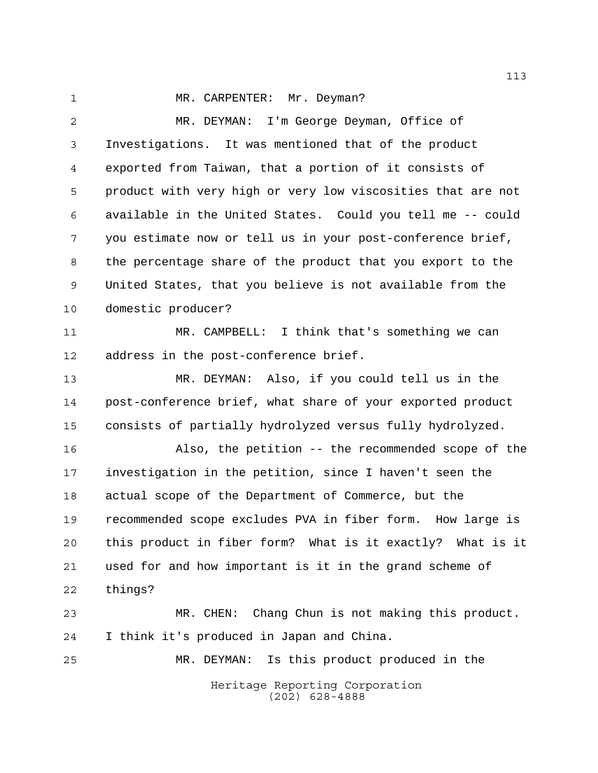## 1 MR. CARPENTER: Mr. Deyman?

 MR. DEYMAN: I'm George Deyman, Office of Investigations. It was mentioned that of the product exported from Taiwan, that a portion of it consists of product with very high or very low viscosities that are not available in the United States. Could you tell me -- could you estimate now or tell us in your post-conference brief, the percentage share of the product that you export to the United States, that you believe is not available from the domestic producer? MR. CAMPBELL: I think that's something we can address in the post-conference brief. MR. DEYMAN: Also, if you could tell us in the post-conference brief, what share of your exported product consists of partially hydrolyzed versus fully hydrolyzed. Also, the petition -- the recommended scope of the investigation in the petition, since I haven't seen the actual scope of the Department of Commerce, but the recommended scope excludes PVA in fiber form. How large is this product in fiber form? What is it exactly? What is it used for and how important is it in the grand scheme of things? MR. CHEN: Chang Chun is not making this product. I think it's produced in Japan and China. MR. DEYMAN: Is this product produced in the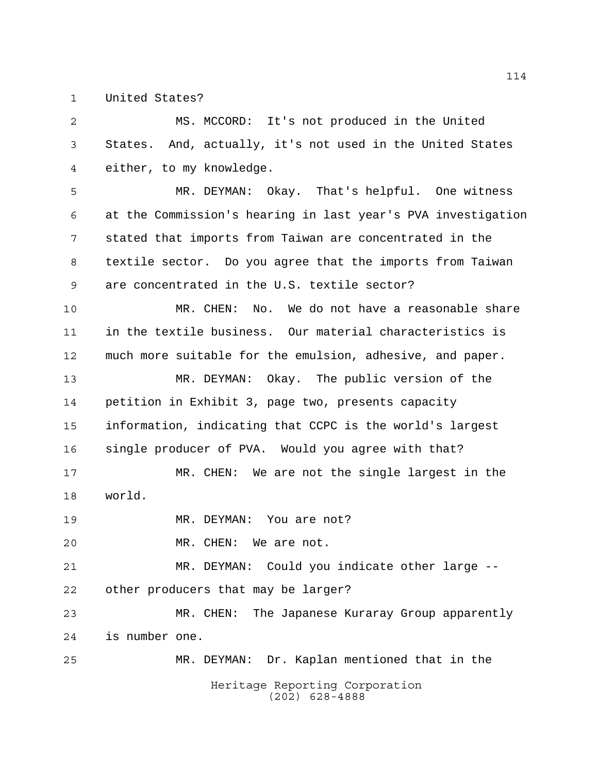United States?

 MS. MCCORD: It's not produced in the United States. And, actually, it's not used in the United States either, to my knowledge.

 MR. DEYMAN: Okay. That's helpful. One witness at the Commission's hearing in last year's PVA investigation stated that imports from Taiwan are concentrated in the textile sector. Do you agree that the imports from Taiwan are concentrated in the U.S. textile sector?

 MR. CHEN: No. We do not have a reasonable share in the textile business. Our material characteristics is much more suitable for the emulsion, adhesive, and paper.

 MR. DEYMAN: Okay. The public version of the petition in Exhibit 3, page two, presents capacity information, indicating that CCPC is the world's largest single producer of PVA. Would you agree with that?

 MR. CHEN: We are not the single largest in the world.

MR. DEYMAN: You are not?

MR. CHEN: We are not.

 MR. DEYMAN: Could you indicate other large -- other producers that may be larger?

 MR. CHEN: The Japanese Kuraray Group apparently is number one.

Heritage Reporting Corporation (202) 628-4888 MR. DEYMAN: Dr. Kaplan mentioned that in the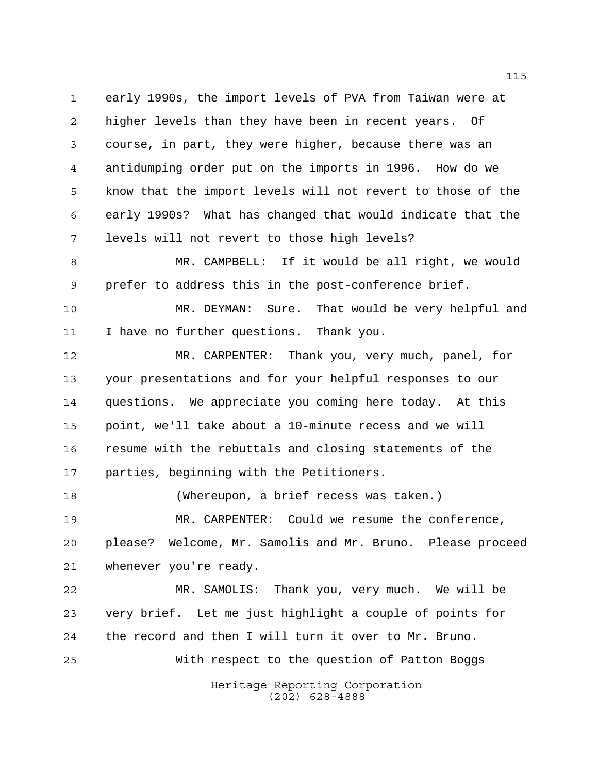early 1990s, the import levels of PVA from Taiwan were at higher levels than they have been in recent years. Of course, in part, they were higher, because there was an antidumping order put on the imports in 1996. How do we know that the import levels will not revert to those of the early 1990s? What has changed that would indicate that the levels will not revert to those high levels?

 MR. CAMPBELL: If it would be all right, we would prefer to address this in the post-conference brief.

 MR. DEYMAN: Sure. That would be very helpful and I have no further questions. Thank you.

 MR. CARPENTER: Thank you, very much, panel, for your presentations and for your helpful responses to our questions. We appreciate you coming here today. At this point, we'll take about a 10-minute recess and we will resume with the rebuttals and closing statements of the parties, beginning with the Petitioners.

 (Whereupon, a brief recess was taken.) MR. CARPENTER: Could we resume the conference, please? Welcome, Mr. Samolis and Mr. Bruno. Please proceed whenever you're ready.

 MR. SAMOLIS: Thank you, very much. We will be very brief. Let me just highlight a couple of points for the record and then I will turn it over to Mr. Bruno. With respect to the question of Patton Boggs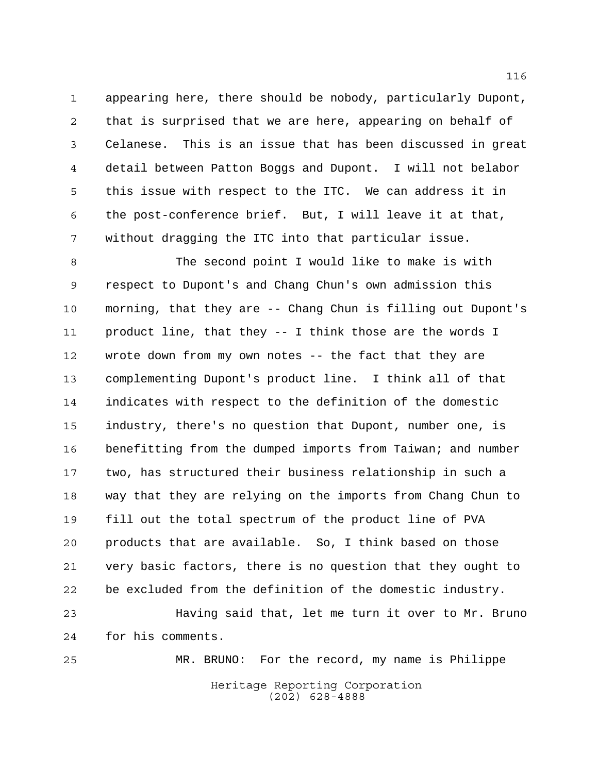appearing here, there should be nobody, particularly Dupont, that is surprised that we are here, appearing on behalf of Celanese. This is an issue that has been discussed in great detail between Patton Boggs and Dupont. I will not belabor this issue with respect to the ITC. We can address it in the post-conference brief. But, I will leave it at that, without dragging the ITC into that particular issue.

 The second point I would like to make is with respect to Dupont's and Chang Chun's own admission this morning, that they are -- Chang Chun is filling out Dupont's product line, that they -- I think those are the words I wrote down from my own notes -- the fact that they are complementing Dupont's product line. I think all of that indicates with respect to the definition of the domestic industry, there's no question that Dupont, number one, is benefitting from the dumped imports from Taiwan; and number two, has structured their business relationship in such a way that they are relying on the imports from Chang Chun to fill out the total spectrum of the product line of PVA products that are available. So, I think based on those very basic factors, there is no question that they ought to be excluded from the definition of the domestic industry. Having said that, let me turn it over to Mr. Bruno

for his comments.

MR. BRUNO: For the record, my name is Philippe

Heritage Reporting Corporation (202) 628-4888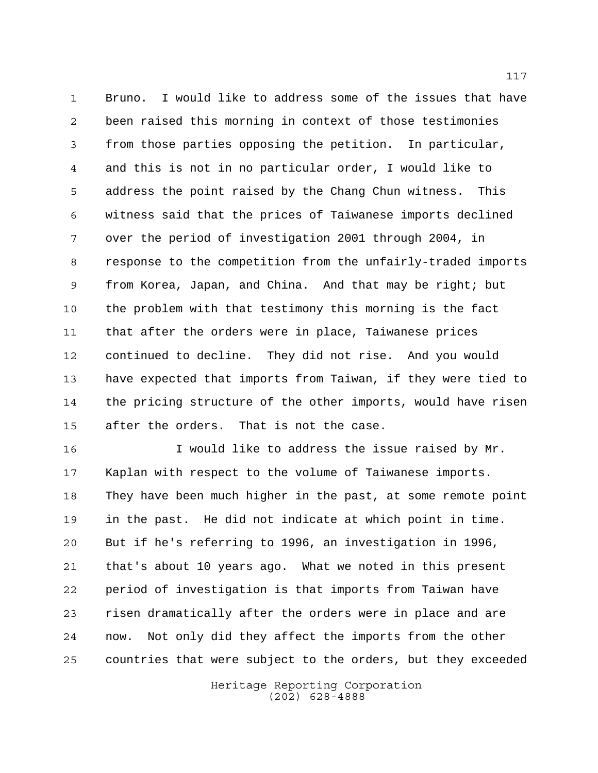Bruno. I would like to address some of the issues that have been raised this morning in context of those testimonies from those parties opposing the petition. In particular, and this is not in no particular order, I would like to address the point raised by the Chang Chun witness. This witness said that the prices of Taiwanese imports declined over the period of investigation 2001 through 2004, in response to the competition from the unfairly-traded imports from Korea, Japan, and China. And that may be right; but the problem with that testimony this morning is the fact that after the orders were in place, Taiwanese prices continued to decline. They did not rise. And you would have expected that imports from Taiwan, if they were tied to the pricing structure of the other imports, would have risen after the orders. That is not the case.

16 16 I would like to address the issue raised by Mr. Kaplan with respect to the volume of Taiwanese imports. They have been much higher in the past, at some remote point in the past. He did not indicate at which point in time. But if he's referring to 1996, an investigation in 1996, that's about 10 years ago. What we noted in this present period of investigation is that imports from Taiwan have risen dramatically after the orders were in place and are now. Not only did they affect the imports from the other countries that were subject to the orders, but they exceeded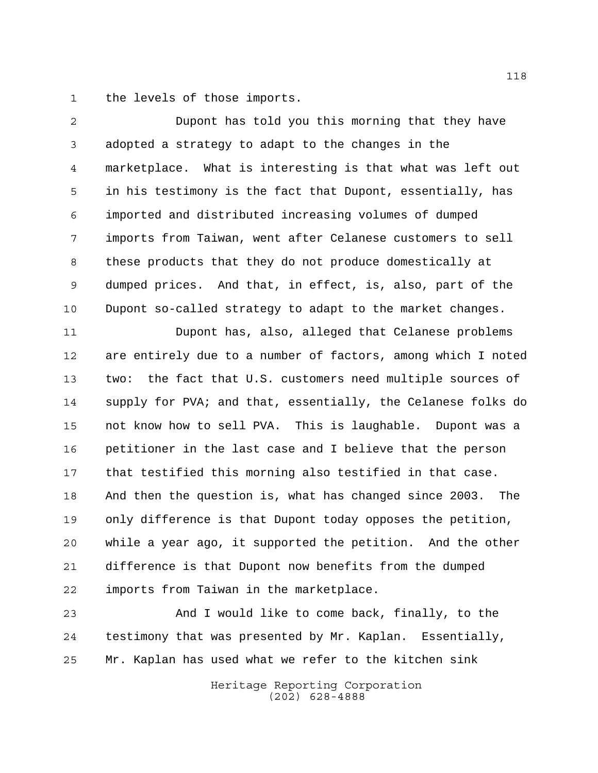the levels of those imports.

 Dupont has told you this morning that they have adopted a strategy to adapt to the changes in the marketplace. What is interesting is that what was left out in his testimony is the fact that Dupont, essentially, has imported and distributed increasing volumes of dumped imports from Taiwan, went after Celanese customers to sell these products that they do not produce domestically at dumped prices. And that, in effect, is, also, part of the Dupont so-called strategy to adapt to the market changes.

 Dupont has, also, alleged that Celanese problems are entirely due to a number of factors, among which I noted two: the fact that U.S. customers need multiple sources of supply for PVA; and that, essentially, the Celanese folks do not know how to sell PVA. This is laughable. Dupont was a petitioner in the last case and I believe that the person that testified this morning also testified in that case. And then the question is, what has changed since 2003. The only difference is that Dupont today opposes the petition, while a year ago, it supported the petition. And the other difference is that Dupont now benefits from the dumped imports from Taiwan in the marketplace.

 And I would like to come back, finally, to the testimony that was presented by Mr. Kaplan. Essentially, Mr. Kaplan has used what we refer to the kitchen sink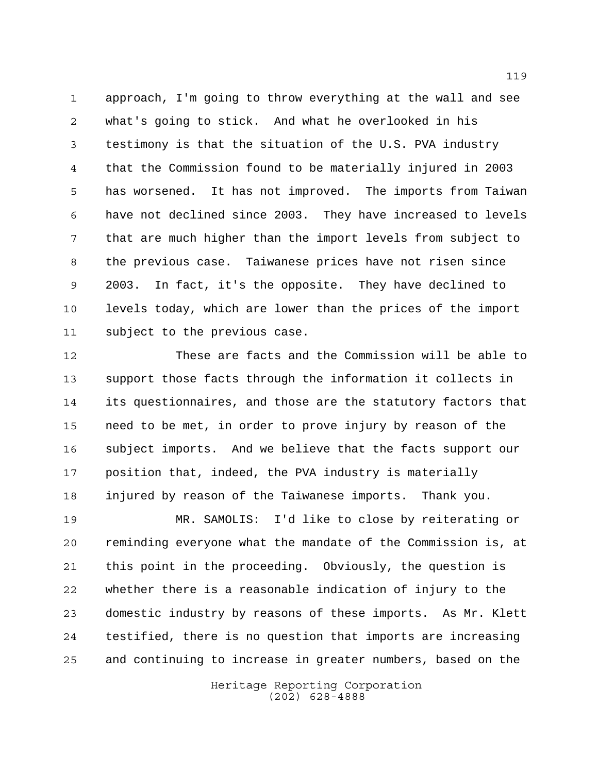approach, I'm going to throw everything at the wall and see what's going to stick. And what he overlooked in his testimony is that the situation of the U.S. PVA industry that the Commission found to be materially injured in 2003 has worsened. It has not improved. The imports from Taiwan have not declined since 2003. They have increased to levels that are much higher than the import levels from subject to the previous case. Taiwanese prices have not risen since 2003. In fact, it's the opposite. They have declined to levels today, which are lower than the prices of the import subject to the previous case.

 These are facts and the Commission will be able to support those facts through the information it collects in its questionnaires, and those are the statutory factors that need to be met, in order to prove injury by reason of the subject imports. And we believe that the facts support our position that, indeed, the PVA industry is materially injured by reason of the Taiwanese imports. Thank you.

 MR. SAMOLIS: I'd like to close by reiterating or reminding everyone what the mandate of the Commission is, at this point in the proceeding. Obviously, the question is whether there is a reasonable indication of injury to the domestic industry by reasons of these imports. As Mr. Klett testified, there is no question that imports are increasing and continuing to increase in greater numbers, based on the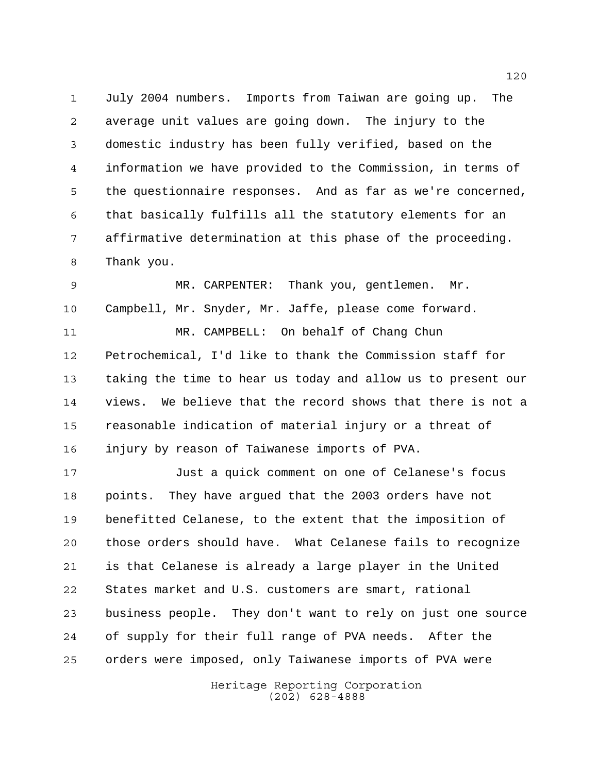July 2004 numbers. Imports from Taiwan are going up. The average unit values are going down. The injury to the domestic industry has been fully verified, based on the information we have provided to the Commission, in terms of the questionnaire responses. And as far as we're concerned, that basically fulfills all the statutory elements for an affirmative determination at this phase of the proceeding. Thank you.

 MR. CARPENTER: Thank you, gentlemen. Mr. Campbell, Mr. Snyder, Mr. Jaffe, please come forward. MR. CAMPBELL: On behalf of Chang Chun Petrochemical, I'd like to thank the Commission staff for taking the time to hear us today and allow us to present our views. We believe that the record shows that there is not a reasonable indication of material injury or a threat of injury by reason of Taiwanese imports of PVA.

 Just a quick comment on one of Celanese's focus points. They have argued that the 2003 orders have not benefitted Celanese, to the extent that the imposition of those orders should have. What Celanese fails to recognize is that Celanese is already a large player in the United States market and U.S. customers are smart, rational business people. They don't want to rely on just one source of supply for their full range of PVA needs. After the orders were imposed, only Taiwanese imports of PVA were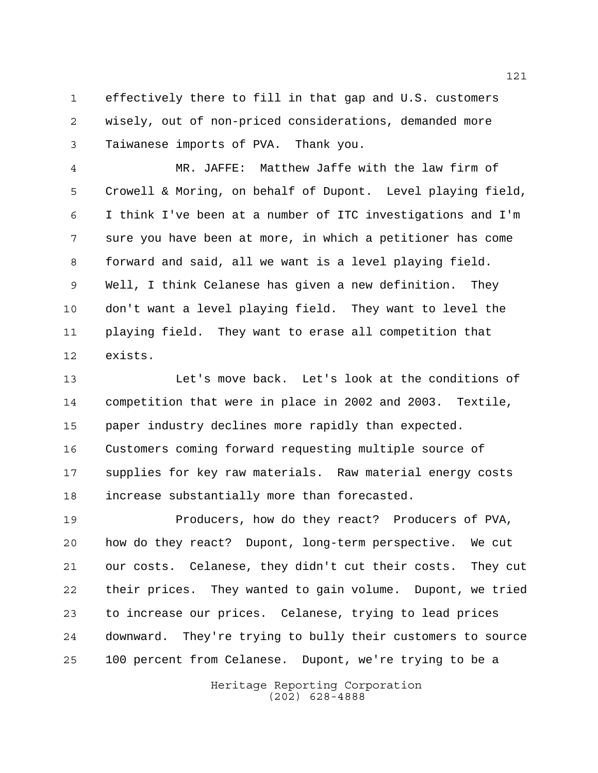effectively there to fill in that gap and U.S. customers wisely, out of non-priced considerations, demanded more Taiwanese imports of PVA. Thank you.

 MR. JAFFE: Matthew Jaffe with the law firm of Crowell & Moring, on behalf of Dupont. Level playing field, I think I've been at a number of ITC investigations and I'm sure you have been at more, in which a petitioner has come forward and said, all we want is a level playing field. Well, I think Celanese has given a new definition. They don't want a level playing field. They want to level the playing field. They want to erase all competition that exists.

 Let's move back. Let's look at the conditions of competition that were in place in 2002 and 2003. Textile, paper industry declines more rapidly than expected. Customers coming forward requesting multiple source of supplies for key raw materials. Raw material energy costs increase substantially more than forecasted.

 Producers, how do they react? Producers of PVA, how do they react? Dupont, long-term perspective. We cut our costs. Celanese, they didn't cut their costs. They cut their prices. They wanted to gain volume. Dupont, we tried to increase our prices. Celanese, trying to lead prices downward. They're trying to bully their customers to source 100 percent from Celanese. Dupont, we're trying to be a

> Heritage Reporting Corporation (202) 628-4888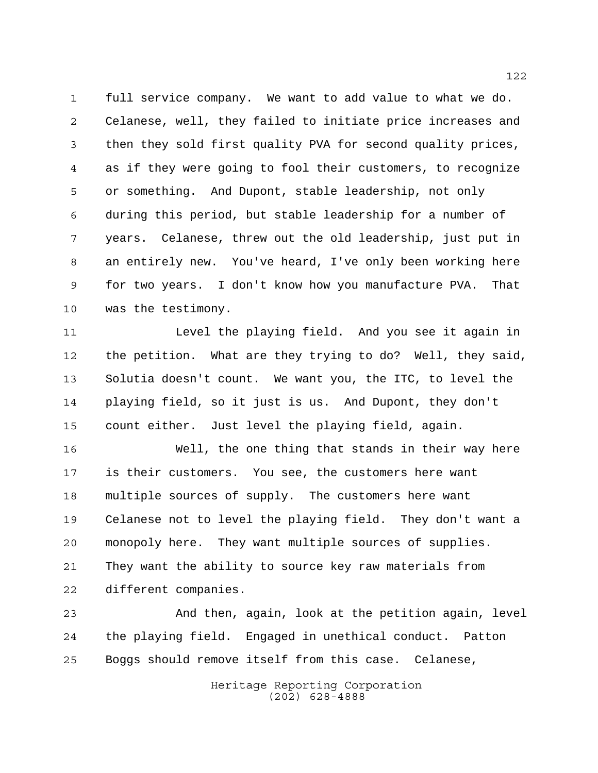full service company. We want to add value to what we do. Celanese, well, they failed to initiate price increases and then they sold first quality PVA for second quality prices, as if they were going to fool their customers, to recognize or something. And Dupont, stable leadership, not only during this period, but stable leadership for a number of years. Celanese, threw out the old leadership, just put in an entirely new. You've heard, I've only been working here for two years. I don't know how you manufacture PVA. That was the testimony.

11 Level the playing field. And you see it again in the petition. What are they trying to do? Well, they said, Solutia doesn't count. We want you, the ITC, to level the playing field, so it just is us. And Dupont, they don't count either. Just level the playing field, again.

 Well, the one thing that stands in their way here is their customers. You see, the customers here want multiple sources of supply. The customers here want Celanese not to level the playing field. They don't want a monopoly here. They want multiple sources of supplies. They want the ability to source key raw materials from different companies.

 And then, again, look at the petition again, level the playing field. Engaged in unethical conduct. Patton Boggs should remove itself from this case. Celanese,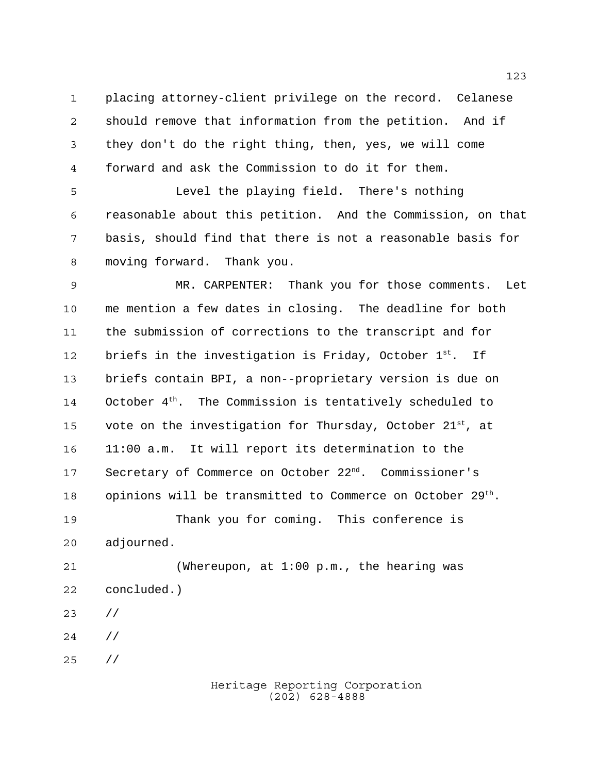placing attorney-client privilege on the record. Celanese should remove that information from the petition. And if they don't do the right thing, then, yes, we will come forward and ask the Commission to do it for them.

 Level the playing field. There's nothing reasonable about this petition. And the Commission, on that basis, should find that there is not a reasonable basis for moving forward. Thank you.

 MR. CARPENTER: Thank you for those comments. Let me mention a few dates in closing. The deadline for both the submission of corrections to the transcript and for 12 briefs in the investigation is Friday, October  $1^{st}$ . If briefs contain BPI, a non--proprietary version is due on 14 October  $4<sup>th</sup>$ . The Commission is tentatively scheduled to 15 vote on the investigation for Thursday, October  $21^{st}$ , at 11:00 a.m. It will report its determination to the 17 Secretary of Commerce on October 22<sup>nd</sup>. Commissioner's 18 opinions will be transmitted to Commerce on October  $29^{th}$ . Thank you for coming. This conference is adjourned. (Whereupon, at 1:00 p.m., the hearing was concluded.)

- //
- //
- //